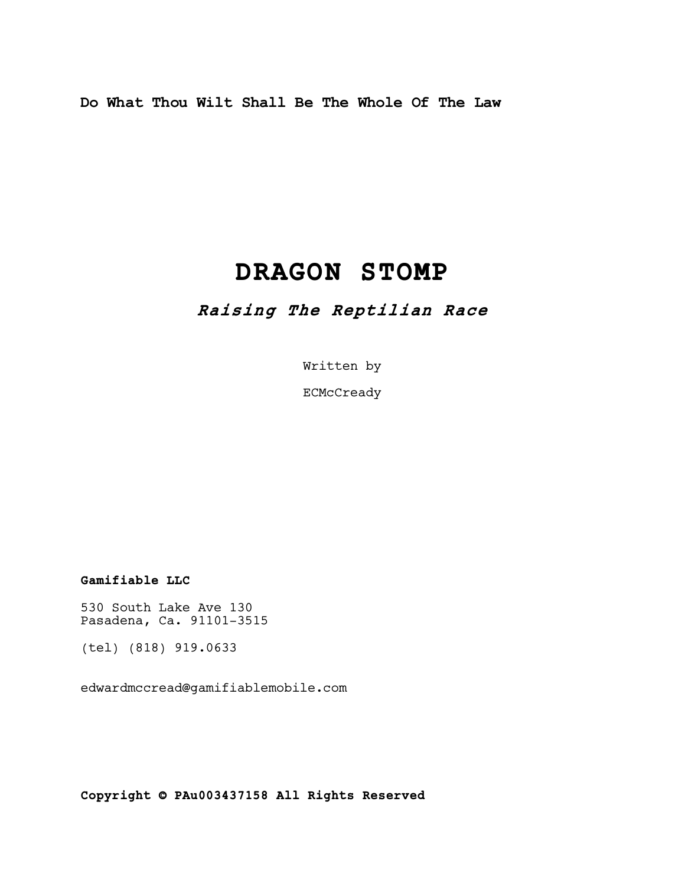Do What Thou Wilt Shall Be The Whole Of The Law

# DRAGON STOMP

# Raising The Reptilian Race

Written by

ECMcCready

Gamifiable LLC

530 South Lake Ave 130 Pasadena, Ca. 91101-3515

(tel) (818) 919.0633

edwardmccread@gamifiablemobile.com

Copyright © PAu003437158 All Rights Reserved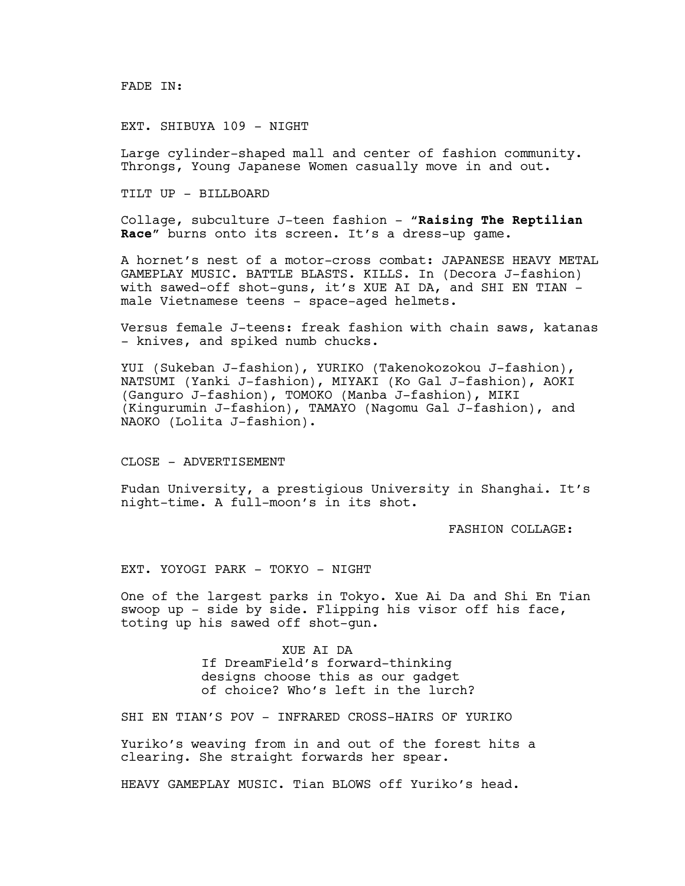# EXT. SHIBUYA 109 - NIGHT

Large cylinder-shaped mall and center of fashion community. Throngs, Young Japanese Women casually move in and out.

TILT UP - BILLBOARD

Collage, subculture J-teen fashion - "Raising The Reptilian Race" burns onto its screen. It's a dress-up game.

A hornet's nest of a motor-cross combat: JAPANESE HEAVY METAL GAMEPLAY MUSIC. BATTLE BLASTS. KILLS. In (Decora J-fashion) with sawed-off shot-guns, it's XUE AI DA, and SHI EN TIAN male Vietnamese teens - space-aged helmets.

Versus female J-teens: freak fashion with chain saws, katanas - knives, and spiked numb chucks.

YUI (Sukeban J-fashion), YURIKO (Takenokozokou J-fashion), NATSUMI (Yanki J-fashion), MIYAKI (Ko Gal J-fashion), AOKI (Ganguro J-fashion), TOMOKO (Manba J-fashion), MIKI (Kingurumin J-fashion), TAMAYO (Nagomu Gal J-fashion), and NAOKO (Lolita J-fashion).

CLOSE - ADVERTISEMENT

Fudan University, a prestigious University in Shanghai. It's night-time. A full-moon's in its shot.

FASHION COLLAGE:

EXT. YOYOGI PARK - TOKYO - NIGHT

One of the largest parks in Tokyo. Xue Ai Da and Shi En Tian swoop up - side by side. Flipping his visor off his face, toting up his sawed off shot-gun.

> XUE AI DA If DreamField's forward-thinking designs choose this as our gadget of choice? Who's left in the lurch?

SHI EN TIAN'S POV - INFRARED CROSS-HAIRS OF YURIKO

Yuriko's weaving from in and out of the forest hits a clearing. She straight forwards her spear.

HEAVY GAMEPLAY MUSIC. Tian BLOWS off Yuriko's head.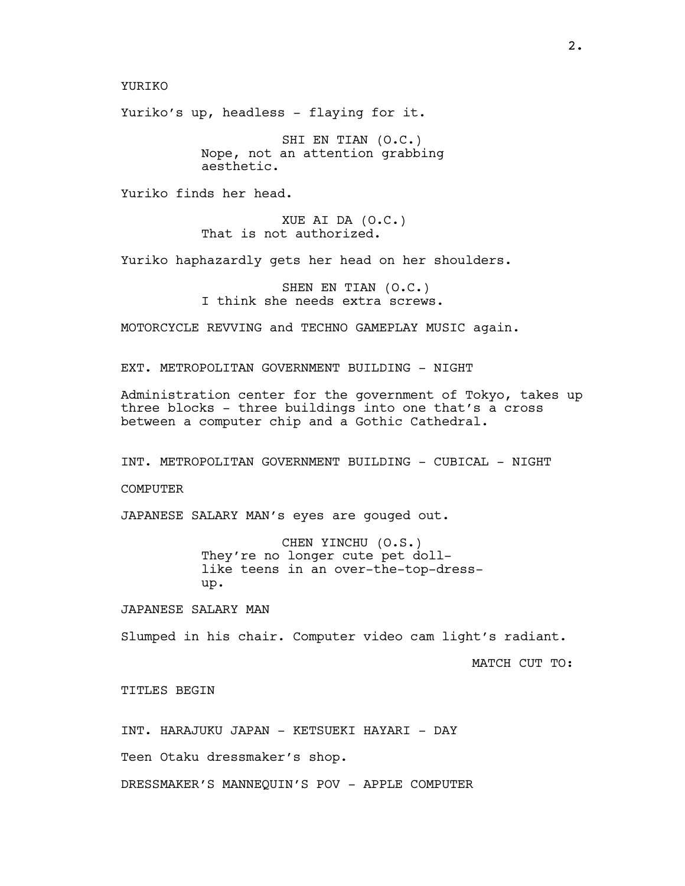YURIKO

Yuriko's up, headless - flaying for it.

SHI EN TIAN (O.C.) Nope, not an attention grabbing aesthetic.

Yuriko finds her head.

XUE AI DA (O.C.) That is not authorized.

Yuriko haphazardly gets her head on her shoulders.

SHEN EN TIAN (O.C.) I think she needs extra screws.

MOTORCYCLE REVVING and TECHNO GAMEPLAY MUSIC again.

EXT. METROPOLITAN GOVERNMENT BUILDING - NIGHT

Administration center for the government of Tokyo, takes up three blocks - three buildings into one that's a cross between a computer chip and a Gothic Cathedral.

INT. METROPOLITAN GOVERNMENT BUILDING - CUBICAL - NIGHT

**COMPUTER** 

JAPANESE SALARY MAN's eyes are gouged out.

CHEN YINCHU (O.S.) They're no longer cute pet dolllike teens in an over-the-top-dressup.

JAPANESE SALARY MAN

Slumped in his chair. Computer video cam light's radiant.

MATCH CUT TO:

TITLES BEGIN

INT. HARAJUKU JAPAN - KETSUEKI HAYARI - DAY

Teen Otaku dressmaker's shop.

DRESSMAKER'S MANNEQUIN'S POV - APPLE COMPUTER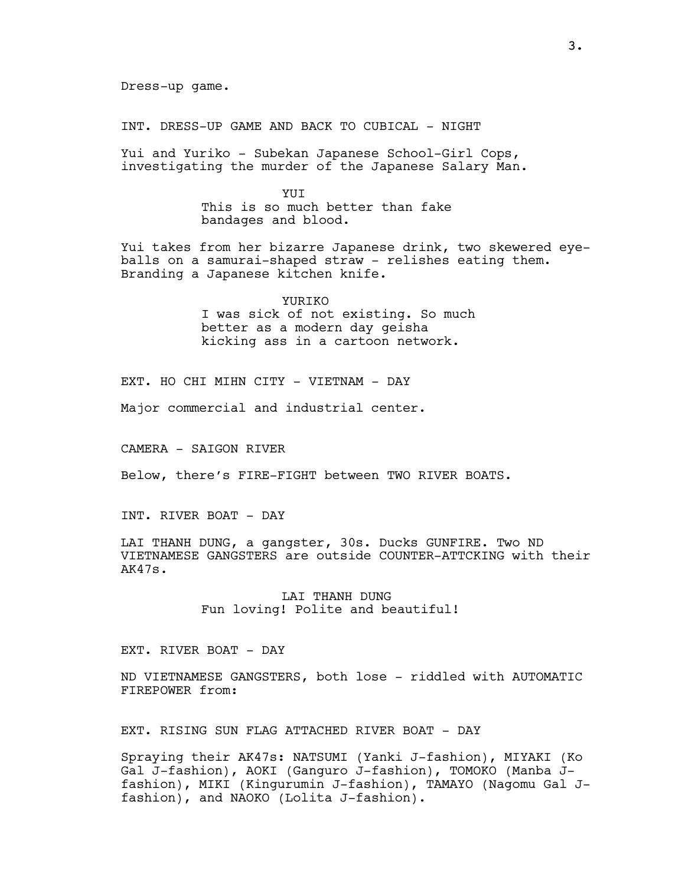INT. DRESS-UP GAME AND BACK TO CUBICAL - NIGHT

Yui and Yuriko - Subekan Japanese School-Girl Cops, investigating the murder of the Japanese Salary Man.

> **YUT** This is so much better than fake bandages and blood.

Yui takes from her bizarre Japanese drink, two skewered eyeballs on a samurai-shaped straw - relishes eating them. Branding a Japanese kitchen knife.

> YURIKO I was sick of not existing. So much better as a modern day geisha kicking ass in a cartoon network.

EXT. HO CHI MIHN CITY - VIETNAM - DAY

Major commercial and industrial center.

CAMERA - SAIGON RIVER

Below, there's FIRE-FIGHT between TWO RIVER BOATS.

INT. RIVER BOAT - DAY

LAI THANH DUNG, a gangster, 30s. Ducks GUNFIRE. Two ND VIETNAMESE GANGSTERS are outside COUNTER-ATTCKING with their AK47s.

> LAI THANH DUNG Fun loving! Polite and beautiful!

# EXT. RIVER BOAT - DAY

ND VIETNAMESE GANGSTERS, both lose - riddled with AUTOMATIC FIREPOWER from:

EXT. RISING SUN FLAG ATTACHED RIVER BOAT - DAY

Spraying their AK47s: NATSUMI (Yanki J-fashion), MIYAKI (Ko Gal J-fashion), AOKI (Ganguro J-fashion), TOMOKO (Manba Jfashion), MIKI (Kingurumin J-fashion), TAMAYO (Nagomu Gal Jfashion), and NAOKO (Lolita J-fashion).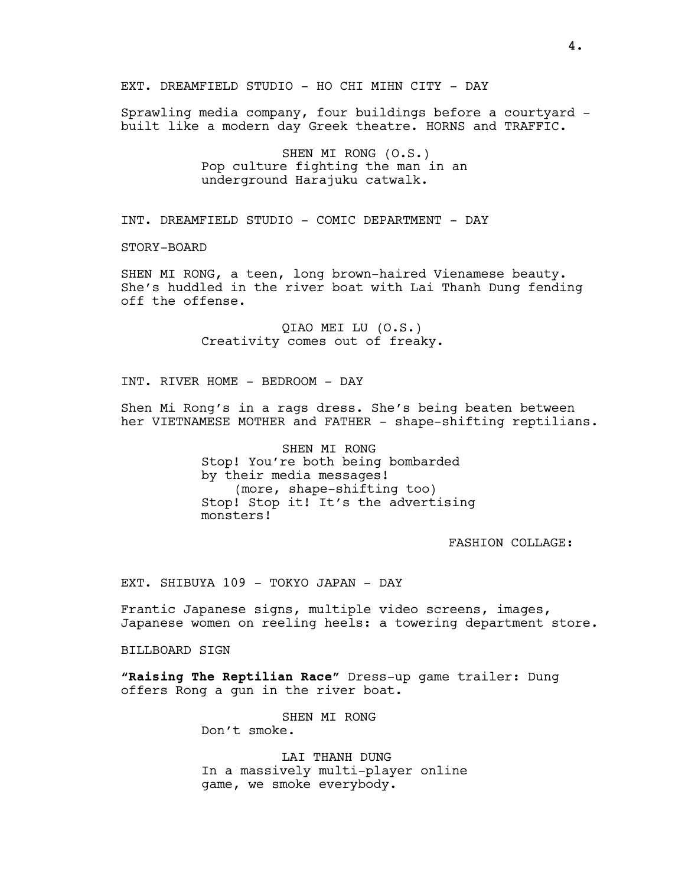EXT. DREAMFIELD STUDIO - HO CHI MIHN CITY - DAY

Sprawling media company, four buildings before a courtyard built like a modern day Greek theatre. HORNS and TRAFFIC.

> SHEN MI RONG (O.S.) Pop culture fighting the man in an underground Harajuku catwalk.

INT. DREAMFIELD STUDIO - COMIC DEPARTMENT - DAY

STORY-BOARD

SHEN MI RONG, a teen, long brown-haired Vienamese beauty. She's huddled in the river boat with Lai Thanh Dung fending off the offense.

> QIAO MEI LU (O.S.) Creativity comes out of freaky.

INT. RIVER HOME - BEDROOM - DAY

Shen Mi Rong's in a rags dress. She's being beaten between her VIETNAMESE MOTHER and FATHER - shape-shifting reptilians.

> SHEN MI RONG Stop! You're both being bombarded by their media messages! (more, shape-shifting too) Stop! Stop it! It's the advertising monsters!

> > FASHION COLLAGE:

EXT. SHIBUYA 109 - TOKYO JAPAN - DAY

Frantic Japanese signs, multiple video screens, images, Japanese women on reeling heels: a towering department store.

BILLBOARD SIGN

"Raising The Reptilian Race" Dress-up game trailer: Dung offers Rong a gun in the river boat.

SHEN MI RONG

Don't smoke.

LAI THANH DUNG In a massively multi-player online game, we smoke everybody.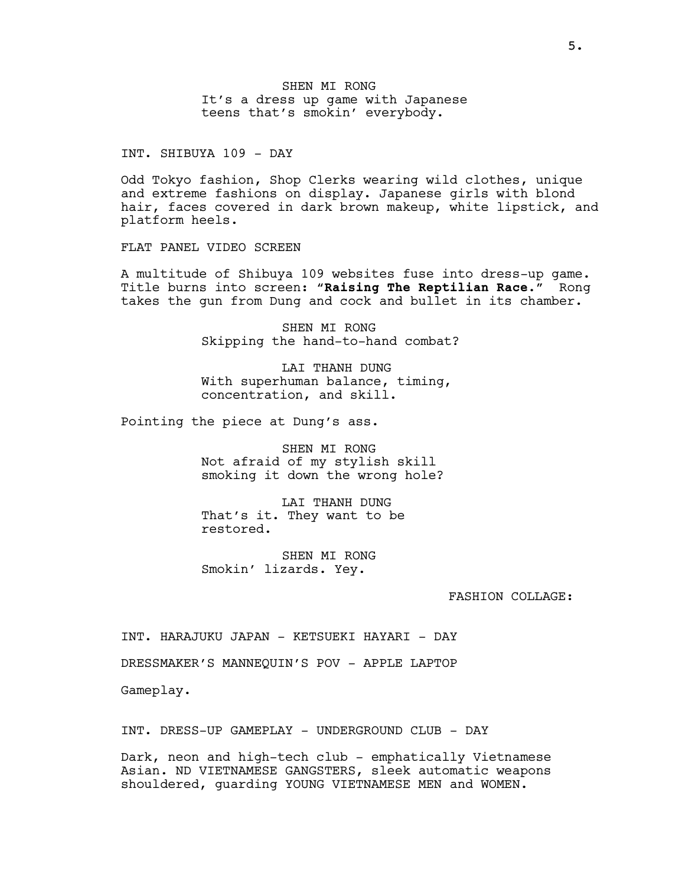SHEN MI RONG It's a dress up game with Japanese teens that's smokin' everybody.

INT. SHIBUYA 109 - DAY

Odd Tokyo fashion, Shop Clerks wearing wild clothes, unique and extreme fashions on display. Japanese girls with blond hair, faces covered in dark brown makeup, white lipstick, and platform heels.

FLAT PANEL VIDEO SCREEN

A multitude of Shibuya 109 websites fuse into dress-up game. Title burns into screen: "Raising The Reptilian Race." Rong takes the gun from Dung and cock and bullet in its chamber.

> SHEN MI RONG Skipping the hand-to-hand combat?

LAI THANH DUNG With superhuman balance, timing, concentration, and skill.

Pointing the piece at Dung's ass.

SHEN MI RONG Not afraid of my stylish skill smoking it down the wrong hole?

LAI THANH DUNG That's it. They want to be restored.

SHEN MI RONG Smokin' lizards. Yey.

FASHION COLLAGE:

INT. HARAJUKU JAPAN - KETSUEKI HAYARI - DAY

DRESSMAKER'S MANNEQUIN'S POV - APPLE LAPTOP

Gameplay.

INT. DRESS-UP GAMEPLAY - UNDERGROUND CLUB - DAY

Dark, neon and high-tech club - emphatically Vietnamese Asian. ND VIETNAMESE GANGSTERS, sleek automatic weapons shouldered, guarding YOUNG VIETNAMESE MEN and WOMEN.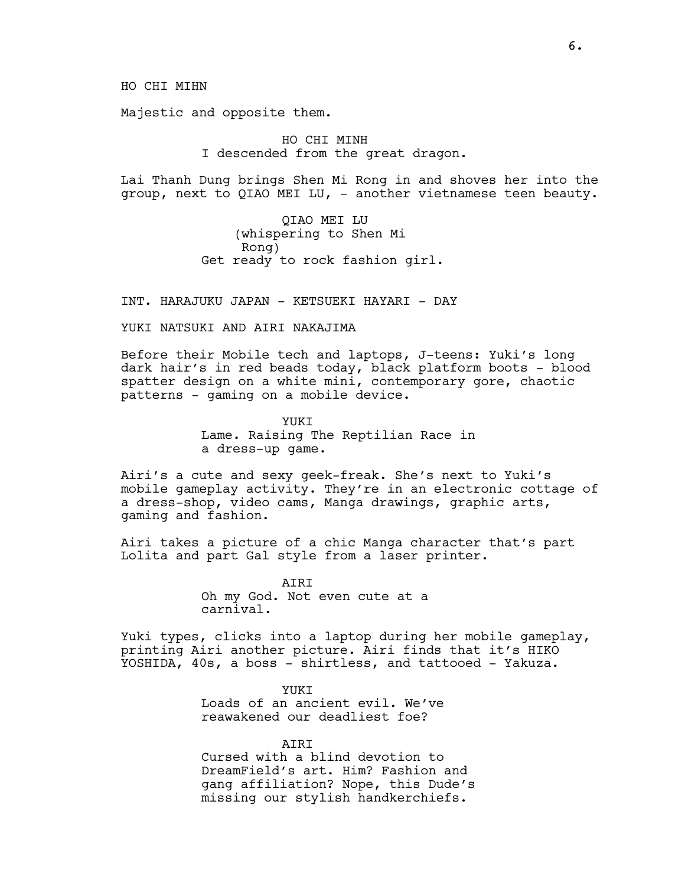HO CHI MIHN

Majestic and opposite them.

HO CHI MINH I descended from the great dragon.

Lai Thanh Dung brings Shen Mi Rong in and shoves her into the group, next to QIAO MEI LU, - another vietnamese teen beauty.

> QIAO MEI LU (whispering to Shen Mi Rong) Get ready to rock fashion girl.

INT. HARAJUKU JAPAN - KETSUEKI HAYARI - DAY

YUKI NATSUKI AND AIRI NAKAJIMA

Before their Mobile tech and laptops, J-teens: Yuki's long dark hair's in red beads today, black platform boots - blood spatter design on a white mini, contemporary gore, chaotic patterns - gaming on a mobile device.

> YUKI Lame. Raising The Reptilian Race in a dress-up game.

Airi's a cute and sexy geek-freak. She's next to Yuki's mobile gameplay activity. They're in an electronic cottage of a dress-shop, video cams, Manga drawings, graphic arts, gaming and fashion.

Airi takes a picture of a chic Manga character that's part Lolita and part Gal style from a laser printer.

> AIRI Oh my God. Not even cute at a carnival.

Yuki types, clicks into a laptop during her mobile gameplay, printing Airi another picture. Airi finds that it's HIKO YOSHIDA, 40s, a boss - shirtless, and tattooed - Yakuza.

> YUKI Loads of an ancient evil. We've reawakened our deadliest foe?

**ATRT** Cursed with a blind devotion to DreamField's art. Him? Fashion and gang affiliation? Nope, this Dude's missing our stylish handkerchiefs.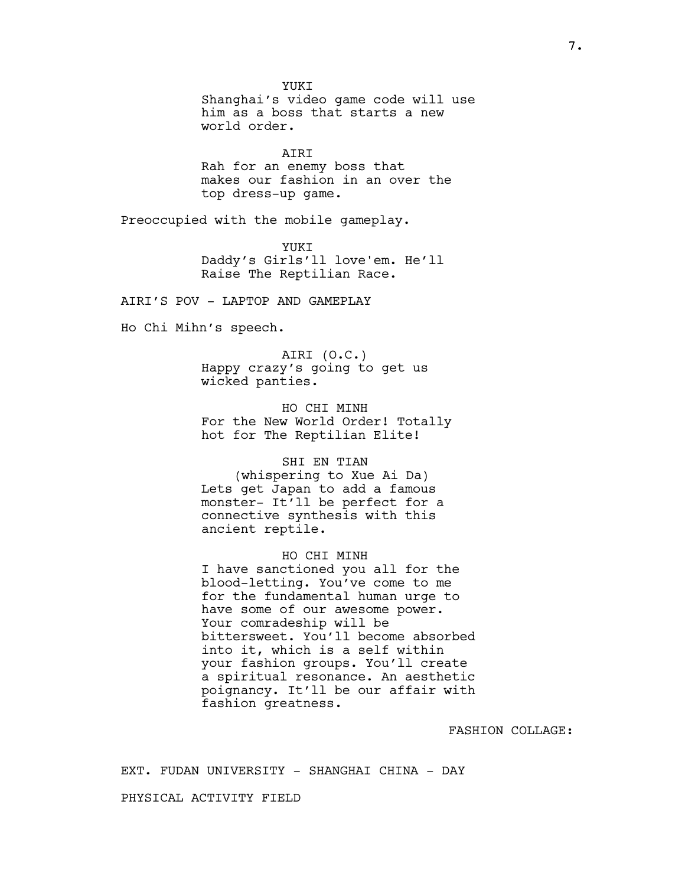YUKI Shanghai's video game code will use him as a boss that starts a new world order.

AIRI Rah for an enemy boss that makes our fashion in an over the top dress-up game.

Preoccupied with the mobile gameplay.

YUKI Daddy's Girls'll love'em. He'll Raise The Reptilian Race.

AIRI'S POV - LAPTOP AND GAMEPLAY

Ho Chi Mihn's speech.

AIRI (O.C.) Happy crazy's going to get us wicked panties.

HO CHI MINH For the New World Order! Totally hot for The Reptilian Elite!

# SHI EN TIAN

(whispering to Xue Ai Da) Lets get Japan to add a famous monster- It'll be perfect for a connective synthesis with this ancient reptile.

HO CHI MINH I have sanctioned you all for the blood-letting. You've come to me for the fundamental human urge to have some of our awesome power. Your comradeship will be bittersweet. You'll become absorbed into it, which is a self within your fashion groups. You'll create a spiritual resonance. An aesthetic poignancy. It'll be our affair with fashion greatness.

FASHION COLLAGE:

EXT. FUDAN UNIVERSITY - SHANGHAI CHINA - DAY

PHYSICAL ACTIVITY FIELD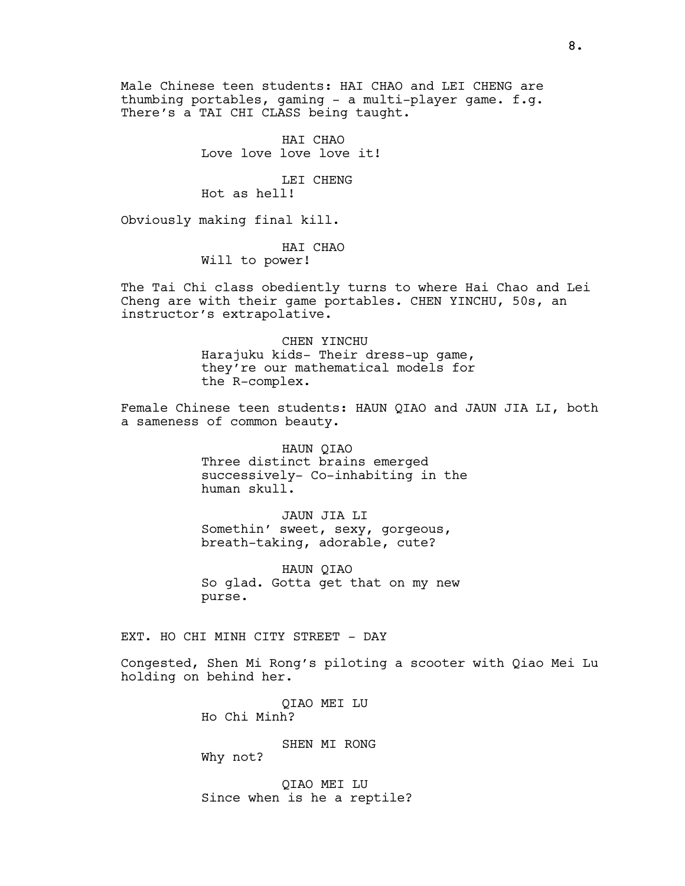Male Chinese teen students: HAI CHAO and LEI CHENG are thumbing portables, gaming - a multi-player game. f.g. There's a TAI CHI CLASS being taught.

> HAI CHAO Love love love love it!

LEI CHENG Hot as hell!

Obviously making final kill.

HAI CHAO Will to power!

The Tai Chi class obediently turns to where Hai Chao and Lei Cheng are with their game portables. CHEN YINCHU, 50s, an instructor's extrapolative.

> CHEN YINCHU Harajuku kids- Their dress-up game, they're our mathematical models for the R-complex.

Female Chinese teen students: HAUN QIAO and JAUN JIA LI, both a sameness of common beauty.

> HAUN QIAO Three distinct brains emerged successively- Co-inhabiting in the human skull.

JAUN JIA LI Somethin' sweet, sexy, gorgeous, breath-taking, adorable, cute?

HAUN QIAO So glad. Gotta get that on my new purse.

EXT. HO CHI MINH CITY STREET - DAY

Congested, Shen Mi Rong's piloting a scooter with Qiao Mei Lu holding on behind her.

> QIAO MEI LU Ho Chi Minh?

> > SHEN MI RONG

Why not?

QIAO MEI LU Since when is he a reptile?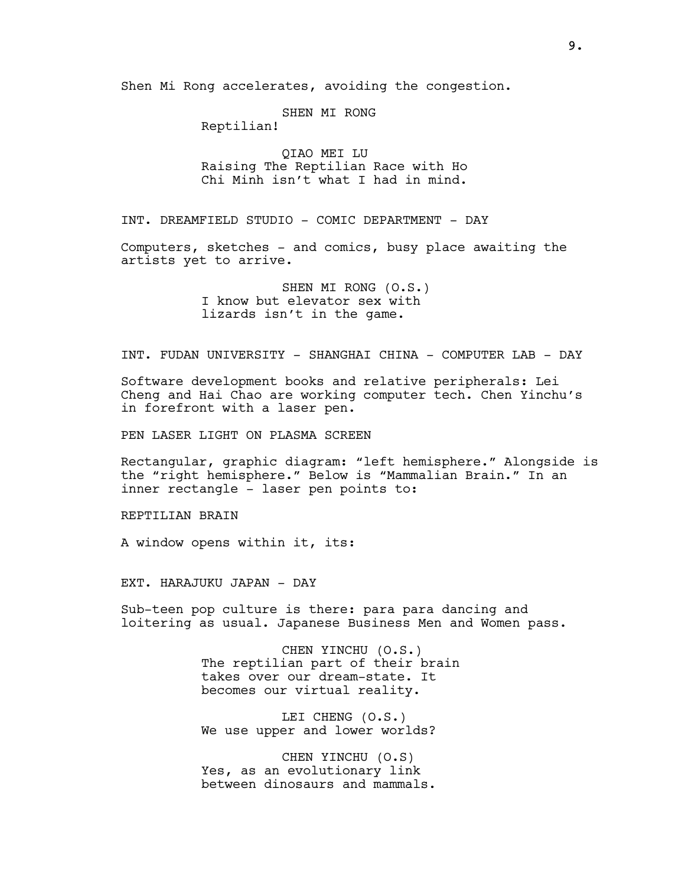Shen Mi Rong accelerates, avoiding the congestion.

SHEN MI RONG

Reptilian!

QIAO MEI LU Raising The Reptilian Race with Ho Chi Minh isn't what I had in mind.

INT. DREAMFIELD STUDIO - COMIC DEPARTMENT - DAY

Computers, sketches - and comics, busy place awaiting the artists yet to arrive.

> SHEN MI RONG (O.S.) I know but elevator sex with lizards isn't in the game.

INT. FUDAN UNIVERSITY - SHANGHAI CHINA - COMPUTER LAB - DAY

Software development books and relative peripherals: Lei Cheng and Hai Chao are working computer tech. Chen Yinchu's in forefront with a laser pen.

PEN LASER LIGHT ON PLASMA SCREEN

Rectangular, graphic diagram: "left hemisphere." Alongside is the "right hemisphere." Below is "Mammalian Brain." In an inner rectangle - laser pen points to:

REPTILIAN BRAIN

A window opens within it, its:

EXT. HARAJUKU JAPAN - DAY

Sub-teen pop culture is there: para para dancing and loitering as usual. Japanese Business Men and Women pass.

> CHEN YINCHU (O.S.) The reptilian part of their brain takes over our dream-state. It becomes our virtual reality.

LEI CHENG (O.S.) We use upper and lower worlds?

CHEN YINCHU (O.S) Yes, as an evolutionary link between dinosaurs and mammals.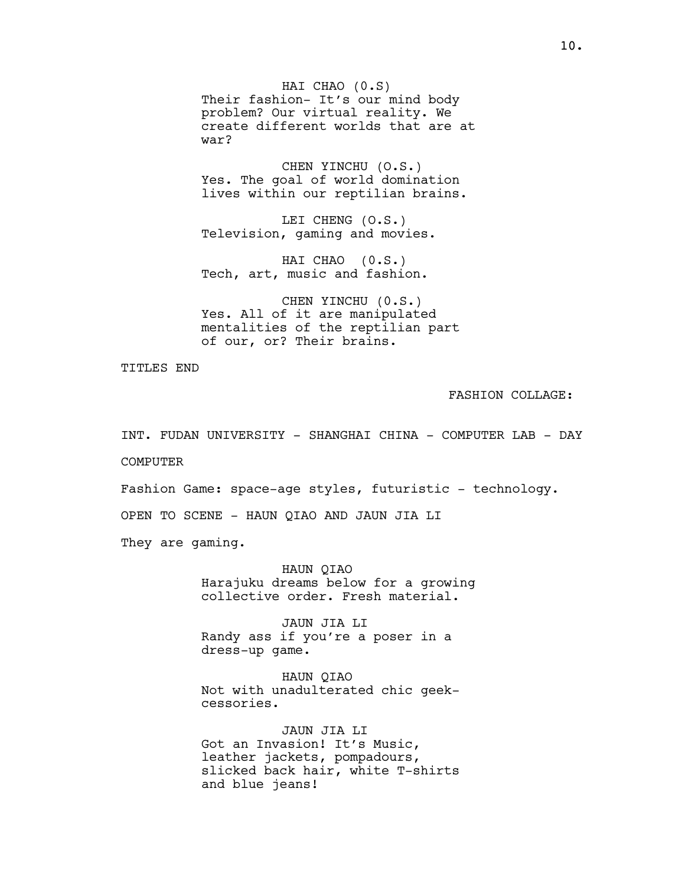HAI CHAO (0.S) Their fashion- It's our mind body problem? Our virtual reality. We create different worlds that are at war?

CHEN YINCHU (O.S.) Yes. The goal of world domination lives within our reptilian brains.

LEI CHENG (O.S.) Television, gaming and movies.

HAI CHAO (0.S.) Tech, art, music and fashion.

CHEN YINCHU (0.S.) Yes. All of it are manipulated mentalities of the reptilian part of our, or? Their brains.

TITLES END

FASHION COLLAGE:

INT. FUDAN UNIVERSITY - SHANGHAI CHINA - COMPUTER LAB - DAY

COMPUTER

Fashion Game: space-age styles, futuristic - technology.

OPEN TO SCENE - HAUN QIAO AND JAUN JIA LI

They are gaming.

HAUN QIAO Harajuku dreams below for a growing collective order. Fresh material.

JAUN JIA LI Randy ass if you're a poser in a dress-up game.

HAUN QIAO Not with unadulterated chic geekcessories.

JAUN JIA LI Got an Invasion! It's Music, leather jackets, pompadours, slicked back hair, white T-shirts and blue jeans!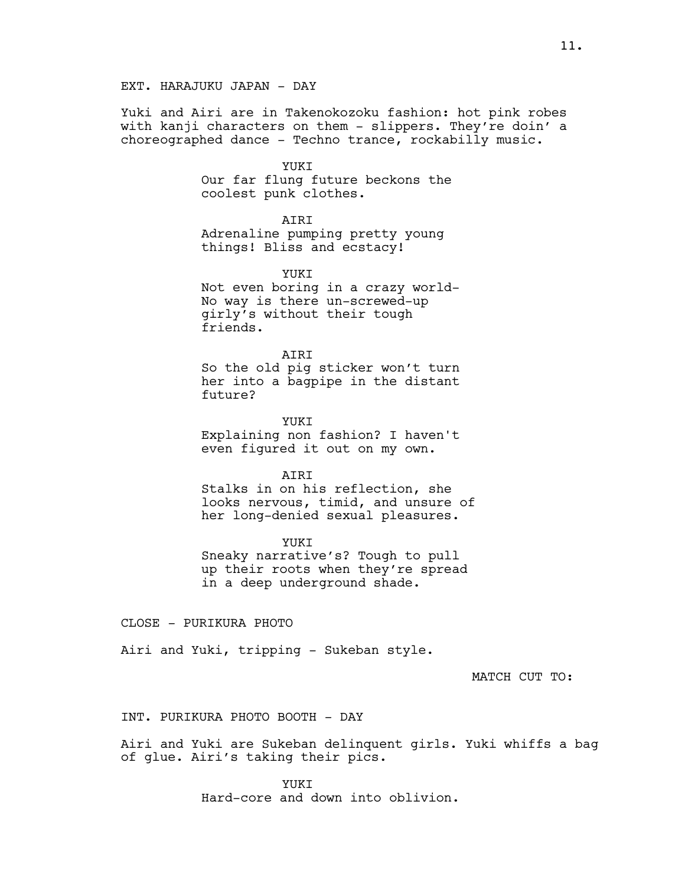# EXT. HARAJUKU JAPAN - DAY

Yuki and Airi are in Takenokozoku fashion: hot pink robes with kanji characters on them - slippers. They're doin' a choreographed dance - Techno trance, rockabilly music.

#### YUKT

Our far flung future beckons the coolest punk clothes.

**ATRT** 

Adrenaline pumping pretty young things! Bliss and ecstacy!

YUKI

Not even boring in a crazy world-No way is there un-screwed-up girly's without their tough friends.

ATRT So the old pig sticker won't turn her into a bagpipe in the distant future?

YUKT Explaining non fashion? I haven't even figured it out on my own.

AIRI Stalks in on his reflection, she looks nervous, timid, and unsure of her long-denied sexual pleasures.

YUKI Sneaky narrative's? Tough to pull up their roots when they're spread in a deep underground shade.

CLOSE - PURIKURA PHOTO

Airi and Yuki, tripping - Sukeban style.

MATCH CUT TO:

INT. PURIKURA PHOTO BOOTH - DAY

Airi and Yuki are Sukeban delinquent girls. Yuki whiffs a bag of glue. Airi's taking their pics.

> YUKT Hard-core and down into oblivion.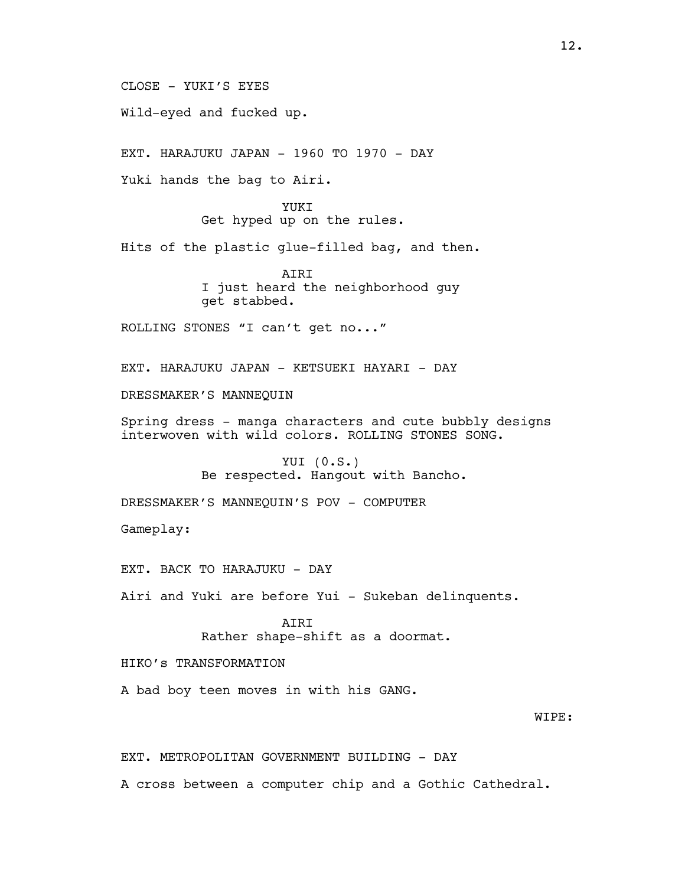CLOSE - YUKI'S EYES

Wild-eyed and fucked up.

EXT. HARAJUKU JAPAN - 1960 TO 1970 - DAY

Yuki hands the bag to Airi.

YUKI Get hyped up on the rules.

Hits of the plastic glue-filled bag, and then.

AIRI I just heard the neighborhood guy get stabbed.

ROLLING STONES "I can't get no..."

EXT. HARAJUKU JAPAN - KETSUEKI HAYARI - DAY

DRESSMAKER'S MANNEQUIN

Spring dress - manga characters and cute bubbly designs interwoven with wild colors. ROLLING STONES SONG.

> YUI (0.S.) Be respected. Hangout with Bancho.

DRESSMAKER'S MANNEQUIN'S POV - COMPUTER

Gameplay:

EXT. BACK TO HARAJUKU - DAY

Airi and Yuki are before Yui - Sukeban delinquents.

AIRI Rather shape-shift as a doormat.

HIKO's TRANSFORMATION

A bad boy teen moves in with his GANG.

# WIPE:

EXT. METROPOLITAN GOVERNMENT BUILDING - DAY

A cross between a computer chip and a Gothic Cathedral.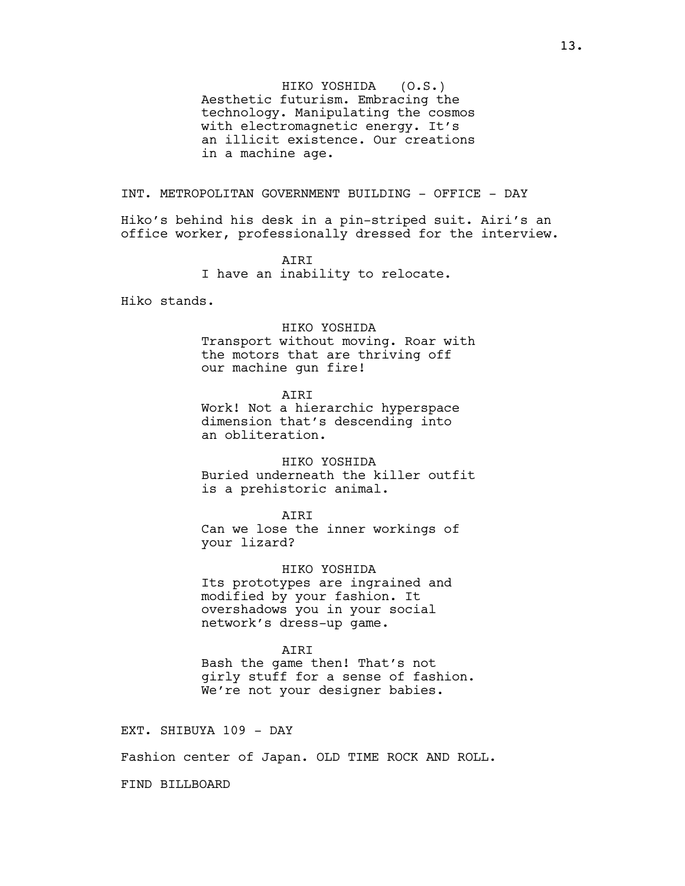HIKO YOSHIDA (O.S.) Aesthetic futurism. Embracing the technology. Manipulating the cosmos with electromagnetic energy. It's an illicit existence. Our creations in a machine age.

INT. METROPOLITAN GOVERNMENT BUILDING - OFFICE - DAY

Hiko's behind his desk in a pin-striped suit. Airi's an office worker, professionally dressed for the interview.

> AIRI I have an inability to relocate.

Hiko stands.

#### HIKO YOSHIDA

Transport without moving. Roar with the motors that are thriving off our machine gun fire!

AIRI

Work! Not a hierarchic hyperspace dimension that's descending into an obliteration.

HIKO YOSHIDA Buried underneath the killer outfit is a prehistoric animal.

AIRI

Can we lose the inner workings of your lizard?

HIKO YOSHIDA Its prototypes are ingrained and modified by your fashion. It overshadows you in your social network's dress-up game.

AIRI

Bash the game then! That's not girly stuff for a sense of fashion. We're not your designer babies.

EXT. SHIBUYA 109 - DAY

Fashion center of Japan. OLD TIME ROCK AND ROLL.

FIND BILLBOARD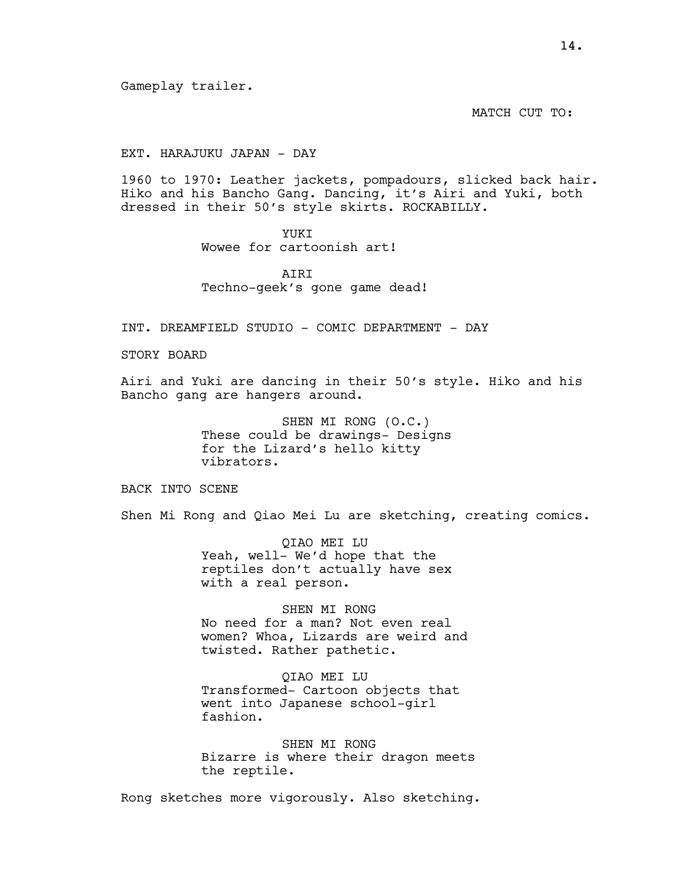Gameplay trailer.

MATCH CUT TO:

# EXT. HARAJUKU JAPAN - DAY

1960 to 1970: Leather jackets, pompadours, slicked back hair. Hiko and his Bancho Gang. Dancing, it's Airi and Yuki, both dressed in their 50's style skirts. ROCKABILLY.

# YUKI

Wowee for cartoonish art!

ATRT Techno-geek's gone game dead!

INT. DREAMFIELD STUDIO - COMIC DEPARTMENT - DAY

STORY BOARD

Airi and Yuki are dancing in their 50's style. Hiko and his Bancho gang are hangers around.

> SHEN MI RONG (O.C.) These could be drawings- Designs for the Lizard's hello kitty vibrators.

BACK INTO SCENE

Shen Mi Rong and Qiao Mei Lu are sketching, creating comics.

QIAO MEI LU Yeah, well- We'd hope that the reptiles don't actually have sex with a real person.

SHEN MI RONG No need for a man? Not even real women? Whoa, Lizards are weird and twisted. Rather pathetic.

QIAO MEI LU Transformed- Cartoon objects that went into Japanese school-girl fashion.

SHEN MI RONG Bizarre is where their dragon meets the reptile.

Rong sketches more vigorously. Also sketching.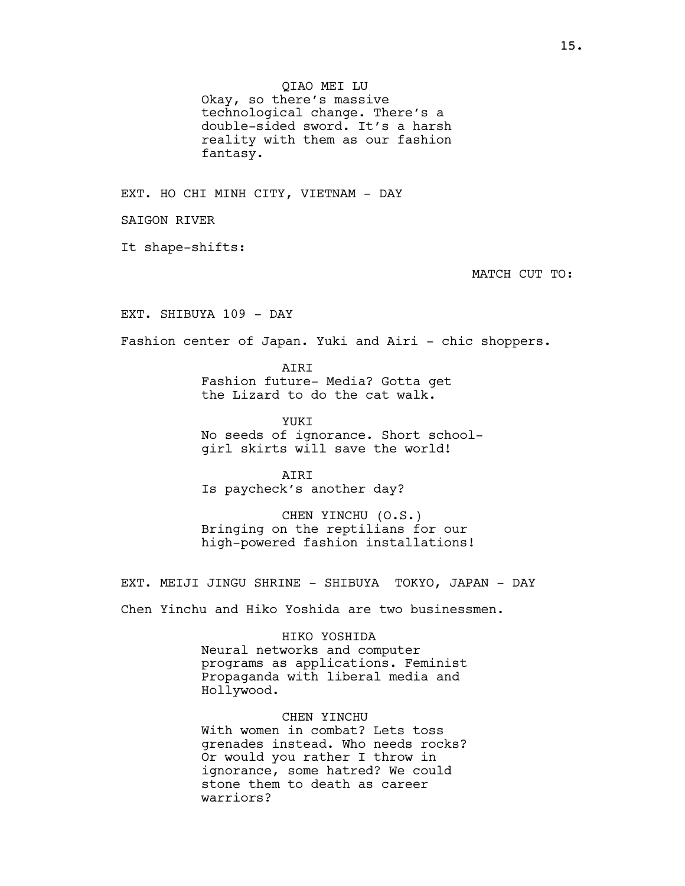QIAO MEI LU Okay, so there's massive technological change. There's a double-sided sword. It's a harsh reality with them as our fashion fantasy.

EXT. HO CHI MINH CITY, VIETNAM - DAY

SAIGON RIVER

It shape-shifts:

MATCH CUT TO:

EXT. SHIBUYA 109 - DAY

Fashion center of Japan. Yuki and Airi - chic shoppers.

AIRI Fashion future- Media? Gotta get the Lizard to do the cat walk.

YUKT No seeds of ignorance. Short schoolgirl skirts will save the world!

AIRI Is paycheck's another day?

CHEN YINCHU (O.S.) Bringing on the reptilians for our high-powered fashion installations!

EXT. MEIJI JINGU SHRINE - SHIBUYA TOKYO, JAPAN - DAY

Chen Yinchu and Hiko Yoshida are two businessmen.

HIKO YOSHIDA

Neural networks and computer programs as applications. Feminist Propaganda with liberal media and Hollywood.

CHEN YINCHU

With women in combat? Lets toss grenades instead. Who needs rocks? Or would you rather I throw in ignorance, some hatred? We could stone them to death as career warriors?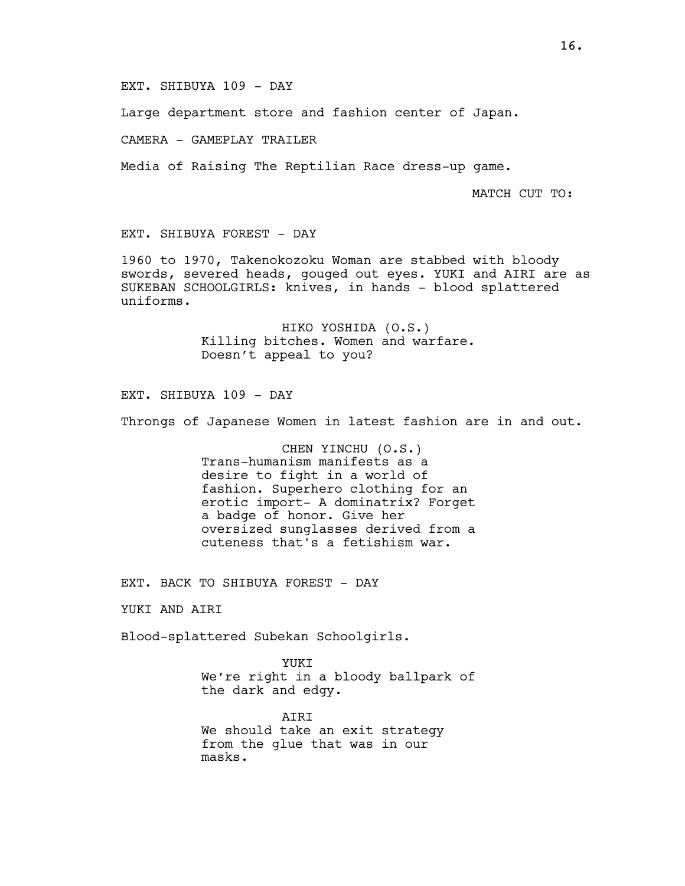## EXT. SHIBUYA 109 - DAY

Large department store and fashion center of Japan.

CAMERA - GAMEPLAY TRAILER

Media of Raising The Reptilian Race dress-up game.

MATCH CUT TO:

# EXT. SHIBUYA FOREST - DAY

1960 to 1970, Takenokozoku Woman are stabbed with bloody swords, severed heads, gouged out eyes. YUKI and AIRI are as SUKEBAN SCHOOLGIRLS: knives, in hands - blood splattered uniforms.

> HIKO YOSHIDA (O.S.) Killing bitches. Women and warfare. Doesn't appeal to you?

EXT. SHIBUYA 109 - DAY

Throngs of Japanese Women in latest fashion are in and out.

CHEN YINCHU (O.S.) Trans-humanism manifests as a desire to fight in a world of fashion. Superhero clothing for an erotic import- A dominatrix? Forget a badge of honor. Give her oversized sunglasses derived from a cuteness that's a fetishism war.

EXT. BACK TO SHIBUYA FOREST - DAY

YUKI AND AIRI

Blood-splattered Subekan Schoolgirls.

YUKI We're right in a bloody ballpark of the dark and edgy.

AIRI We should take an exit strategy from the glue that was in our masks.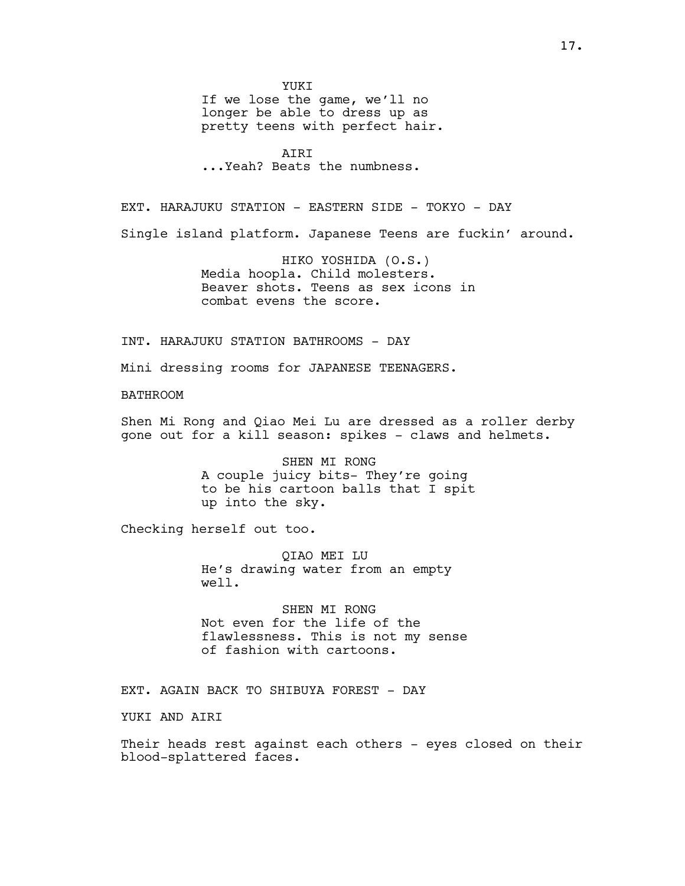YUKI

If we lose the game, we'll no longer be able to dress up as pretty teens with perfect hair.

AIRI ...Yeah? Beats the numbness.

EXT. HARAJUKU STATION - EASTERN SIDE - TOKYO - DAY

Single island platform. Japanese Teens are fuckin' around.

HIKO YOSHIDA (O.S.) Media hoopla. Child molesters. Beaver shots. Teens as sex icons in combat evens the score.

INT. HARAJUKU STATION BATHROOMS - DAY

Mini dressing rooms for JAPANESE TEENAGERS.

BATHROOM

Shen Mi Rong and Qiao Mei Lu are dressed as a roller derby gone out for a kill season: spikes - claws and helmets.

> SHEN MI RONG A couple juicy bits- They're going to be his cartoon balls that I spit up into the sky.

Checking herself out too.

QIAO MEI LU He's drawing water from an empty well.

SHEN MI RONG Not even for the life of the flawlessness. This is not my sense of fashion with cartoons.

EXT. AGAIN BACK TO SHIBUYA FOREST - DAY

YUKI AND AIRI

Their heads rest against each others - eyes closed on their blood-splattered faces.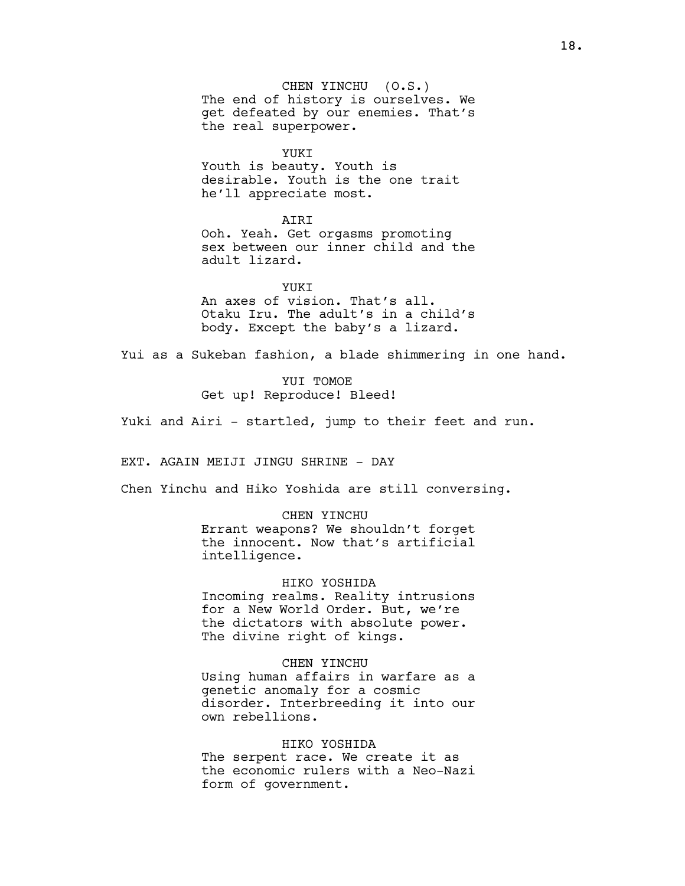CHEN YINCHU (O.S.) The end of history is ourselves. We get defeated by our enemies. That's the real superpower.

YUKI

Youth is beauty. Youth is desirable. Youth is the one trait he'll appreciate most.

AIRI

Ooh. Yeah. Get orgasms promoting sex between our inner child and the adult lizard.

YUKT An axes of vision. That's all. Otaku Iru. The adult's in a child's body. Except the baby's a lizard.

Yui as a Sukeban fashion, a blade shimmering in one hand.

YUI TOMOE Get up! Reproduce! Bleed!

Yuki and Airi - startled, jump to their feet and run.

EXT. AGAIN MEIJI JINGU SHRINE - DAY

Chen Yinchu and Hiko Yoshida are still conversing.

CHEN YINCHU Errant weapons? We shouldn't forget the innocent. Now that's artificial intelligence.

HIKO YOSHIDA Incoming realms. Reality intrusions for a New World Order. But, we're the dictators with absolute power. The divine right of kings.

CHEN YINCHU

Using human affairs in warfare as a genetic anomaly for a cosmic disorder. Interbreeding it into our own rebellions.

# HIKO YOSHIDA

The serpent race. We create it as the economic rulers with a Neo-Nazi form of government.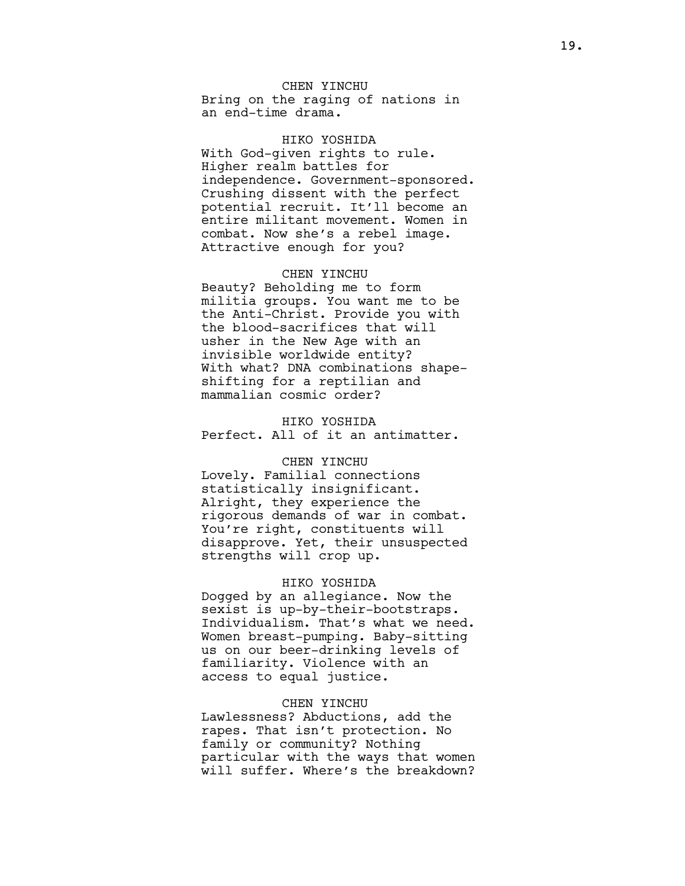# CHEN YINCHU

Bring on the raging of nations in an end-time drama.

HIKO YOSHIDA With God-given rights to rule. Higher realm battles for independence. Government-sponsored. Crushing dissent with the perfect potential recruit. It'll become an entire militant movement. Women in combat. Now she's a rebel image. Attractive enough for you?

#### CHEN YINCHU

Beauty? Beholding me to form militia groups. You want me to be the Anti-Christ. Provide you with the blood-sacrifices that will usher in the New Age with an invisible worldwide entity? With what? DNA combinations shapeshifting for a reptilian and mammalian cosmic order?

HIKO YOSHIDA Perfect. All of it an antimatter.

### CHEN YINCHU

Lovely. Familial connections statistically insignificant. Alright, they experience the rigorous demands of war in combat. You're right, constituents will disapprove. Yet, their unsuspected strengths will crop up.

#### HIKO YOSHIDA

Dogged by an allegiance. Now the sexist is up-by-their-bootstraps. Individualism. That's what we need. Women breast-pumping. Baby-sitting us on our beer-drinking levels of familiarity. Violence with an access to equal justice.

# CHEN YINCHU

Lawlessness? Abductions, add the rapes. That isn't protection. No family or community? Nothing particular with the ways that women will suffer. Where's the breakdown?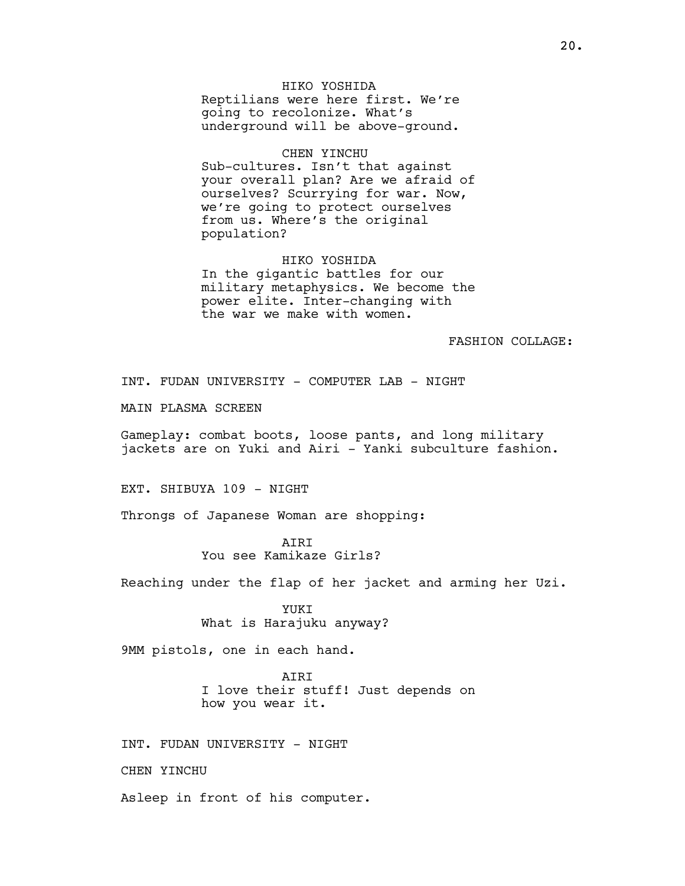HIKO YOSHIDA Reptilians were here first. We're going to recolonize. What's underground will be above-ground.

#### CHEN YINCHU

Sub-cultures. Isn't that against your overall plan? Are we afraid of ourselves? Scurrying for war. Now, we're going to protect ourselves from us. Where's the original population?

#### HIKO YOSHIDA

In the gigantic battles for our military metaphysics. We become the power elite. Inter-changing with the war we make with women.

# FASHION COLLAGE:

INT. FUDAN UNIVERSITY - COMPUTER LAB - NIGHT

MAIN PLASMA SCREEN

Gameplay: combat boots, loose pants, and long military jackets are on Yuki and Airi - Yanki subculture fashion.

EXT. SHIBUYA 109 - NIGHT

Throngs of Japanese Woman are shopping:

**ATRT** You see Kamikaze Girls?

Reaching under the flap of her jacket and arming her Uzi.

YUKI What is Harajuku anyway?

9MM pistols, one in each hand.

AIRI I love their stuff! Just depends on how you wear it.

INT. FUDAN UNIVERSITY - NIGHT

CHEN YINCHU

Asleep in front of his computer.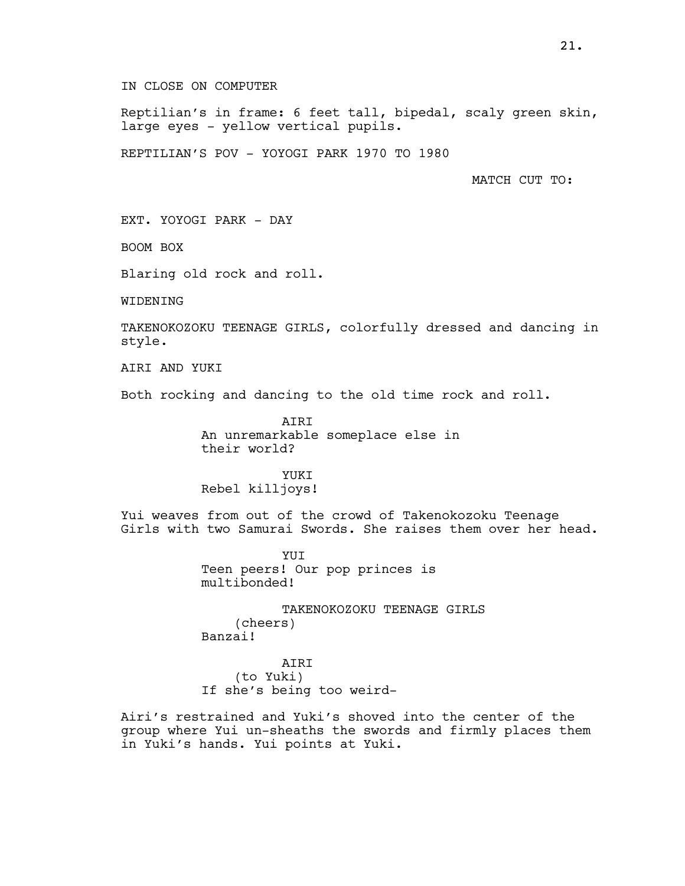IN CLOSE ON COMPUTER

Reptilian's in frame: 6 feet tall, bipedal, scaly green skin, large eyes - yellow vertical pupils.

REPTILIAN'S POV - YOYOGI PARK 1970 TO 1980

MATCH CUT TO:

EXT. YOYOGI PARK - DAY

BOOM BOX

Blaring old rock and roll.

WIDENING

TAKENOKOZOKU TEENAGE GIRLS, colorfully dressed and dancing in style.

AIRI AND YUKI

Both rocking and dancing to the old time rock and roll.

AIRI An unremarkable someplace else in their world?

YUKI Rebel killjoys!

Yui weaves from out of the crowd of Takenokozoku Teenage Girls with two Samurai Swords. She raises them over her head.

> YUI Teen peers! Our pop princes is multibonded!

TAKENOKOZOKU TEENAGE GIRLS (cheers) Banzai!

AIRI (to Yuki) If she's being too weird-

Airi's restrained and Yuki's shoved into the center of the group where Yui un-sheaths the swords and firmly places them in Yuki's hands. Yui points at Yuki.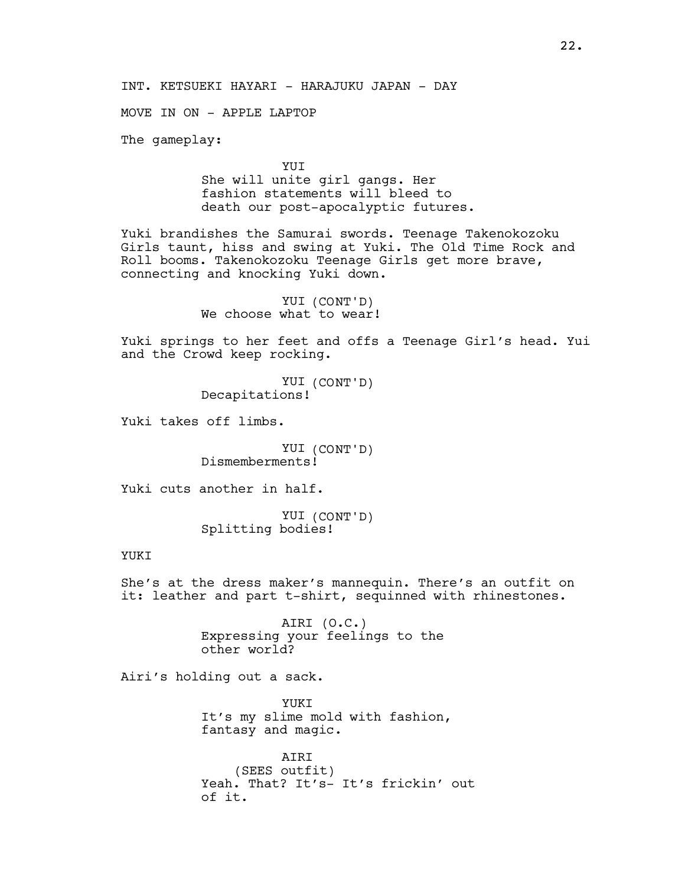INT. KETSUEKI HAYARI - HARAJUKU JAPAN - DAY

MOVE IN ON - APPLE LAPTOP

The gameplay:

YUI She will unite girl gangs. Her fashion statements will bleed to death our post-apocalyptic futures.

Yuki brandishes the Samurai swords. Teenage Takenokozoku Girls taunt, hiss and swing at Yuki. The Old Time Rock and Roll booms. Takenokozoku Teenage Girls get more brave, connecting and knocking Yuki down.

> YUI (CONT'D) We choose what to wear!

Yuki springs to her feet and offs a Teenage Girl's head. Yui and the Crowd keep rocking.

> YUI (CONT'D) Decapitations!

Yuki takes off limbs.

YUI (CONT'D) Dismemberments!

Yuki cuts another in half.

YUI (CONT'D) Splitting bodies!

#### YUKI

She's at the dress maker's mannequin. There's an outfit on it: leather and part t-shirt, sequinned with rhinestones.

> AIRI (O.C.) Expressing your feelings to the other world?

Airi's holding out a sack.

YUKI It's my slime mold with fashion, fantasy and magic.

AIRI (SEES outfit) Yeah. That? It's- It's frickin' out of it.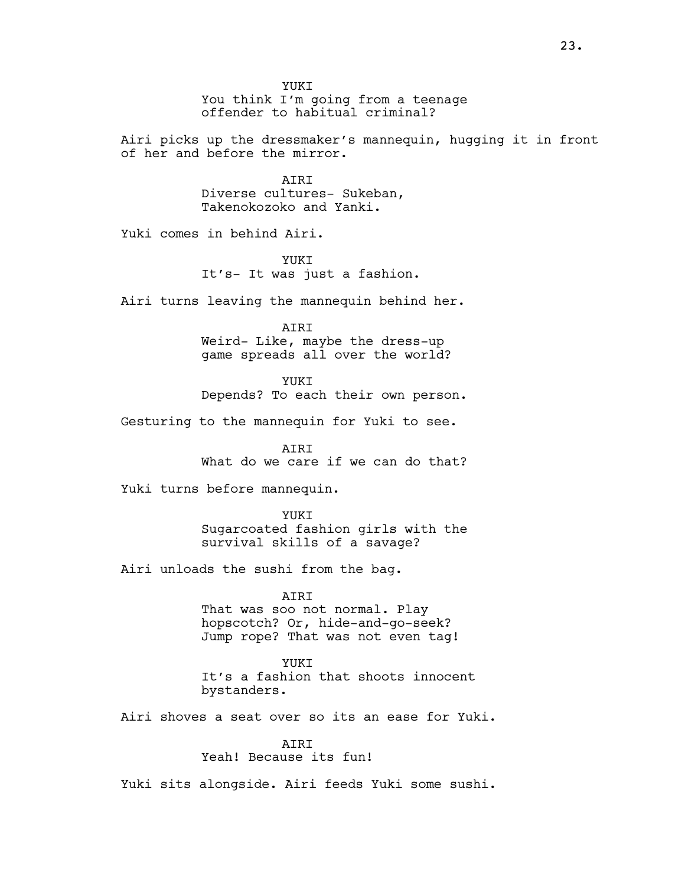YUKI You think I'm going from a teenage offender to habitual criminal?

Airi picks up the dressmaker's mannequin, hugging it in front of her and before the mirror.

> **ATRT** Diverse cultures- Sukeban, Takenokozoko and Yanki.

Yuki comes in behind Airi.

YUKI It's- It was just a fashion.

Airi turns leaving the mannequin behind her.

AIRI Weird- Like, maybe the dress-up game spreads all over the world?

YUKI Depends? To each their own person.

Gesturing to the mannequin for Yuki to see.

**ATRT** What do we care if we can do that?

Yuki turns before mannequin.

YUKI Sugarcoated fashion girls with the survival skills of a savage?

Airi unloads the sushi from the bag.

AIRI

That was soo not normal. Play hopscotch? Or, hide-and-go-seek? Jump rope? That was not even tag!

YUKT It's a fashion that shoots innocent bystanders.

Airi shoves a seat over so its an ease for Yuki.

AIRI

Yeah! Because its fun!

Yuki sits alongside. Airi feeds Yuki some sushi.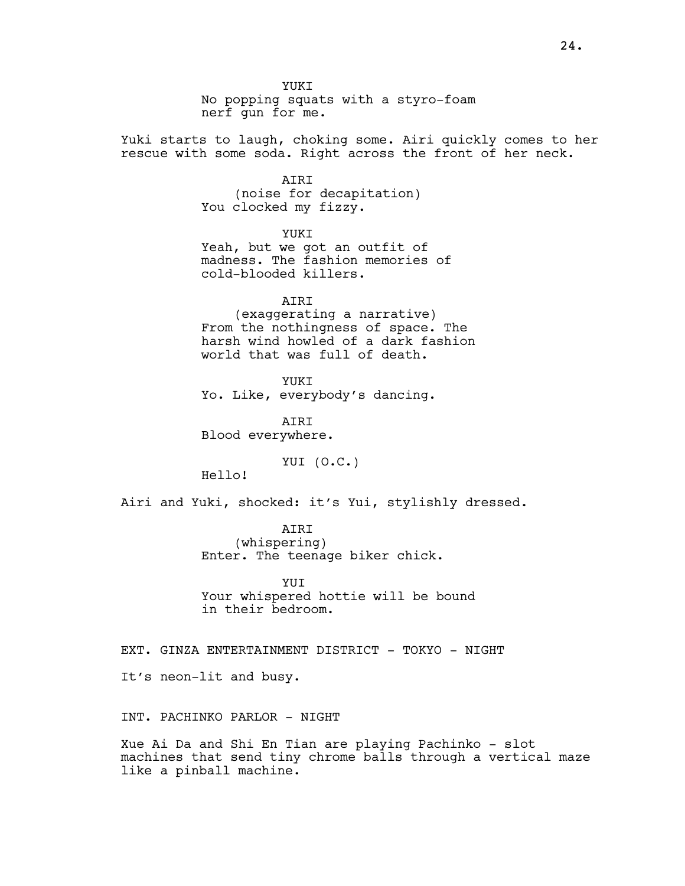YUKI No popping squats with a styro-foam nerf gun for me.

Yuki starts to laugh, choking some. Airi quickly comes to her rescue with some soda. Right across the front of her neck.

> AIRI (noise for decapitation) You clocked my fizzy.

YUKI Yeah, but we got an outfit of madness. The fashion memories of cold-blooded killers.

AIRI (exaggerating a narrative) From the nothingness of space. The harsh wind howled of a dark fashion world that was full of death.

YUKI Yo. Like, everybody's dancing.

AIRI Blood everywhere.

YUI (O.C.)

Hello!

Airi and Yuki, shocked: it's Yui, stylishly dressed.

AIRI (whispering) Enter. The teenage biker chick.

YUT Your whispered hottie will be bound in their bedroom.

EXT. GINZA ENTERTAINMENT DISTRICT - TOKYO - NIGHT

It's neon-lit and busy.

INT. PACHINKO PARLOR - NIGHT

Xue Ai Da and Shi En Tian are playing Pachinko - slot machines that send tiny chrome balls through a vertical maze like a pinball machine.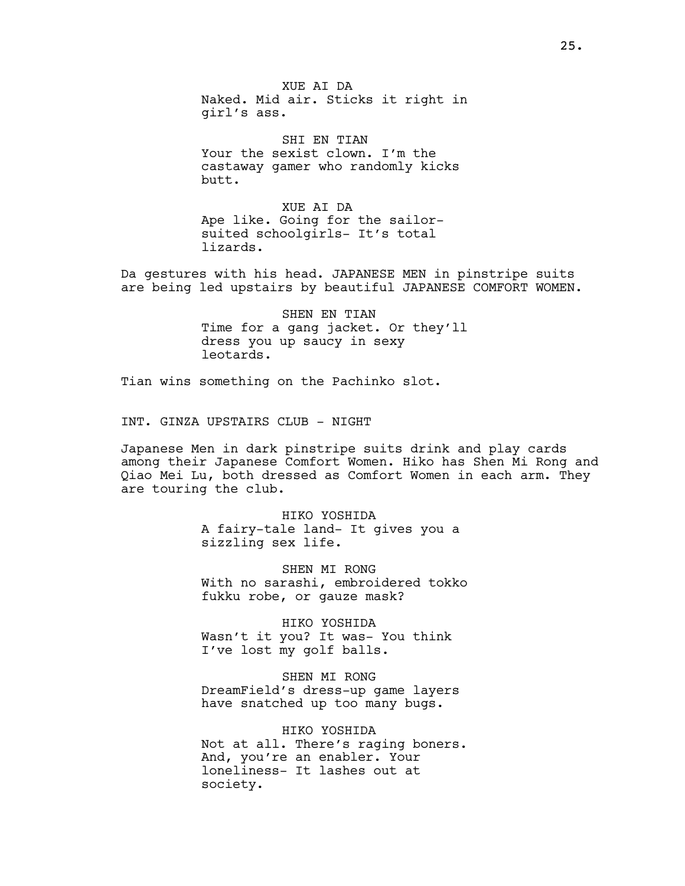XUE AI DA Naked. Mid air. Sticks it right in girl's ass.

SHI EN TIAN Your the sexist clown. I'm the castaway gamer who randomly kicks butt.

XUE AI DA Ape like. Going for the sailorsuited schoolgirls- It's total lizards.

Da gestures with his head. JAPANESE MEN in pinstripe suits are being led upstairs by beautiful JAPANESE COMFORT WOMEN.

> SHEN EN TIAN Time for a gang jacket. Or they'll dress you up saucy in sexy leotards.

Tian wins something on the Pachinko slot.

INT. GINZA UPSTAIRS CLUB - NIGHT

Japanese Men in dark pinstripe suits drink and play cards among their Japanese Comfort Women. Hiko has Shen Mi Rong and Qiao Mei Lu, both dressed as Comfort Women in each arm. They are touring the club.

> HIKO YOSHIDA A fairy-tale land- It gives you a sizzling sex life.

SHEN MI RONG With no sarashi, embroidered tokko fukku robe, or gauze mask?

HIKO YOSHIDA Wasn't it you? It was- You think I've lost my golf balls.

SHEN MI RONG DreamField's dress-up game layers have snatched up too many bugs.

HIKO YOSHIDA Not at all. There's raging boners. And, you're an enabler. Your loneliness- It lashes out at society.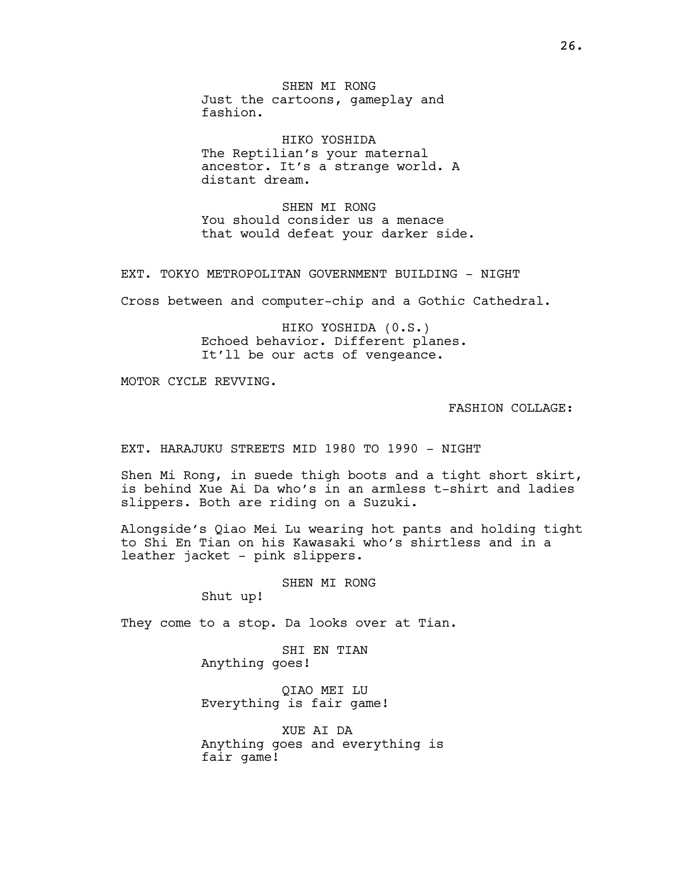SHEN MI RONG Just the cartoons, gameplay and fashion.

HIKO YOSHIDA The Reptilian's your maternal ancestor. It's a strange world. A distant dream.

SHEN MI RONG You should consider us a menace that would defeat your darker side.

EXT. TOKYO METROPOLITAN GOVERNMENT BUILDING - NIGHT

Cross between and computer-chip and a Gothic Cathedral.

HIKO YOSHIDA (0.S.) Echoed behavior. Different planes. It'll be our acts of vengeance.

MOTOR CYCLE REVVING.

FASHION COLLAGE:

EXT. HARAJUKU STREETS MID 1980 TO 1990 - NIGHT

Shen Mi Rong, in suede thigh boots and a tight short skirt, is behind Xue Ai Da who's in an armless t-shirt and ladies slippers. Both are riding on a Suzuki.

Alongside's Qiao Mei Lu wearing hot pants and holding tight to Shi En Tian on his Kawasaki who's shirtless and in a leather jacket - pink slippers.

SHEN MI RONG

Shut up!

They come to a stop. Da looks over at Tian.

SHI EN TIAN Anything goes!

QIAO MEI LU Everything is fair game!

XUE AI DA Anything goes and everything is fair game!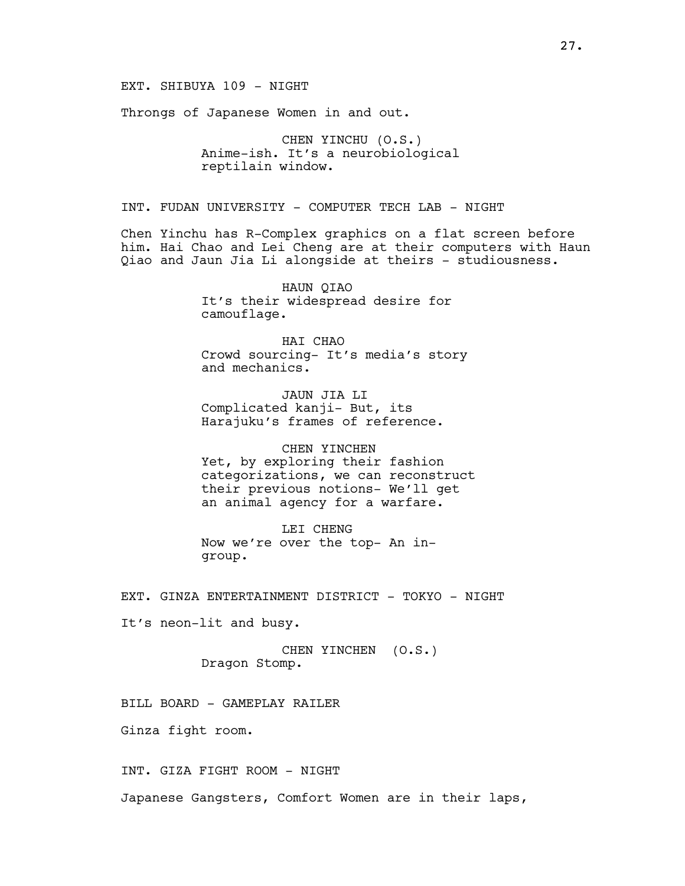EXT. SHIBUYA 109 - NIGHT

Throngs of Japanese Women in and out.

CHEN YINCHU (O.S.) Anime-ish. It's a neurobiological reptilain window.

INT. FUDAN UNIVERSITY - COMPUTER TECH LAB - NIGHT

Chen Yinchu has R-Complex graphics on a flat screen before him. Hai Chao and Lei Cheng are at their computers with Haun Qiao and Jaun Jia Li alongside at theirs - studiousness.

> HAUN QIAO It's their widespread desire for camouflage.

HAI CHAO Crowd sourcing- It's media's story and mechanics.

JAUN JIA LI Complicated kanji- But, its Harajuku's frames of reference.

CHEN YINCHEN Yet, by exploring their fashion categorizations, we can reconstruct their previous notions- We'll get an animal agency for a warfare.

LEI CHENG Now we're over the top- An ingroup.

EXT. GINZA ENTERTAINMENT DISTRICT - TOKYO - NIGHT

It's neon-lit and busy.

CHEN YINCHEN (O.S.) Dragon Stomp.

BILL BOARD - GAMEPLAY RAILER

Ginza fight room.

INT. GIZA FIGHT ROOM - NIGHT

Japanese Gangsters, Comfort Women are in their laps,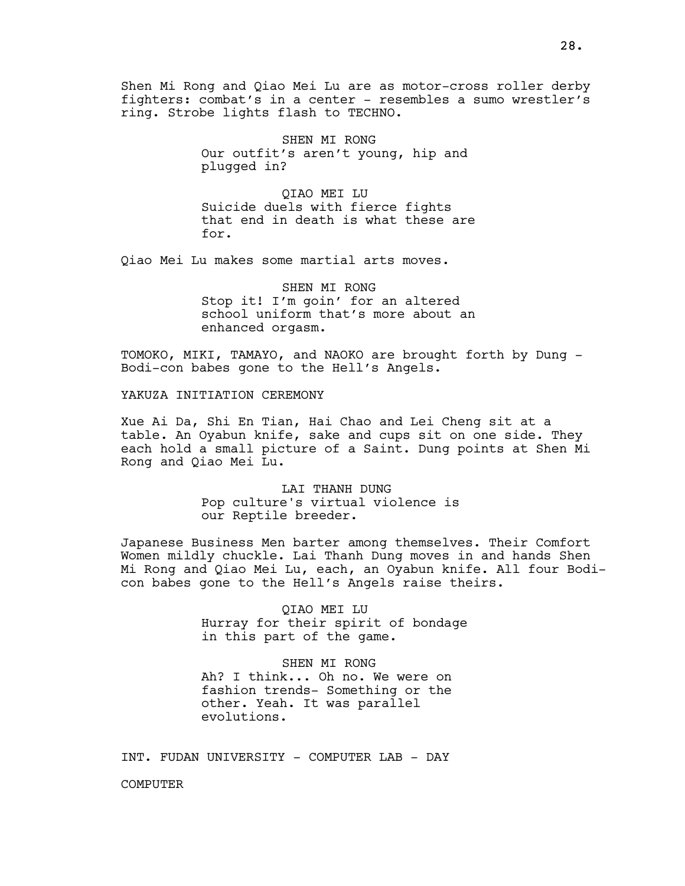Shen Mi Rong and Qiao Mei Lu are as motor-cross roller derby fighters: combat's in a center - resembles a sumo wrestler's ring. Strobe lights flash to TECHNO.

> SHEN MI RONG Our outfit's aren't young, hip and plugged in?

QIAO MEI LU Suicide duels with fierce fights that end in death is what these are for.

Qiao Mei Lu makes some martial arts moves.

SHEN MI RONG Stop it! I'm goin' for an altered school uniform that's more about an enhanced orgasm.

TOMOKO, MIKI, TAMAYO, and NAOKO are brought forth by Dung - Bodi-con babes gone to the Hell's Angels.

YAKUZA INITIATION CEREMONY

Xue Ai Da, Shi En Tian, Hai Chao and Lei Cheng sit at a table. An Oyabun knife, sake and cups sit on one side. They each hold a small picture of a Saint. Dung points at Shen Mi Rong and Qiao Mei Lu.

> LAI THANH DUNG Pop culture's virtual violence is our Reptile breeder.

Japanese Business Men barter among themselves. Their Comfort Women mildly chuckle. Lai Thanh Dung moves in and hands Shen Mi Rong and Qiao Mei Lu, each, an Oyabun knife. All four Bodicon babes gone to the Hell's Angels raise theirs.

> QIAO MEI LU Hurray for their spirit of bondage in this part of the game.

SHEN MI RONG Ah? I think... Oh no. We were on fashion trends- Something or the other. Yeah. It was parallel evolutions.

INT. FUDAN UNIVERSITY - COMPUTER LAB - DAY

**COMPUTER**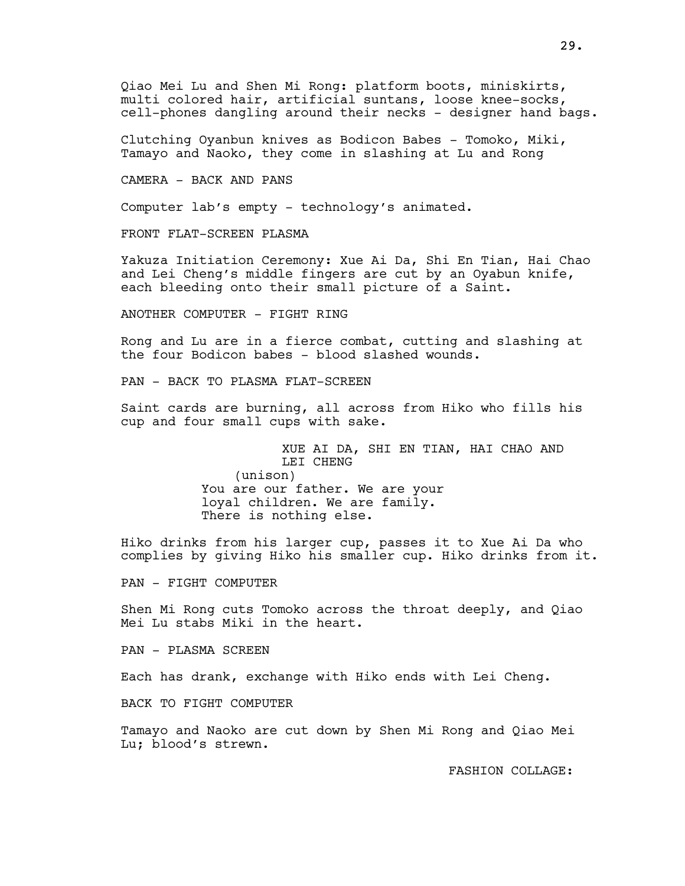Clutching Oyanbun knives as Bodicon Babes - Tomoko, Miki, Tamayo and Naoko, they come in slashing at Lu and Rong

CAMERA - BACK AND PANS

Computer lab's empty - technology's animated.

FRONT FLAT-SCREEN PLASMA

Yakuza Initiation Ceremony: Xue Ai Da, Shi En Tian, Hai Chao and Lei Cheng's middle fingers are cut by an Oyabun knife, each bleeding onto their small picture of a Saint.

ANOTHER COMPUTER - FIGHT RING

Rong and Lu are in a fierce combat, cutting and slashing at the four Bodicon babes - blood slashed wounds.

PAN - BACK TO PLASMA FLAT-SCREEN

Saint cards are burning, all across from Hiko who fills his cup and four small cups with sake.

> XUE AI DA, SHI EN TIAN, HAI CHAO AND LEI CHENG (unison) You are our father. We are your loyal children. We are family. There is nothing else.

Hiko drinks from his larger cup, passes it to Xue Ai Da who complies by giving Hiko his smaller cup. Hiko drinks from it.

PAN - FIGHT COMPUTER

Shen Mi Rong cuts Tomoko across the throat deeply, and Qiao Mei Lu stabs Miki in the heart.

PAN - PLASMA SCREEN

Each has drank, exchange with Hiko ends with Lei Cheng.

BACK TO FIGHT COMPUTER

Tamayo and Naoko are cut down by Shen Mi Rong and Qiao Mei Lu; blood's strewn.

FASHION COLLAGE: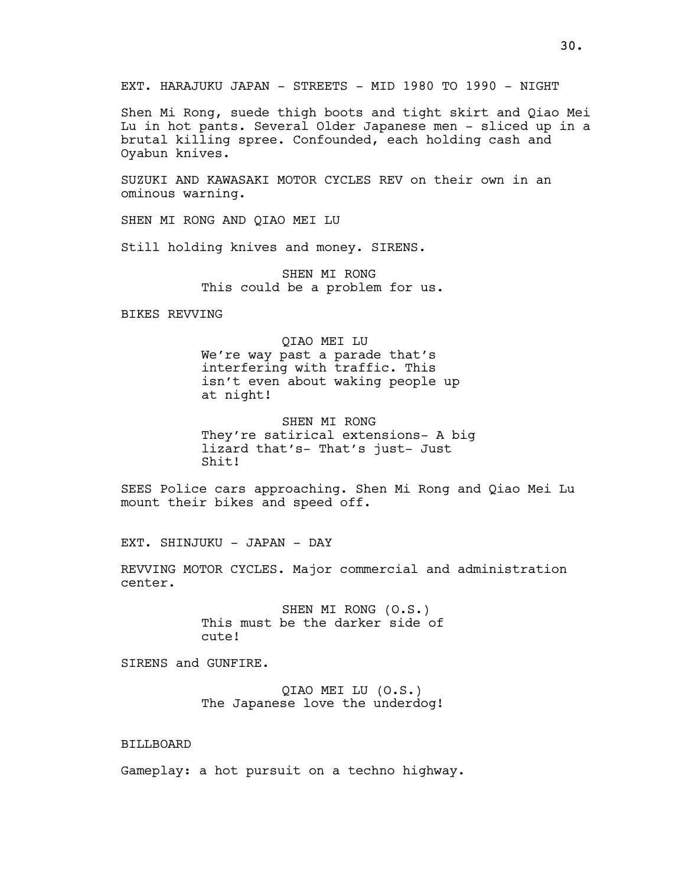EXT. HARAJUKU JAPAN - STREETS - MID 1980 TO 1990 - NIGHT

Shen Mi Rong, suede thigh boots and tight skirt and Qiao Mei Lu in hot pants. Several Older Japanese men - sliced up in a brutal killing spree. Confounded, each holding cash and Oyabun knives.

SUZUKI AND KAWASAKI MOTOR CYCLES REV on their own in an ominous warning.

SHEN MI RONG AND QIAO MEI LU

Still holding knives and money. SIRENS.

SHEN MI RONG This could be a problem for us.

BIKES REVVING

QIAO MEI LU We're way past a parade that's interfering with traffic. This isn't even about waking people up at night!

SHEN MI RONG They're satirical extensions- A big lizard that's- That's just- Just Shit!

SEES Police cars approaching. Shen Mi Rong and Qiao Mei Lu mount their bikes and speed off.

EXT. SHINJUKU - JAPAN - DAY

REVVING MOTOR CYCLES. Major commercial and administration center.

> SHEN MI RONG (O.S.) This must be the darker side of cute!

SIRENS and GUNFIRE.

QIAO MEI LU (O.S.) The Japanese love the underdog!

# BILLBOARD

Gameplay: a hot pursuit on a techno highway.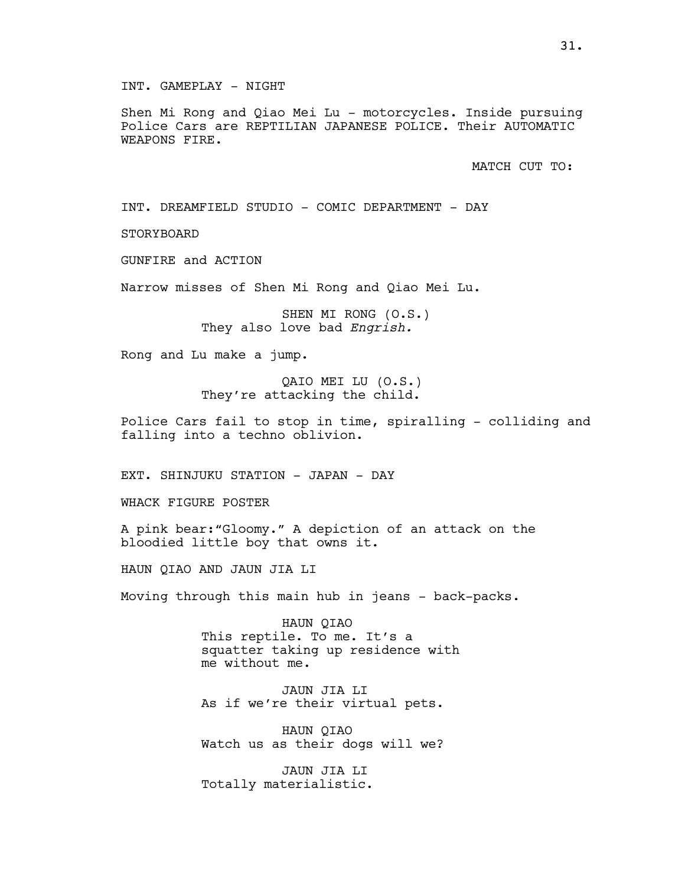INT. GAMEPLAY - NIGHT

Shen Mi Rong and Qiao Mei Lu - motorcycles. Inside pursuing Police Cars are REPTILIAN JAPANESE POLICE. Their AUTOMATIC WEAPONS FIRE.

MATCH CUT TO:

INT. DREAMFIELD STUDIO - COMIC DEPARTMENT - DAY

STORYBOARD

GUNFIRE and ACTION

Narrow misses of Shen Mi Rong and Qiao Mei Lu.

SHEN MI RONG (O.S.) They also love bad Engrish.

Rong and Lu make a jump.

QAIO MEI LU (O.S.) They're attacking the child.

Police Cars fail to stop in time, spiralling - colliding and falling into a techno oblivion.

EXT. SHINJUKU STATION - JAPAN - DAY

WHACK FIGURE POSTER

A pink bear:"Gloomy." A depiction of an attack on the bloodied little boy that owns it.

HAUN QIAO AND JAUN JIA LI

Moving through this main hub in jeans - back-packs.

HAUN QIAO This reptile. To me. It's a squatter taking up residence with me without me.

JAUN JIA LI As if we're their virtual pets.

HAUN QIAO Watch us as their dogs will we?

JAUN JIA LI Totally materialistic.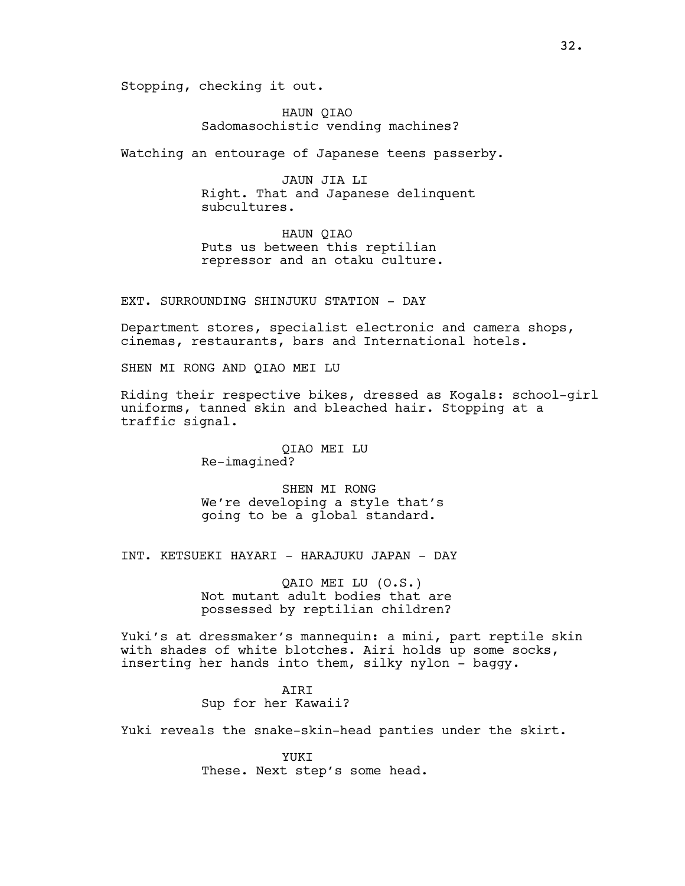Stopping, checking it out.

HAUN QIAO Sadomasochistic vending machines?

Watching an entourage of Japanese teens passerby.

JAUN JIA LI Right. That and Japanese delinquent subcultures.

HAUN QIAO Puts us between this reptilian repressor and an otaku culture.

EXT. SURROUNDING SHINJUKU STATION - DAY

Department stores, specialist electronic and camera shops, cinemas, restaurants, bars and International hotels.

SHEN MI RONG AND QIAO MEI LU

Riding their respective bikes, dressed as Kogals: school-girl uniforms, tanned skin and bleached hair. Stopping at a traffic signal.

> QIAO MEI LU Re-imagined?

SHEN MI RONG We're developing a style that's going to be a global standard.

INT. KETSUEKI HAYARI - HARAJUKU JAPAN - DAY

QAIO MEI LU (O.S.) Not mutant adult bodies that are possessed by reptilian children?

Yuki's at dressmaker's mannequin: a mini, part reptile skin with shades of white blotches. Airi holds up some socks, inserting her hands into them, silky nylon - baggy.

> AIRI Sup for her Kawaii?

Yuki reveals the snake-skin-head panties under the skirt.

YUKT These. Next step's some head.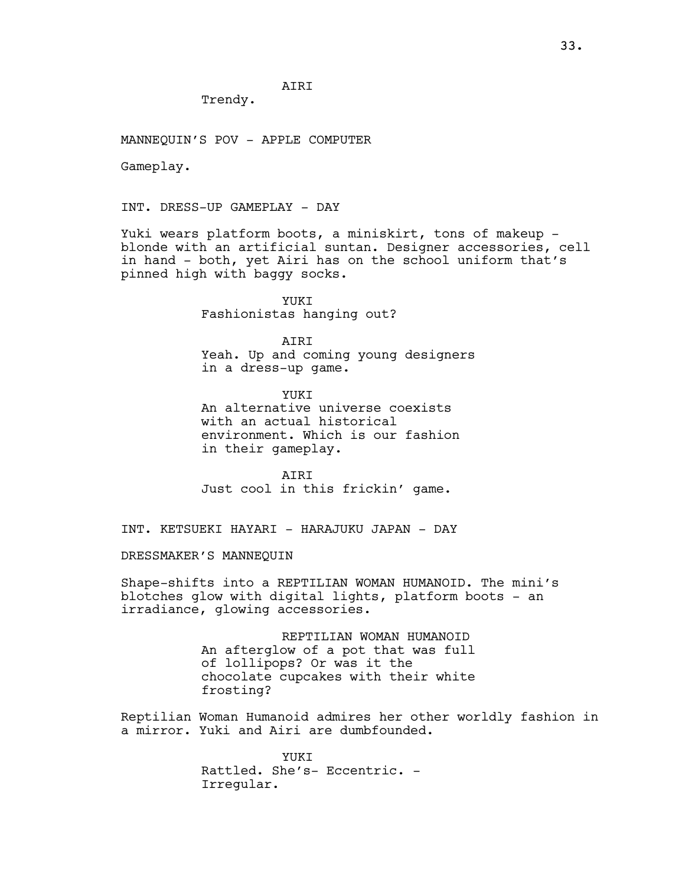AIRI

Trendy.

MANNEQUIN'S POV - APPLE COMPUTER

Gameplay.

INT. DRESS-UP GAMEPLAY - DAY

Yuki wears platform boots, a miniskirt, tons of makeup blonde with an artificial suntan. Designer accessories, cell in hand - both, yet Airi has on the school uniform that's pinned high with baggy socks.

> YUKI Fashionistas hanging out?

**ATRT** Yeah. Up and coming young designers in a dress-up game.

**YUKT** An alternative universe coexists with an actual historical environment. Which is our fashion in their gameplay.

AIRI Just cool in this frickin' game.

INT. KETSUEKI HAYARI - HARAJUKU JAPAN - DAY

DRESSMAKER'S MANNEQUIN

Shape-shifts into a REPTILIAN WOMAN HUMANOID. The mini's blotches glow with digital lights, platform boots - an irradiance, glowing accessories.

> REPTILIAN WOMAN HUMANOID An afterglow of a pot that was full of lollipops? Or was it the chocolate cupcakes with their white frosting?

Reptilian Woman Humanoid admires her other worldly fashion in a mirror. Yuki and Airi are dumbfounded.

> **YUKT** Rattled. She's- Eccentric. - Irregular.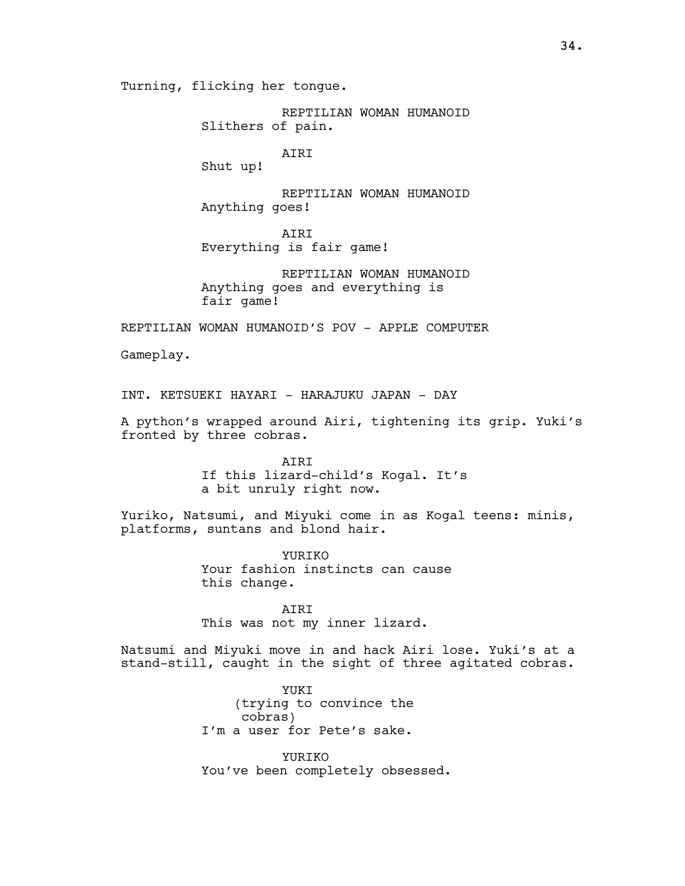Turning, flicking her tongue.

REPTILIAN WOMAN HUMANOID Slithers of pain.

AIRI

Shut up!

REPTILIAN WOMAN HUMANOID Anything goes!

AIRI Everything is fair game!

REPTILIAN WOMAN HUMANOID Anything goes and everything is fair game!

REPTILIAN WOMAN HUMANOID'S POV - APPLE COMPUTER

Gameplay.

INT. KETSUEKI HAYARI - HARAJUKU JAPAN - DAY

A python's wrapped around Airi, tightening its grip. Yuki's fronted by three cobras.

> AIRI If this lizard-child's Kogal. It's a bit unruly right now.

Yuriko, Natsumi, and Miyuki come in as Kogal teens: minis, platforms, suntans and blond hair.

> YURIKO Your fashion instincts can cause this change.

AIRI This was not my inner lizard.

Natsumi and Miyuki move in and hack Airi lose. Yuki's at a stand-still, caught in the sight of three agitated cobras.

> YUKI (trying to convince the cobras) I'm a user for Pete's sake.

YURIKO You've been completely obsessed.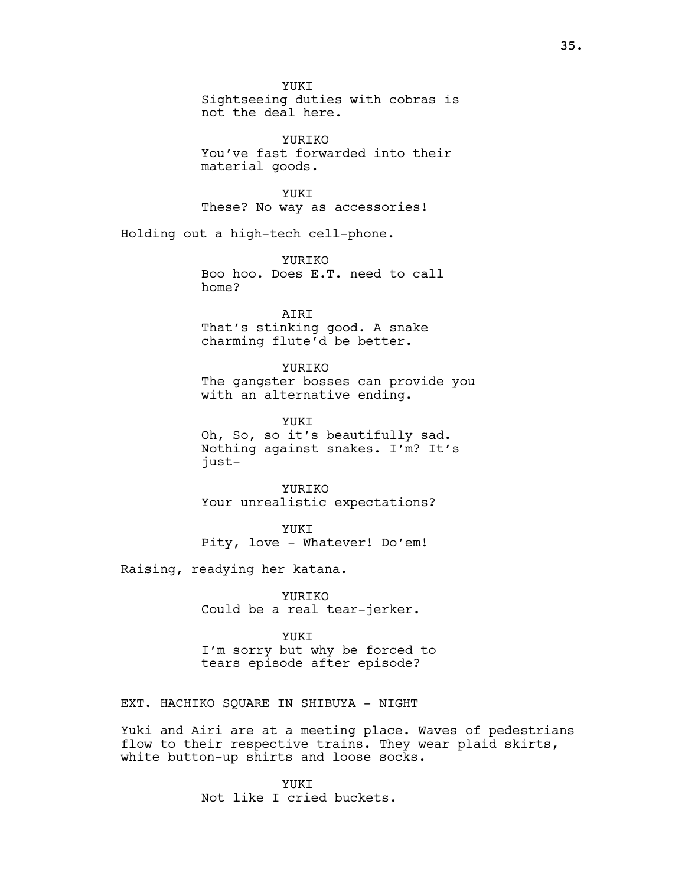YUKI Sightseeing duties with cobras is not the deal here.

**YURTKO** You've fast forwarded into their material goods.

YUKT These? No way as accessories!

Holding out a high-tech cell-phone.

YURIKO Boo hoo. Does E.T. need to call home?

AIRI That's stinking good. A snake charming flute'd be better.

# YURIKO

The gangster bosses can provide you with an alternative ending.

YUKI Oh, So, so it's beautifully sad. Nothing against snakes. I'm? It's just-

YURIKO Your unrealistic expectations?

YUKI Pity, love - Whatever! Do'em!

Raising, readying her katana.

YURIKO Could be a real tear-jerker.

YUKT I'm sorry but why be forced to tears episode after episode?

EXT. HACHIKO SQUARE IN SHIBUYA - NIGHT

Yuki and Airi are at a meeting place. Waves of pedestrians flow to their respective trains. They wear plaid skirts, white button-up shirts and loose socks.

> YUKT Not like I cried buckets.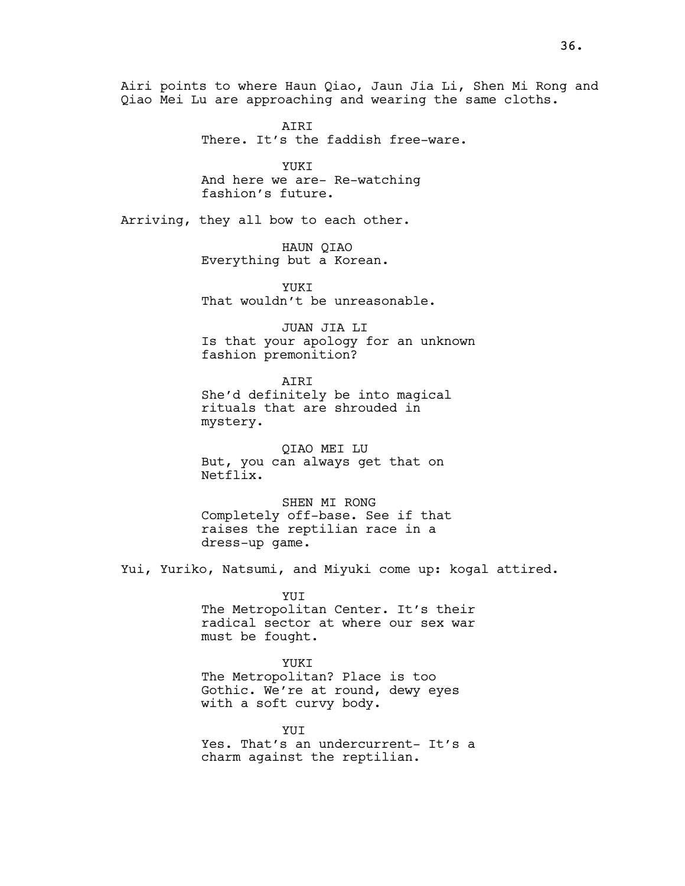Airi points to where Haun Qiao, Jaun Jia Li, Shen Mi Rong and Qiao Mei Lu are approaching and wearing the same cloths.

> AIRI There. It's the faddish free-ware.

YUKI And here we are- Re-watching fashion's future.

Arriving, they all bow to each other.

HAUN QIAO Everything but a Korean.

YUKT That wouldn't be unreasonable.

JUAN JIA LI Is that your apology for an unknown fashion premonition?

AIRI She'd definitely be into magical rituals that are shrouded in mystery.

QIAO MEI LU But, you can always get that on Netflix.

SHEN MI RONG Completely off-base. See if that raises the reptilian race in a dress-up game.

Yui, Yuriko, Natsumi, and Miyuki come up: kogal attired.

YUI The Metropolitan Center. It's their radical sector at where our sex war must be fought.

YUKI The Metropolitan? Place is too Gothic. We're at round, dewy eyes

with a soft curvy body.

YUIT Yes. That's an undercurrent- It's a charm against the reptilian.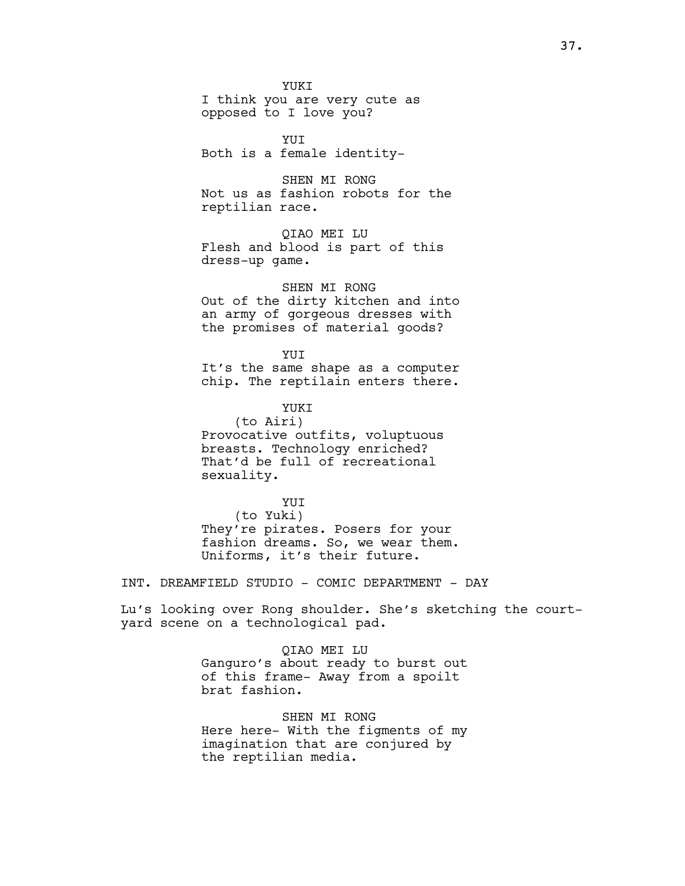YUKI I think you are very cute as opposed to I love you?

YUI Both is a female identity-

SHEN MI RONG Not us as fashion robots for the reptilian race.

QIAO MEI LU Flesh and blood is part of this dress-up game.

SHEN MI RONG Out of the dirty kitchen and into an army of gorgeous dresses with the promises of material goods?

YUI

It's the same shape as a computer chip. The reptilain enters there.

YUKI

(to Airi) Provocative outfits, voluptuous breasts. Technology enriched? That'd be full of recreational sexuality.

YUI (to Yuki) They're pirates. Posers for your fashion dreams. So, we wear them. Uniforms, it's their future.

INT. DREAMFIELD STUDIO - COMIC DEPARTMENT - DAY

Lu's looking over Rong shoulder. She's sketching the courtyard scene on a technological pad.

> QIAO MEI LU Ganguro's about ready to burst out of this frame- Away from a spoilt brat fashion.

> SHEN MI RONG Here here- With the figments of my imagination that are conjured by the reptilian media.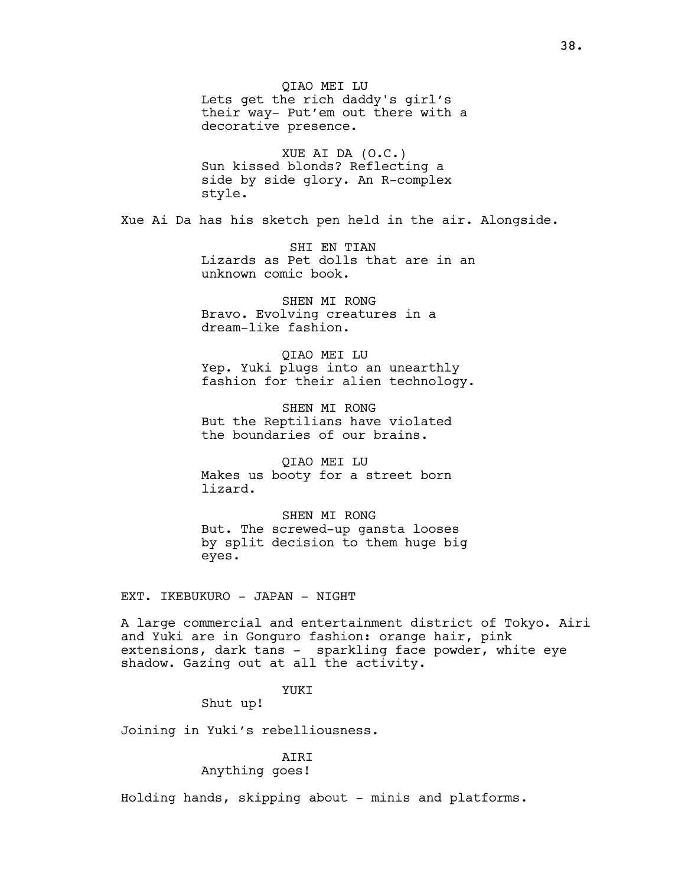QIAO MEI LU Lets get the rich daddy's girl's their way- Put'em out there with a decorative presence.

XUE AI DA (O.C.) Sun kissed blonds? Reflecting a side by side glory. An R-complex style.

Xue Ai Da has his sketch pen held in the air. Alongside.

 SHI EN TIAN Lizards as Pet dolls that are in an unknown comic book.

SHEN MI RONG Bravo. Evolving creatures in a dream-like fashion.

QIAO MEI LU Yep. Yuki plugs into an unearthly fashion for their alien technology.

SHEN MI RONG But the Reptilians have violated the boundaries of our brains.

QIAO MEI LU Makes us booty for a street born lizard.

SHEN MI RONG But. The screwed-up gansta looses by split decision to them huge big eyes.

EXT. IKEBUKURO - JAPAN - NIGHT

A large commercial and entertainment district of Tokyo. Airi and Yuki are in Gonguro fashion: orange hair, pink extensions, dark tans - sparkling face powder, white eye shadow. Gazing out at all the activity.

# YUKI

Shut up!

Joining in Yuki's rebelliousness.

## AIRI Anything goes!

Holding hands, skipping about - minis and platforms.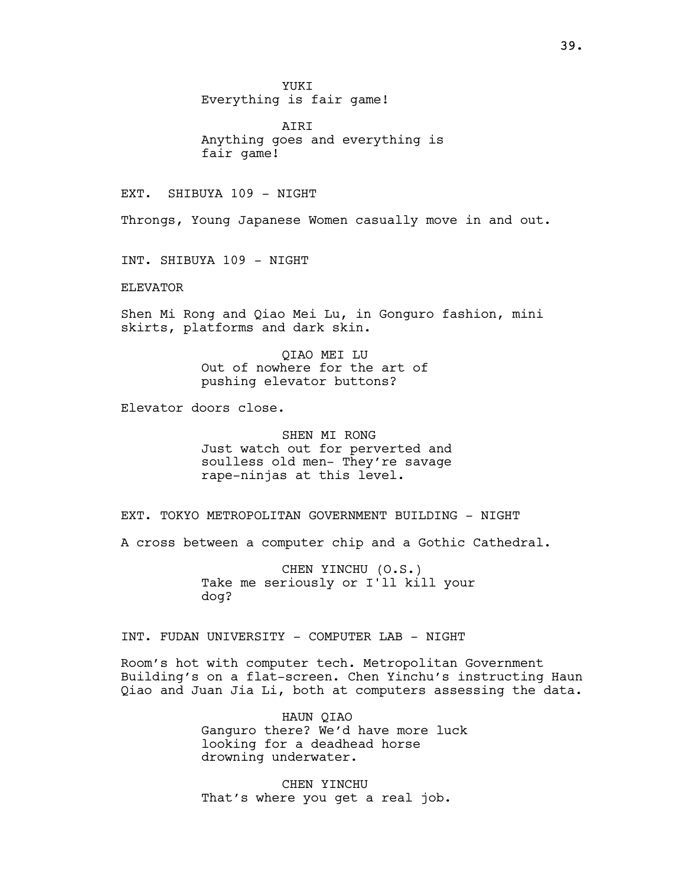YUKI Everything is fair game!

**ATRT** Anything goes and everything is fair game!

EXT. SHIBUYA 109 - NIGHT

Throngs, Young Japanese Women casually move in and out.

INT. SHIBUYA 109 - NIGHT

ELEVATOR

Shen Mi Rong and Qiao Mei Lu, in Gonguro fashion, mini skirts, platforms and dark skin.

> QIAO MEI LU Out of nowhere for the art of pushing elevator buttons?

Elevator doors close.

SHEN MI RONG Just watch out for perverted and soulless old men- They're savage rape-ninjas at this level.

EXT. TOKYO METROPOLITAN GOVERNMENT BUILDING - NIGHT

A cross between a computer chip and a Gothic Cathedral.

CHEN YINCHU (O.S.) Take me seriously or I'll kill your dog?

INT. FUDAN UNIVERSITY - COMPUTER LAB - NIGHT

Room's hot with computer tech. Metropolitan Government Building's on a flat-screen. Chen Yinchu's instructing Haun Qiao and Juan Jia Li, both at computers assessing the data.

> HAUN QIAO Ganguro there? We'd have more luck looking for a deadhead horse drowning underwater.

CHEN YINCHU That's where you get a real job.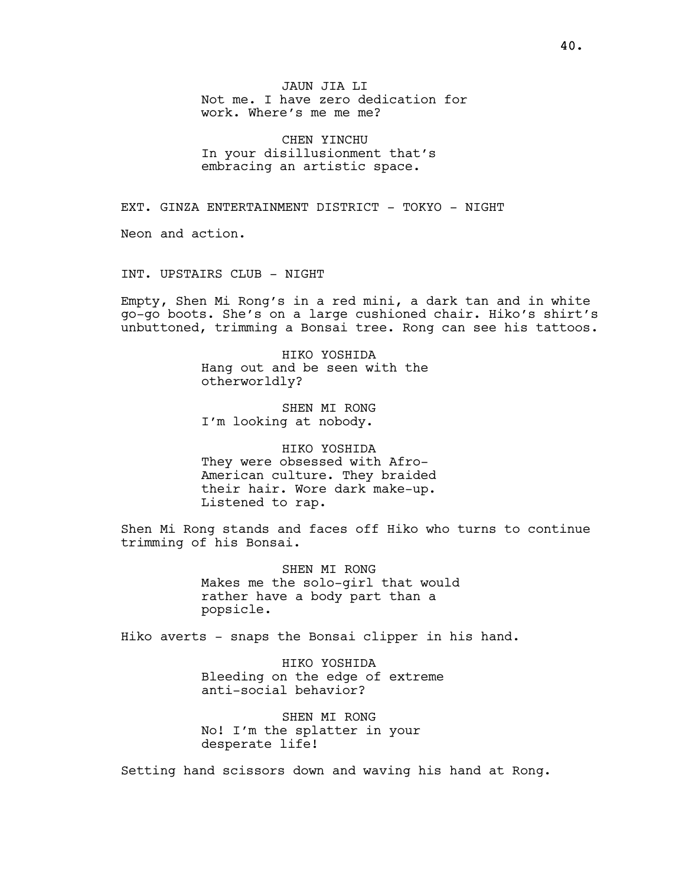JAUN JIA LI Not me. I have zero dedication for work. Where's me me me?

CHEN YINCHU In your disillusionment that's embracing an artistic space.

EXT. GINZA ENTERTAINMENT DISTRICT - TOKYO - NIGHT

Neon and action.

INT. UPSTAIRS CLUB - NIGHT

Empty, Shen Mi Rong's in a red mini, a dark tan and in white go-go boots. She's on a large cushioned chair. Hiko's shirt's unbuttoned, trimming a Bonsai tree. Rong can see his tattoos.

> HIKO YOSHIDA Hang out and be seen with the otherworldly?

SHEN MI RONG I'm looking at nobody.

HIKO YOSHIDA They were obsessed with Afro-American culture. They braided their hair. Wore dark make-up. Listened to rap.

Shen Mi Rong stands and faces off Hiko who turns to continue trimming of his Bonsai.

> SHEN MI RONG Makes me the solo-girl that would rather have a body part than a popsicle.

Hiko averts - snaps the Bonsai clipper in his hand.

HIKO YOSHIDA Bleeding on the edge of extreme anti-social behavior?

SHEN MI RONG No! I'm the splatter in your desperate life!

Setting hand scissors down and waving his hand at Rong.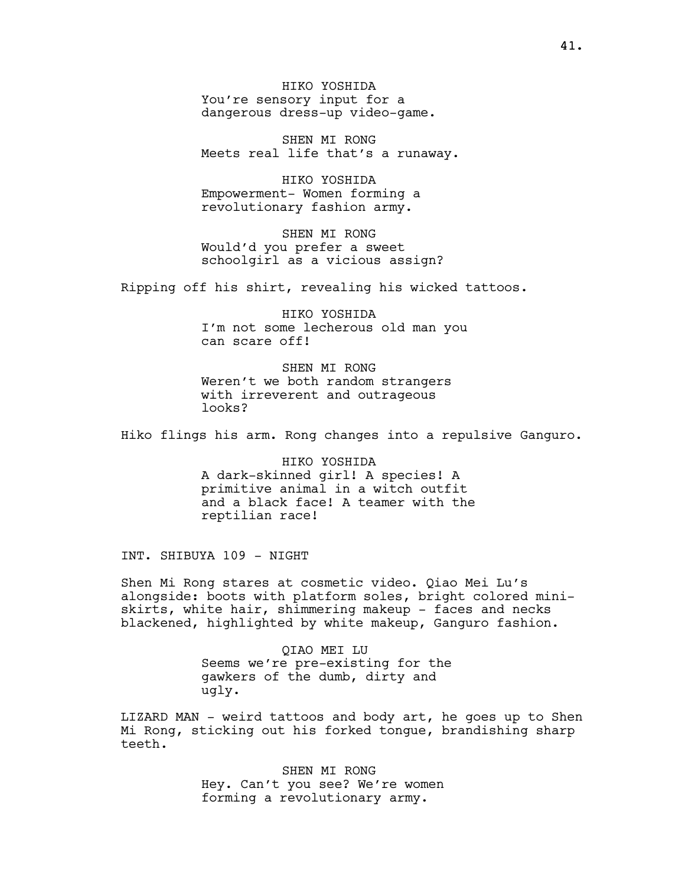HIKO YOSHIDA You're sensory input for a dangerous dress-up video-game.

SHEN MI RONG Meets real life that's a runaway.

HIKO YOSHIDA Empowerment- Women forming a revolutionary fashion army.

SHEN MI RONG Would'd you prefer a sweet schoolgirl as a vicious assign?

Ripping off his shirt, revealing his wicked tattoos.

HIKO YOSHIDA I'm not some lecherous old man you can scare off!

SHEN MI RONG Weren't we both random strangers with irreverent and outrageous looks?

Hiko flings his arm. Rong changes into a repulsive Ganguro.

HIKO YOSHIDA A dark-skinned girl! A species! A primitive animal in a witch outfit and a black face! A teamer with the reptilian race!

INT. SHIBUYA 109 - NIGHT

Shen Mi Rong stares at cosmetic video. Qiao Mei Lu's alongside: boots with platform soles, bright colored miniskirts, white hair, shimmering makeup - faces and necks blackened, highlighted by white makeup, Ganguro fashion.

> QIAO MEI LU Seems we're pre-existing for the gawkers of the dumb, dirty and ugly.

LIZARD MAN - weird tattoos and body art, he goes up to Shen Mi Rong, sticking out his forked tongue, brandishing sharp teeth.

> SHEN MI RONG Hey. Can't you see? We're women forming a revolutionary army.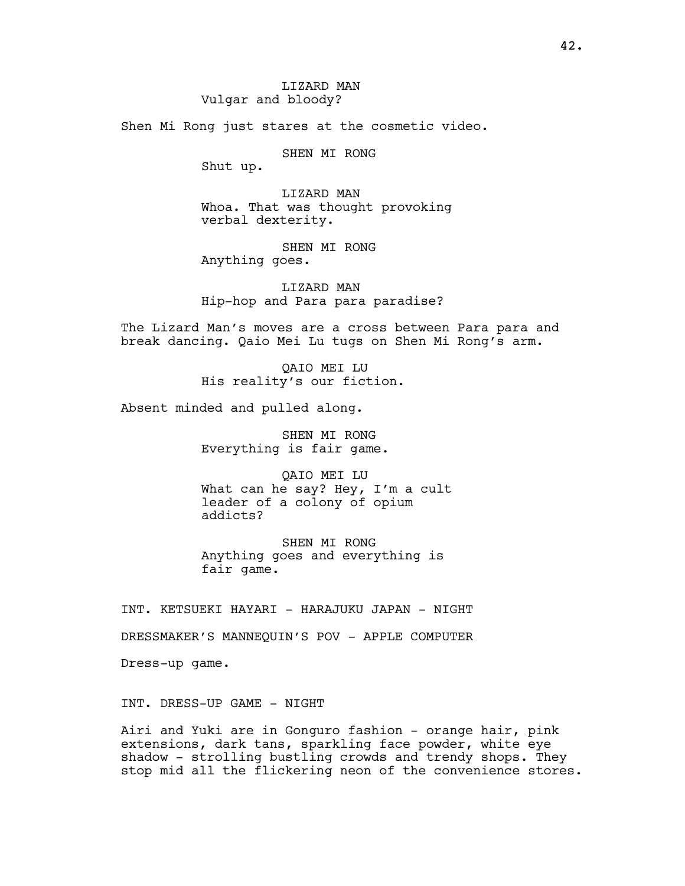Shen Mi Rong just stares at the cosmetic video.

SHEN MI RONG

Shut up.

LIZARD MAN Whoa. That was thought provoking verbal dexterity.

SHEN MI RONG Anything goes.

LIZARD MAN Hip-hop and Para para paradise?

The Lizard Man's moves are a cross between Para para and break dancing. Qaio Mei Lu tugs on Shen Mi Rong's arm.

> QAIO MEI LU His reality's our fiction.

Absent minded and pulled along.

SHEN MI RONG Everything is fair game.

QAIO MEI LU What can he say? Hey, I'm a cult leader of a colony of opium addicts?

SHEN MI RONG Anything goes and everything is fair game.

INT. KETSUEKI HAYARI - HARAJUKU JAPAN - NIGHT

DRESSMAKER'S MANNEQUIN'S POV - APPLE COMPUTER

Dress-up game.

INT. DRESS-UP GAME - NIGHT

Airi and Yuki are in Gonguro fashion - orange hair, pink extensions, dark tans, sparkling face powder, white eye shadow - strolling bustling crowds and trendy shops. They stop mid all the flickering neon of the convenience stores.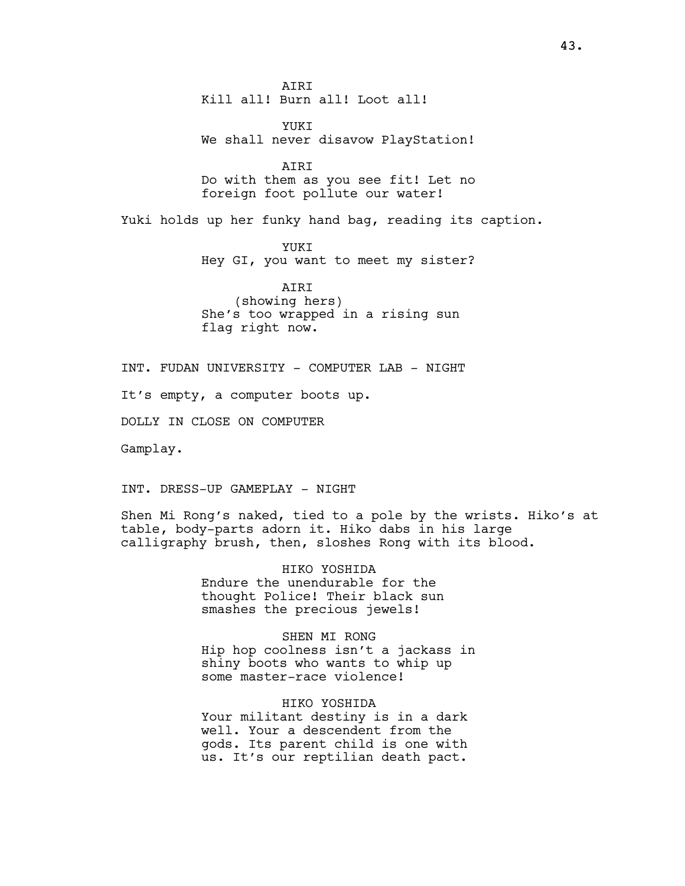AIRI Kill all! Burn all! Loot all!

YUKI We shall never disavow PlayStation!

AIRI Do with them as you see fit! Let no foreign foot pollute our water!

Yuki holds up her funky hand bag, reading its caption.

YUKI Hey GI, you want to meet my sister?

AIRI (showing hers) She's too wrapped in a rising sun flag right now.

INT. FUDAN UNIVERSITY - COMPUTER LAB - NIGHT

It's empty, a computer boots up.

DOLLY IN CLOSE ON COMPUTER

Gamplay.

INT. DRESS-UP GAMEPLAY - NIGHT

Shen Mi Rong's naked, tied to a pole by the wrists. Hiko's at table, body-parts adorn it. Hiko dabs in his large calligraphy brush, then, sloshes Rong with its blood.

> HIKO YOSHIDA Endure the unendurable for the thought Police! Their black sun smashes the precious jewels!

SHEN MI RONG Hip hop coolness isn't a jackass in shiny boots who wants to whip up some master-race violence!

HIKO YOSHIDA Your militant destiny is in a dark well. Your a descendent from the gods. Its parent child is one with us. It's our reptilian death pact.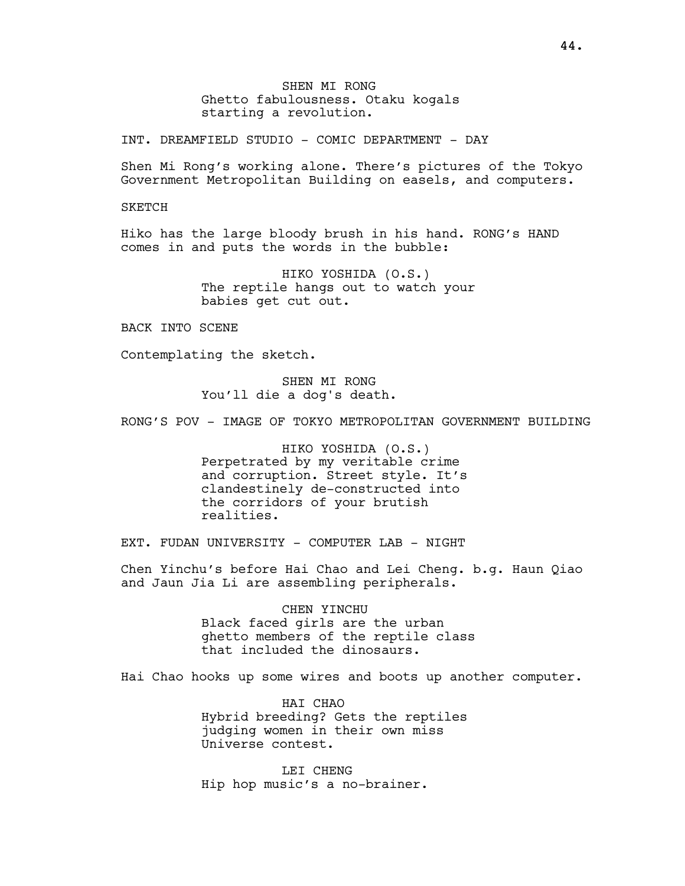SHEN MI RONG Ghetto fabulousness. Otaku kogals starting a revolution.

INT. DREAMFIELD STUDIO - COMIC DEPARTMENT - DAY

Shen Mi Rong's working alone. There's pictures of the Tokyo Government Metropolitan Building on easels, and computers.

SKETCH

Hiko has the large bloody brush in his hand. RONG's HAND comes in and puts the words in the bubble:

> HIKO YOSHIDA (O.S.) The reptile hangs out to watch your babies get cut out.

BACK INTO SCENE

Contemplating the sketch.

SHEN MI RONG You'll die a dog's death.

RONG'S POV - IMAGE OF TOKYO METROPOLITAN GOVERNMENT BUILDING

HIKO YOSHIDA (O.S.) Perpetrated by my veritable crime and corruption. Street style. It's clandestinely de-constructed into the corridors of your brutish realities.

EXT. FUDAN UNIVERSITY - COMPUTER LAB - NIGHT

Chen Yinchu's before Hai Chao and Lei Cheng. b.g. Haun Qiao and Jaun Jia Li are assembling peripherals.

> CHEN YINCHU Black faced girls are the urban ghetto members of the reptile class that included the dinosaurs.

Hai Chao hooks up some wires and boots up another computer.

HAI CHAO Hybrid breeding? Gets the reptiles judging women in their own miss Universe contest.

LEI CHENG Hip hop music's a no-brainer.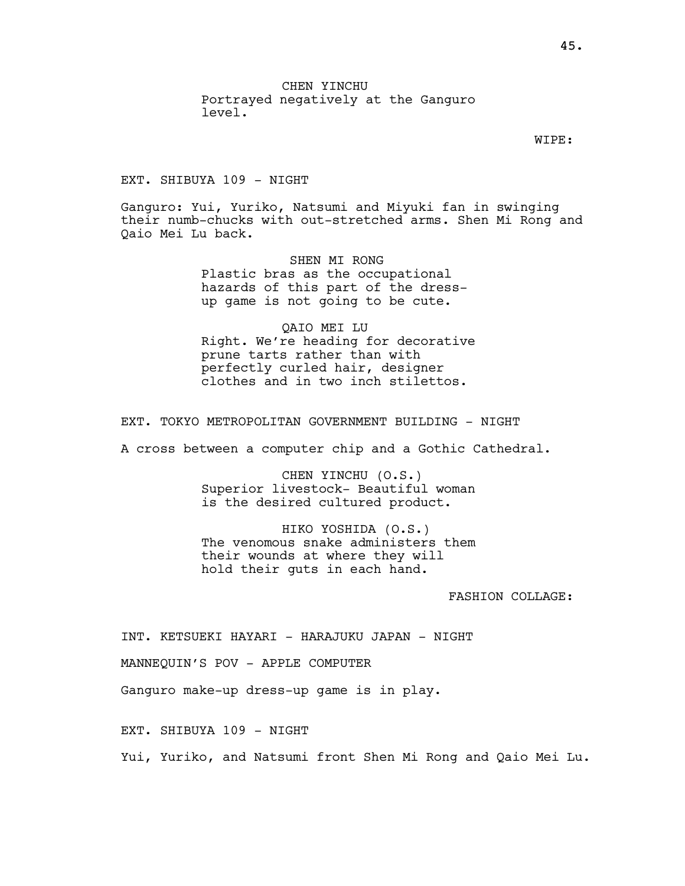CHEN YINCHU Portrayed negatively at the Ganguro level.

WIPE:

EXT. SHIBUYA 109 - NIGHT

Ganguro: Yui, Yuriko, Natsumi and Miyuki fan in swinging their numb-chucks with out-stretched arms. Shen Mi Rong and Qaio Mei Lu back.

> SHEN MI RONG Plastic bras as the occupational hazards of this part of the dressup game is not going to be cute.

QAIO MEI LU Right. We're heading for decorative prune tarts rather than with perfectly curled hair, designer clothes and in two inch stilettos.

EXT. TOKYO METROPOLITAN GOVERNMENT BUILDING - NIGHT

A cross between a computer chip and a Gothic Cathedral.

CHEN YINCHU (O.S.) Superior livestock- Beautiful woman is the desired cultured product.

HIKO YOSHIDA (O.S.) The venomous snake administers them their wounds at where they will hold their guts in each hand.

FASHION COLLAGE:

INT. KETSUEKI HAYARI - HARAJUKU JAPAN - NIGHT

MANNEQUIN'S POV - APPLE COMPUTER

Ganguro make-up dress-up game is in play.

EXT. SHIBUYA 109 - NIGHT

Yui, Yuriko, and Natsumi front Shen Mi Rong and Qaio Mei Lu.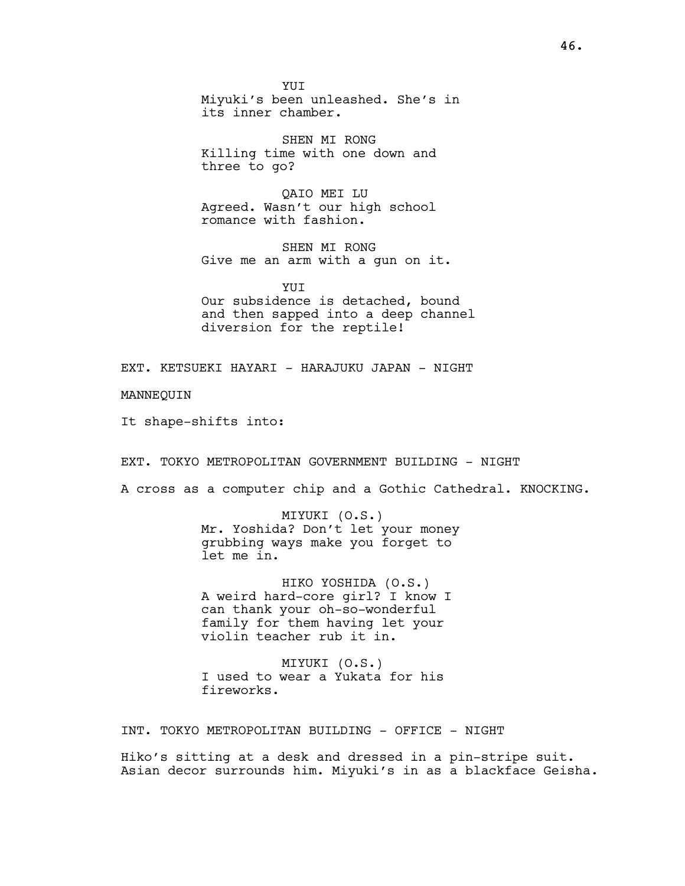YUI Miyuki's been unleashed. She's in its inner chamber.

SHEN MI RONG Killing time with one down and three to go?

QAIO MEI LU Agreed. Wasn't our high school romance with fashion.

SHEN MI RONG Give me an arm with a gun on it.

YUIT Our subsidence is detached, bound and then sapped into a deep channel diversion for the reptile!

EXT. KETSUEKI HAYARI - HARAJUKU JAPAN - NIGHT

MANNEQUIN

It shape-shifts into:

EXT. TOKYO METROPOLITAN GOVERNMENT BUILDING - NIGHT

A cross as a computer chip and a Gothic Cathedral. KNOCKING.

MIYUKI (O.S.) Mr. Yoshida? Don't let your money grubbing ways make you forget to let me in.

HIKO YOSHIDA (O.S.) A weird hard-core girl? I know I can thank your oh-so-wonderful family for them having let your violin teacher rub it in.

MIYUKI (O.S.) I used to wear a Yukata for his fireworks.

INT. TOKYO METROPOLITAN BUILDING - OFFICE - NIGHT

Hiko's sitting at a desk and dressed in a pin-stripe suit. Asian decor surrounds him. Miyuki's in as a blackface Geisha.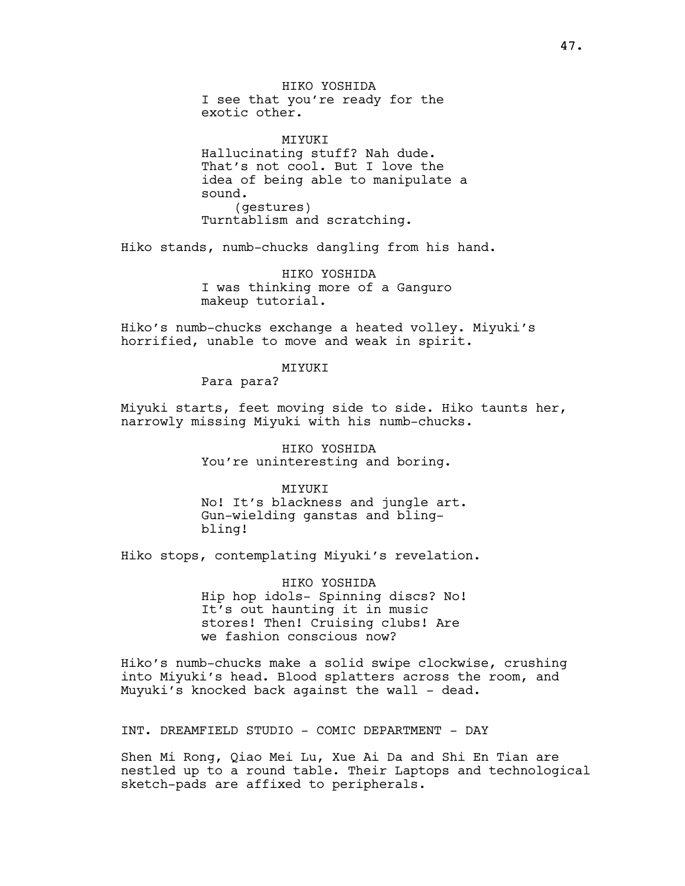HIKO YOSHIDA I see that you're ready for the exotic other.

**MTYUKT** Hallucinating stuff? Nah dude. That's not cool. But I love the idea of being able to manipulate a sound. (gestures) Turntablism and scratching.

Hiko stands, numb-chucks dangling from his hand.

HIKO YOSHIDA I was thinking more of a Ganguro makeup tutorial.

Hiko's numb-chucks exchange a heated volley. Miyuki's horrified, unable to move and weak in spirit.

MIYUKI

Para para?

Miyuki starts, feet moving side to side. Hiko taunts her, narrowly missing Miyuki with his numb-chucks.

> HIKO YOSHIDA You're uninteresting and boring.

**MTYUKT** No! It's blackness and jungle art. Gun-wielding ganstas and blingbling!

Hiko stops, contemplating Miyuki's revelation.

HIKO YOSHIDA Hip hop idols- Spinning discs? No! It's out haunting it in music stores! Then! Cruising clubs! Are we fashion conscious now?

Hiko's numb-chucks make a solid swipe clockwise, crushing into Miyuki's head. Blood splatters across the room, and Muyuki's knocked back against the wall - dead.

INT. DREAMFIELD STUDIO - COMIC DEPARTMENT - DAY

Shen Mi Rong, Qiao Mei Lu, Xue Ai Da and Shi En Tian are nestled up to a round table. Their Laptops and technological sketch-pads are affixed to peripherals.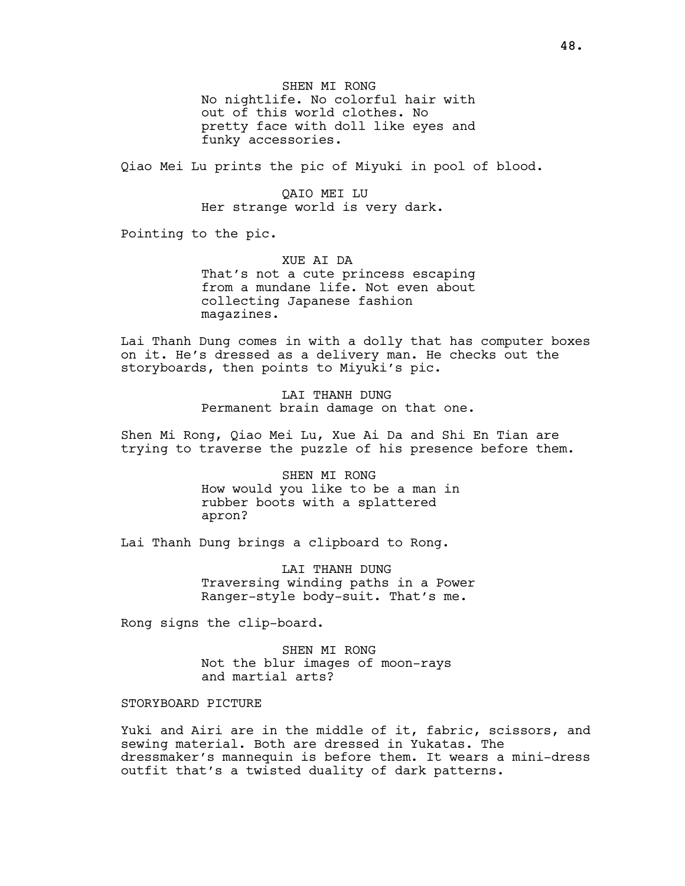SHEN MI RONG No nightlife. No colorful hair with out of this world clothes. No pretty face with doll like eyes and funky accessories.

Qiao Mei Lu prints the pic of Miyuki in pool of blood.

QAIO MEI LU Her strange world is very dark.

Pointing to the pic.

XUE AI DA That's not a cute princess escaping from a mundane life. Not even about collecting Japanese fashion magazines.

Lai Thanh Dung comes in with a dolly that has computer boxes on it. He's dressed as a delivery man. He checks out the storyboards, then points to Miyuki's pic.

> LAI THANH DUNG Permanent brain damage on that one.

Shen Mi Rong, Qiao Mei Lu, Xue Ai Da and Shi En Tian are trying to traverse the puzzle of his presence before them.

> SHEN MI RONG How would you like to be a man in rubber boots with a splattered apron?

Lai Thanh Dung brings a clipboard to Rong.

LAI THANH DUNG Traversing winding paths in a Power Ranger-style body-suit. That's me.

Rong signs the clip-board.

SHEN MI RONG Not the blur images of moon-rays and martial arts?

#### STORYBOARD PICTURE

Yuki and Airi are in the middle of it, fabric, scissors, and sewing material. Both are dressed in Yukatas. The dressmaker's mannequin is before them. It wears a mini-dress outfit that's a twisted duality of dark patterns.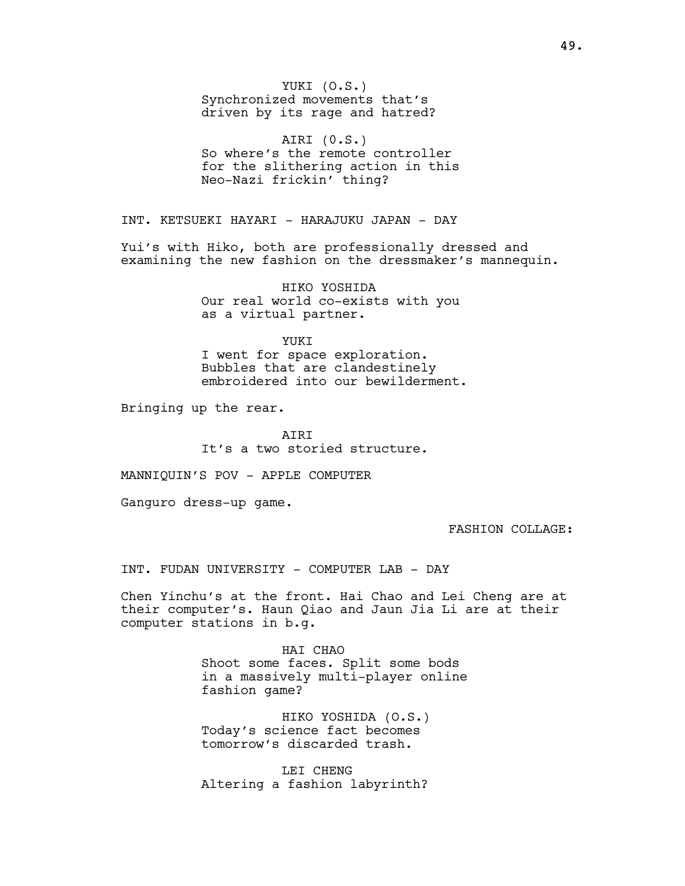YUKI (O.S.) Synchronized movements that's driven by its rage and hatred?

AIRI (0.S.) So where's the remote controller for the slithering action in this Neo-Nazi frickin' thing?

INT. KETSUEKI HAYARI - HARAJUKU JAPAN - DAY

Yui's with Hiko, both are professionally dressed and examining the new fashion on the dressmaker's mannequin.

> HIKO YOSHIDA Our real world co-exists with you as a virtual partner.

> > YUKT

I went for space exploration. Bubbles that are clandestinely embroidered into our bewilderment.

Bringing up the rear.

**ATRT** It's a two storied structure.

MANNIQUIN'S POV - APPLE COMPUTER

Ganguro dress-up game.

FASHION COLLAGE:

INT. FUDAN UNIVERSITY - COMPUTER LAB - DAY

Chen Yinchu's at the front. Hai Chao and Lei Cheng are at their computer's. Haun Qiao and Jaun Jia Li are at their computer stations in b.g.

> HAI CHAO Shoot some faces. Split some bods in a massively multi-player online fashion game?

HIKO YOSHIDA (O.S.) Today's science fact becomes tomorrow's discarded trash.

LEI CHENG Altering a fashion labyrinth?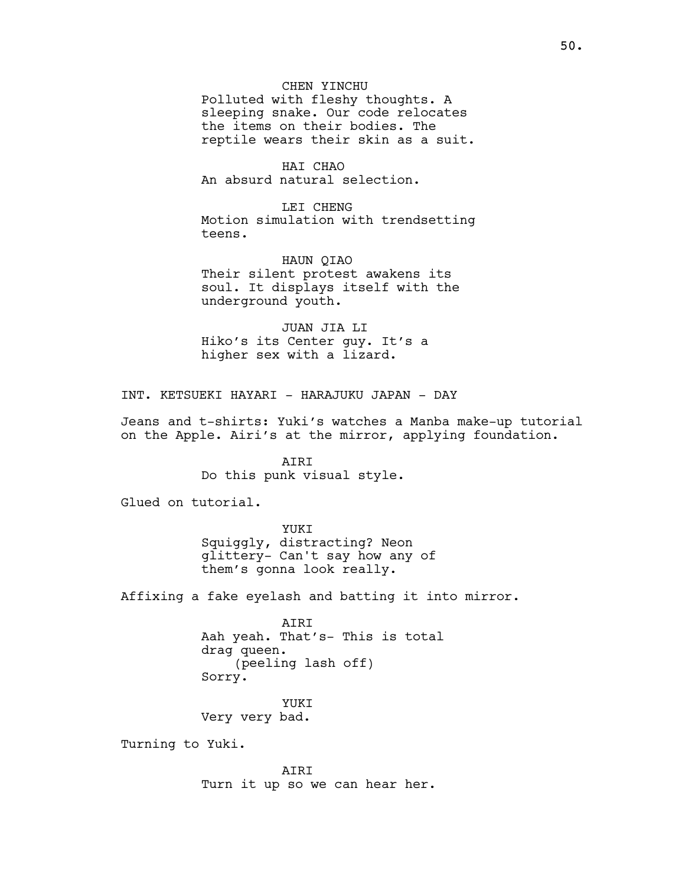# CHEN YINCHU

Polluted with fleshy thoughts. A sleeping snake. Our code relocates the items on their bodies. The reptile wears their skin as a suit.

HAI CHAO An absurd natural selection.

LEI CHENG Motion simulation with trendsetting teens.

HAUN QIAO Their silent protest awakens its soul. It displays itself with the underground youth.

JUAN JIA LI Hiko's its Center guy. It's a higher sex with a lizard.

INT. KETSUEKI HAYARI - HARAJUKU JAPAN - DAY

Jeans and t-shirts: Yuki's watches a Manba make-up tutorial on the Apple. Airi's at the mirror, applying foundation.

> AIRI Do this punk visual style.

Glued on tutorial.

YUKI Squiggly, distracting? Neon glittery- Can't say how any of them's gonna look really.

Affixing a fake eyelash and batting it into mirror.

AIRI Aah yeah. That's- This is total drag queen. (peeling lash off) Sorry.

YUKI Very very bad.

Turning to Yuki.

AIRI Turn it up so we can hear her.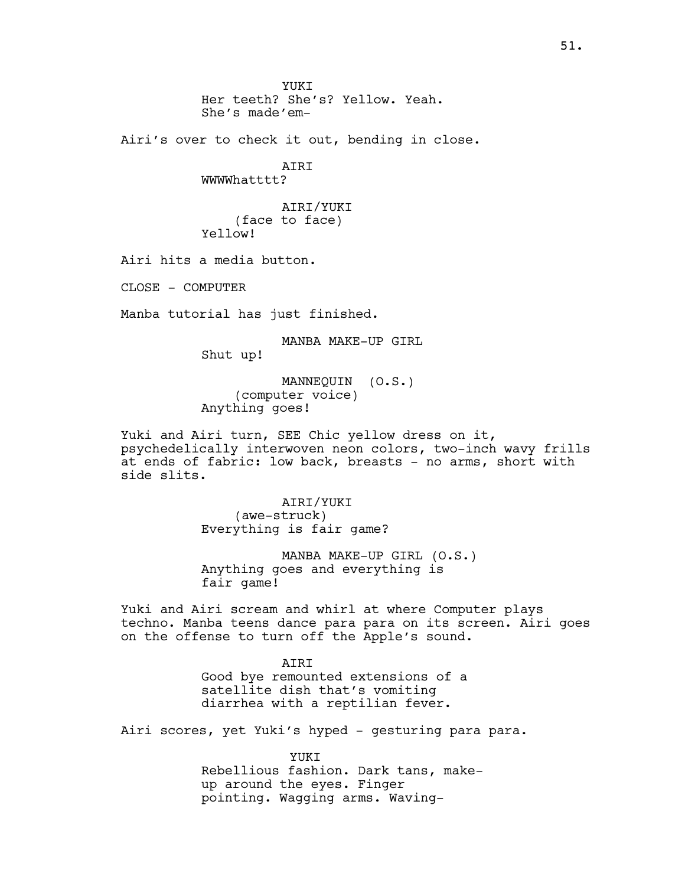YUKT Her teeth? She's? Yellow. Yeah. She's made'em-

Airi's over to check it out, bending in close.

**ATRT** WWWMatttt?

AIRI/YUKI (face to face) Yellow!

Airi hits a media button.

CLOSE - COMPUTER

Manba tutorial has just finished.

MANBA MAKE-UP GIRL Shut up!

MANNEQUIN (O.S.) (computer voice) Anything goes!

Yuki and Airi turn, SEE Chic yellow dress on it, psychedelically interwoven neon colors, two-inch wavy frills at ends of fabric: low back, breasts - no arms, short with side slits.

> AIRI/YUKI (awe-struck) Everything is fair game?

MANBA MAKE-UP GIRL (O.S.) Anything goes and everything is fair game!

Yuki and Airi scream and whirl at where Computer plays techno. Manba teens dance para para on its screen. Airi goes on the offense to turn off the Apple's sound.

> **ATRT** Good bye remounted extensions of a satellite dish that's vomiting diarrhea with a reptilian fever.

Airi scores, yet Yuki's hyped - gesturing para para.

YUKT Rebellious fashion. Dark tans, makeup around the eyes. Finger pointing. Wagging arms. Waving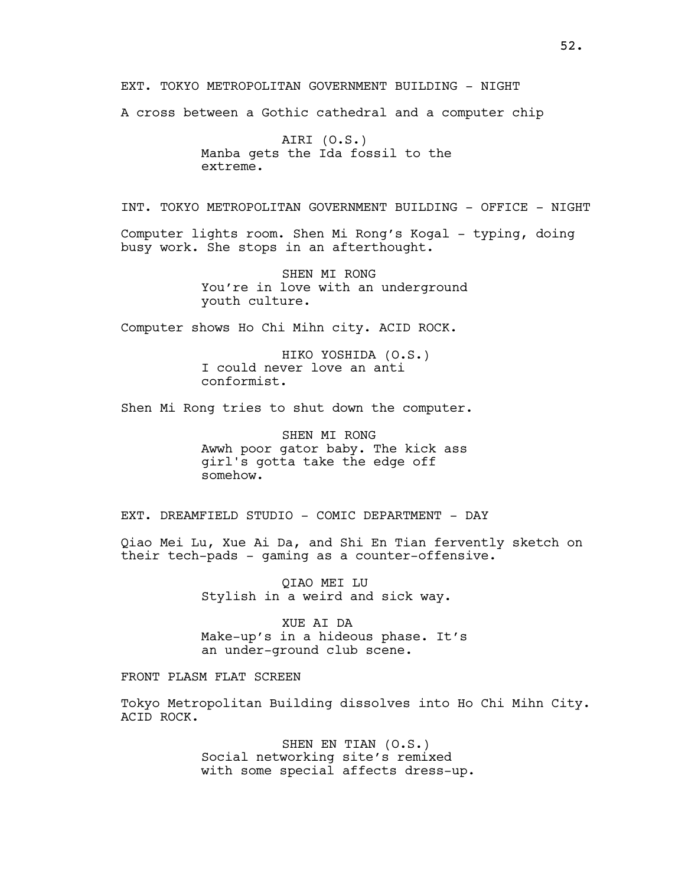EXT. TOKYO METROPOLITAN GOVERNMENT BUILDING - NIGHT

A cross between a Gothic cathedral and a computer chip

AIRI (O.S.) Manba gets the Ida fossil to the extreme.

INT. TOKYO METROPOLITAN GOVERNMENT BUILDING - OFFICE - NIGHT

Computer lights room. Shen Mi Rong's Kogal - typing, doing busy work. She stops in an afterthought.

> SHEN MI RONG You're in love with an underground youth culture.

Computer shows Ho Chi Mihn city. ACID ROCK.

HIKO YOSHIDA (O.S.) I could never love an anti conformist.

Shen Mi Rong tries to shut down the computer.

SHEN MI RONG Awwh poor gator baby. The kick ass girl's gotta take the edge off somehow.

EXT. DREAMFIELD STUDIO - COMIC DEPARTMENT - DAY

Qiao Mei Lu, Xue Ai Da, and Shi En Tian fervently sketch on their tech-pads - gaming as a counter-offensive.

> QIAO MEI LU Stylish in a weird and sick way.

XUE AI DA Make-up's in a hideous phase. It's an under-ground club scene.

FRONT PLASM FLAT SCREEN

Tokyo Metropolitan Building dissolves into Ho Chi Mihn City. ACID ROCK.

> SHEN EN TIAN (O.S.) Social networking site's remixed with some special affects dress-up.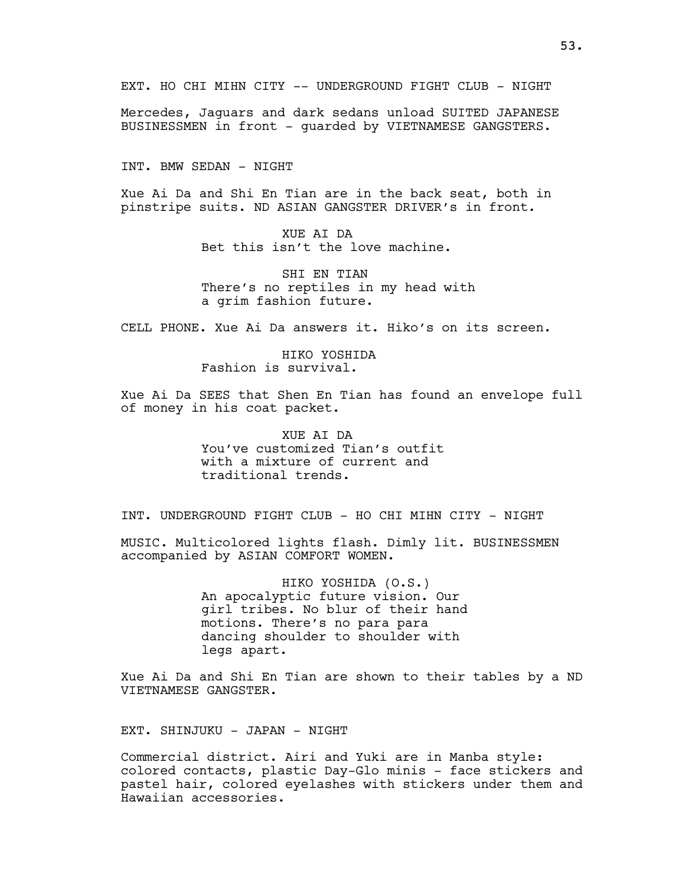Mercedes, Jaguars and dark sedans unload SUITED JAPANESE BUSINESSMEN in front - quarded by VIETNAMESE GANGSTERS.

INT. BMW SEDAN - NIGHT

Xue Ai Da and Shi En Tian are in the back seat, both in pinstripe suits. ND ASIAN GANGSTER DRIVER's in front.

> XUE AI DA Bet this isn't the love machine.

SHI EN TIAN There's no reptiles in my head with a grim fashion future.

CELL PHONE. Xue Ai Da answers it. Hiko's on its screen.

HIKO YOSHIDA Fashion is survival.

Xue Ai Da SEES that Shen En Tian has found an envelope full of money in his coat packet.

> XUE AI DA You've customized Tian's outfit with a mixture of current and traditional trends.

INT. UNDERGROUND FIGHT CLUB - HO CHI MIHN CITY - NIGHT

MUSIC. Multicolored lights flash. Dimly lit. BUSINESSMEN accompanied by ASIAN COMFORT WOMEN.

> HIKO YOSHIDA (O.S.) An apocalyptic future vision. Our girl tribes. No blur of their hand motions. There's no para para dancing shoulder to shoulder with legs apart.

Xue Ai Da and Shi En Tian are shown to their tables by a ND VIETNAMESE GANGSTER.

EXT. SHINJUKU - JAPAN - NIGHT

Commercial district. Airi and Yuki are in Manba style: colored contacts, plastic Day-Glo minis - face stickers and pastel hair, colored eyelashes with stickers under them and Hawaiian accessories.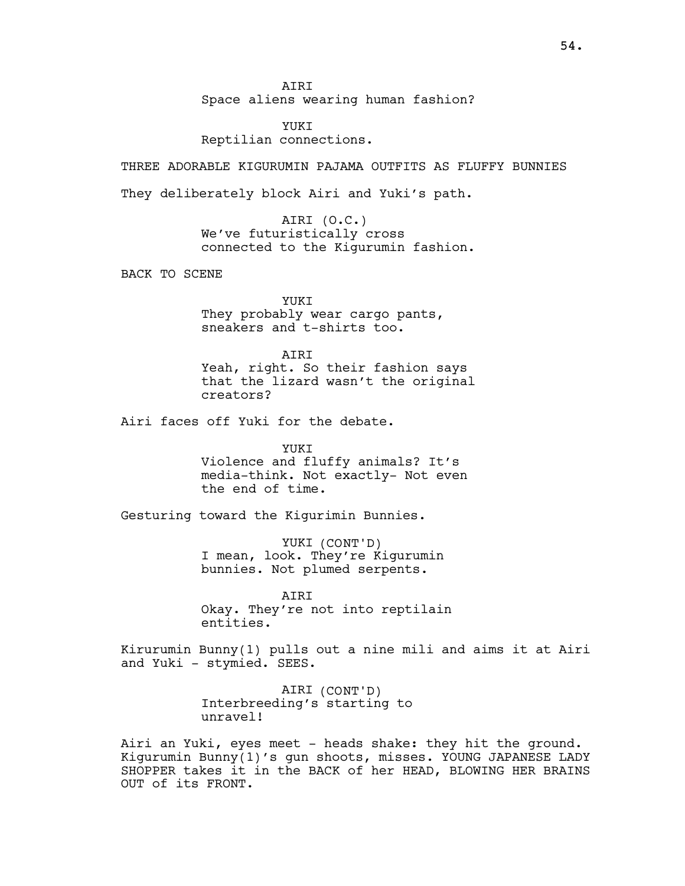AIRI

Space aliens wearing human fashion?

YUKI Reptilian connections.

THREE ADORABLE KIGURUMIN PAJAMA OUTFITS AS FLUFFY BUNNIES

They deliberately block Airi and Yuki's path.

AIRI (O.C.) We've futuristically cross connected to the Kigurumin fashion.

BACK TO SCENE

YUKI They probably wear cargo pants, sneakers and t-shirts too.

AIRI Yeah, right. So their fashion says that the lizard wasn't the original creators?

Airi faces off Yuki for the debate.

YUKI Violence and fluffy animals? It's media-think. Not exactly- Not even the end of time.

Gesturing toward the Kigurimin Bunnies.

YUKI (CONT'D) I mean, look. They're Kigurumin bunnies. Not plumed serpents.

AIRI Okay. They're not into reptilain entities.

Kirurumin Bunny(1) pulls out a nine mili and aims it at Airi and Yuki - stymied. SEES.

> AIRI (CONT'D) Interbreeding's starting to unravel!

Airi an Yuki, eyes meet - heads shake: they hit the ground. Kigurumin Bunny(1)'s gun shoots, misses. YOUNG JAPANESE LADY SHOPPER takes it in the BACK of her HEAD, BLOWING HER BRAINS OUT of its FRONT.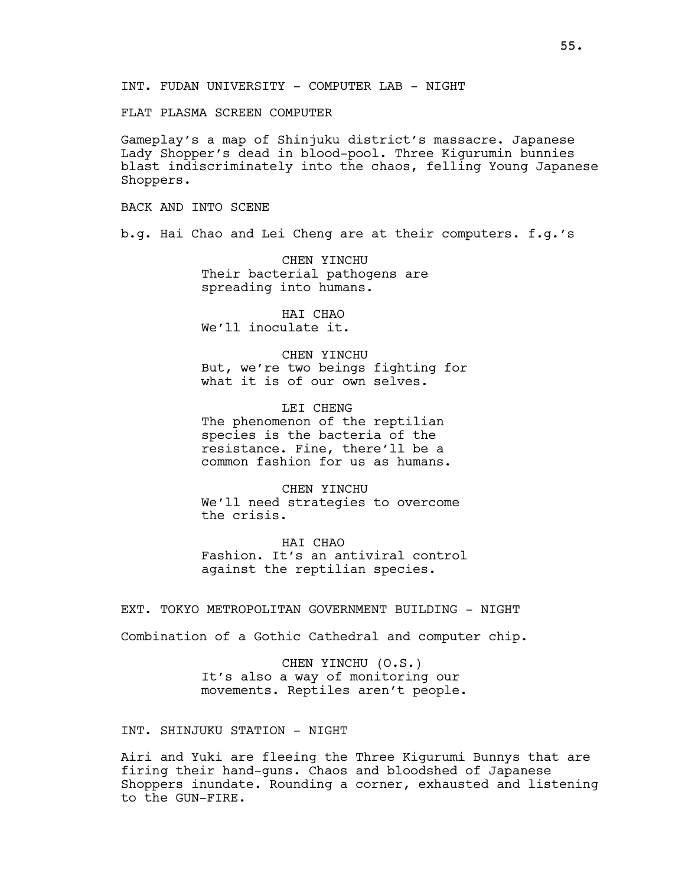FLAT PLASMA SCREEN COMPUTER

Gameplay's a map of Shinjuku district's massacre. Japanese Lady Shopper's dead in blood-pool. Three Kigurumin bunnies blast indiscriminately into the chaos, felling Young Japanese Shoppers.

BACK AND INTO SCENE

b.g. Hai Chao and Lei Cheng are at their computers. f.g.'s

CHEN YINCHU Their bacterial pathogens are spreading into humans.

HAI CHAO We'll inoculate it.

CHEN YINCHU But, we're two beings fighting for what it is of our own selves.

LEI CHENG The phenomenon of the reptilian species is the bacteria of the resistance. Fine, there'll be a common fashion for us as humans.

CHEN YINCHU We'll need strategies to overcome the crisis.

HAI CHAO Fashion. It's an antiviral control against the reptilian species.

EXT. TOKYO METROPOLITAN GOVERNMENT BUILDING - NIGHT

Combination of a Gothic Cathedral and computer chip.

CHEN YINCHU (O.S.) It's also a way of monitoring our movements. Reptiles aren't people.

INT. SHINJUKU STATION - NIGHT

Airi and Yuki are fleeing the Three Kigurumi Bunnys that are firing their hand-guns. Chaos and bloodshed of Japanese Shoppers inundate. Rounding a corner, exhausted and listening to the GUN-FIRE.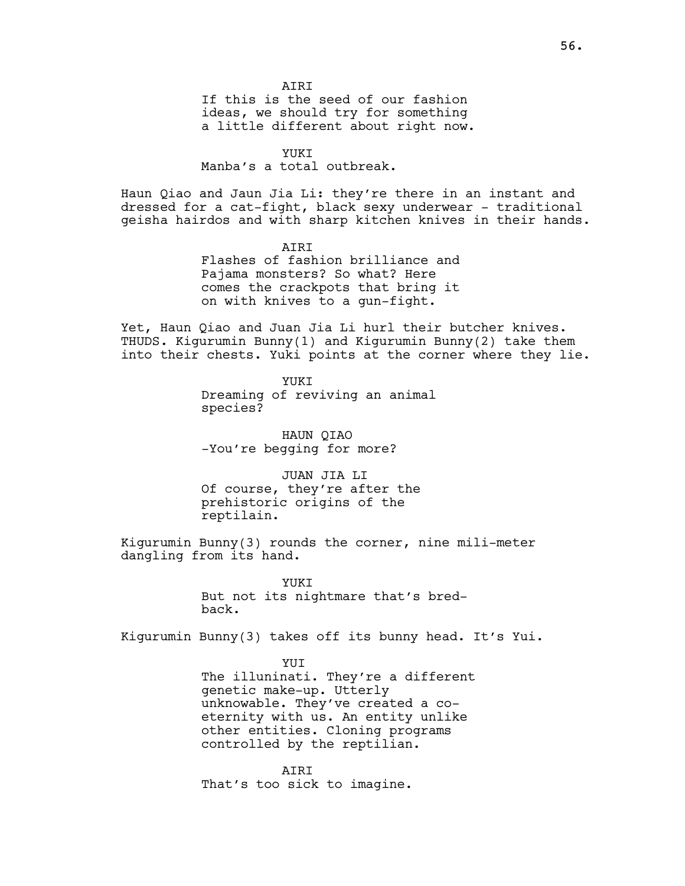If this is the seed of our fashion ideas, we should try for something a little different about right now.

#### YUKT

Manba's a total outbreak.

Haun Qiao and Jaun Jia Li: they're there in an instant and dressed for a cat-fight, black sexy underwear - traditional geisha hairdos and with sharp kitchen knives in their hands.

> **AIRT** Flashes of fashion brilliance and Pajama monsters? So what? Here comes the crackpots that bring it on with knives to a gun-fight.

Yet, Haun Qiao and Juan Jia Li hurl their butcher knives. THUDS. Kigurumin Bunny(1) and Kigurumin Bunny(2) take them into their chests. Yuki points at the corner where they lie.

> YUKI Dreaming of reviving an animal species?

HAUN QIAO -You're begging for more?

JUAN JIA LI Of course, they're after the prehistoric origins of the reptilain.

Kigurumin Bunny(3) rounds the corner, nine mili-meter dangling from its hand.

> YUKT But not its nightmare that's bredback.

Kigurumin Bunny(3) takes off its bunny head. It's Yui.

**YUT** The illuninati. They're a different genetic make-up. Utterly unknowable. They've created a coeternity with us. An entity unlike other entities. Cloning programs controlled by the reptilian.

AIRI That's too sick to imagine.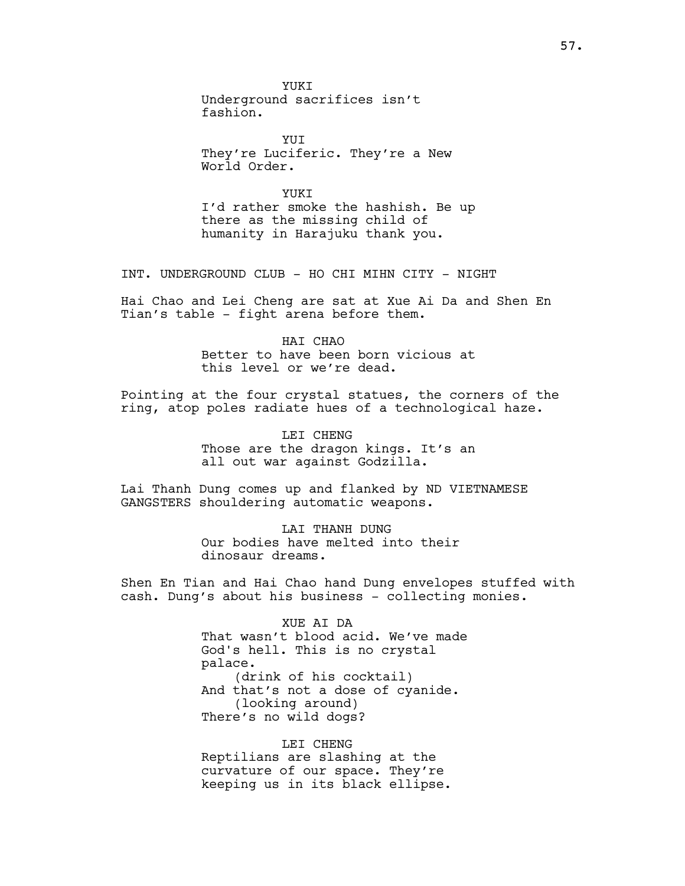YUKI Underground sacrifices isn't fashion.

YUT They're Luciferic. They're a New World Order.

YUKT I'd rather smoke the hashish. Be up there as the missing child of humanity in Harajuku thank you.

INT. UNDERGROUND CLUB - HO CHI MIHN CITY - NIGHT

Hai Chao and Lei Cheng are sat at Xue Ai Da and Shen En Tian's table - fight arena before them.

> HAT CHAO Better to have been born vicious at this level or we're dead.

Pointing at the four crystal statues, the corners of the ring, atop poles radiate hues of a technological haze.

> LEI CHENG Those are the dragon kings. It's an all out war against Godzilla.

Lai Thanh Dung comes up and flanked by ND VIETNAMESE GANGSTERS shouldering automatic weapons.

> LAI THANH DUNG Our bodies have melted into their dinosaur dreams.

Shen En Tian and Hai Chao hand Dung envelopes stuffed with cash. Dung's about his business - collecting monies.

> XUE AI DA That wasn't blood acid. We've made God's hell. This is no crystal palace. (drink of his cocktail) And that's not a dose of cyanide. (looking around) There's no wild dogs?

LEI CHENG Reptilians are slashing at the curvature of our space. They're keeping us in its black ellipse.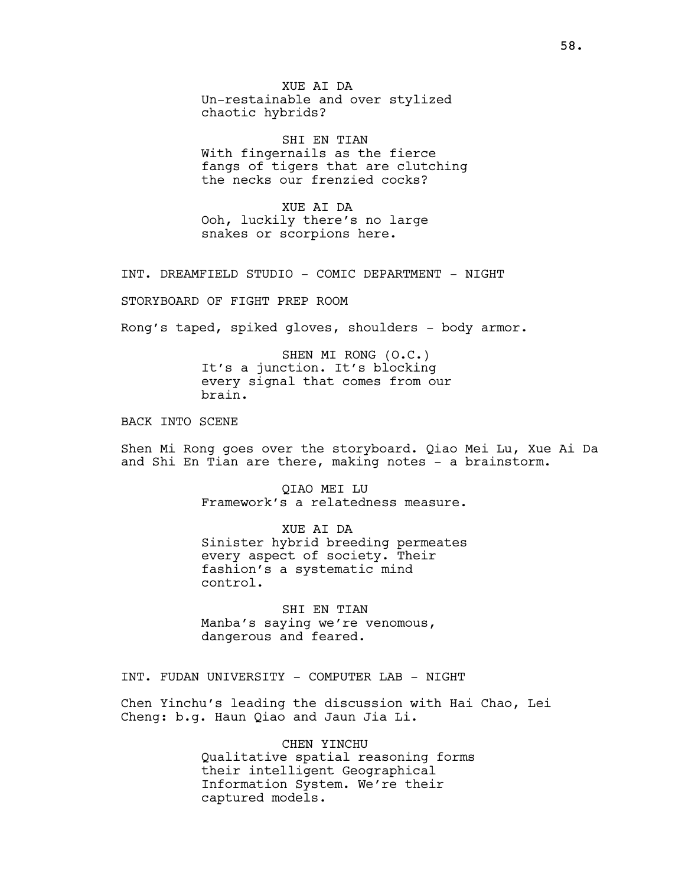XUE AI DA Un-restainable and over stylized chaotic hybrids?

SHI EN TIAN With fingernails as the fierce fangs of tigers that are clutching the necks our frenzied cocks?

XUE AI DA Ooh, luckily there's no large snakes or scorpions here.

INT. DREAMFIELD STUDIO - COMIC DEPARTMENT - NIGHT

STORYBOARD OF FIGHT PREP ROOM

Rong's taped, spiked gloves, shoulders - body armor.

SHEN MI RONG (O.C.) It's a junction. It's blocking every signal that comes from our brain.

BACK INTO SCENE

Shen Mi Rong goes over the storyboard. Qiao Mei Lu, Xue Ai Da and Shi En Tian are there, making notes - a brainstorm.

> QIAO MEI LU Framework's a relatedness measure.

> XUE AI DA Sinister hybrid breeding permeates every aspect of society. Their fashion's a systematic mind control.

SHI EN TIAN Manba's saying we're venomous, dangerous and feared.

INT. FUDAN UNIVERSITY - COMPUTER LAB - NIGHT

Chen Yinchu's leading the discussion with Hai Chao, Lei Cheng: b.g. Haun Qiao and Jaun Jia Li.

> CHEN YINCHU Qualitative spatial reasoning forms their intelligent Geographical Information System. We're their captured models.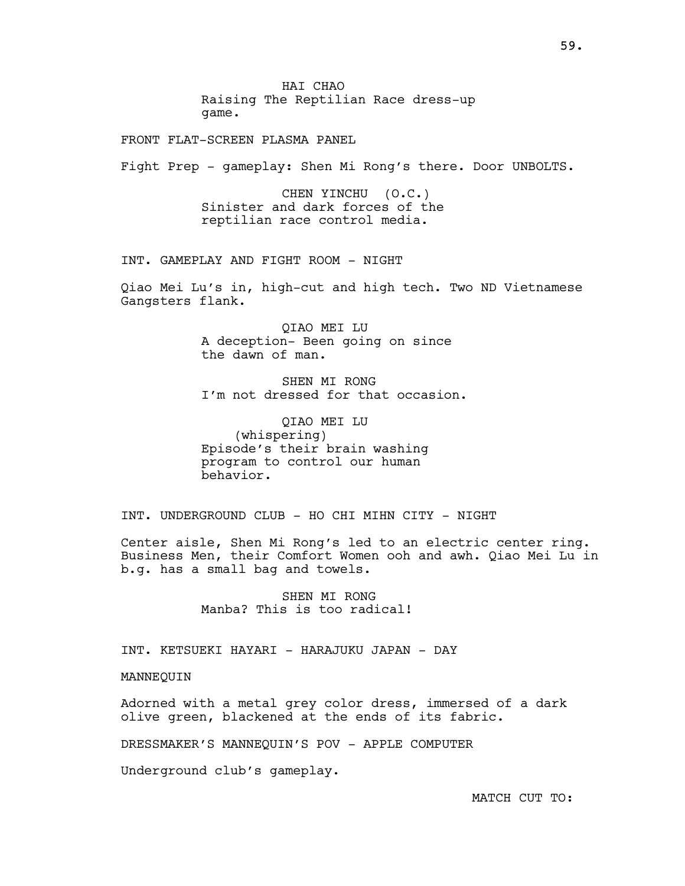HAI CHAO Raising The Reptilian Race dress-up game.

FRONT FLAT-SCREEN PLASMA PANEL

Fight Prep - gameplay: Shen Mi Rong's there. Door UNBOLTS.

CHEN YINCHU (O.C.) Sinister and dark forces of the reptilian race control media.

INT. GAMEPLAY AND FIGHT ROOM - NIGHT

Qiao Mei Lu's in, high-cut and high tech. Two ND Vietnamese Gangsters flank.

> QIAO MEI LU A deception- Been going on since the dawn of man.

SHEN MI RONG I'm not dressed for that occasion.

QIAO MEI LU (whispering) Episode's their brain washing program to control our human behavior.

INT. UNDERGROUND CLUB - HO CHI MIHN CITY - NIGHT

Center aisle, Shen Mi Rong's led to an electric center ring. Business Men, their Comfort Women ooh and awh. Qiao Mei Lu in b.g. has a small bag and towels.

> SHEN MI RONG Manba? This is too radical!

INT. KETSUEKI HAYARI - HARAJUKU JAPAN - DAY

MANNEQUIN

Adorned with a metal grey color dress, immersed of a dark olive green, blackened at the ends of its fabric.

DRESSMAKER'S MANNEQUIN'S POV - APPLE COMPUTER

Underground club's gameplay.

MATCH CUT TO: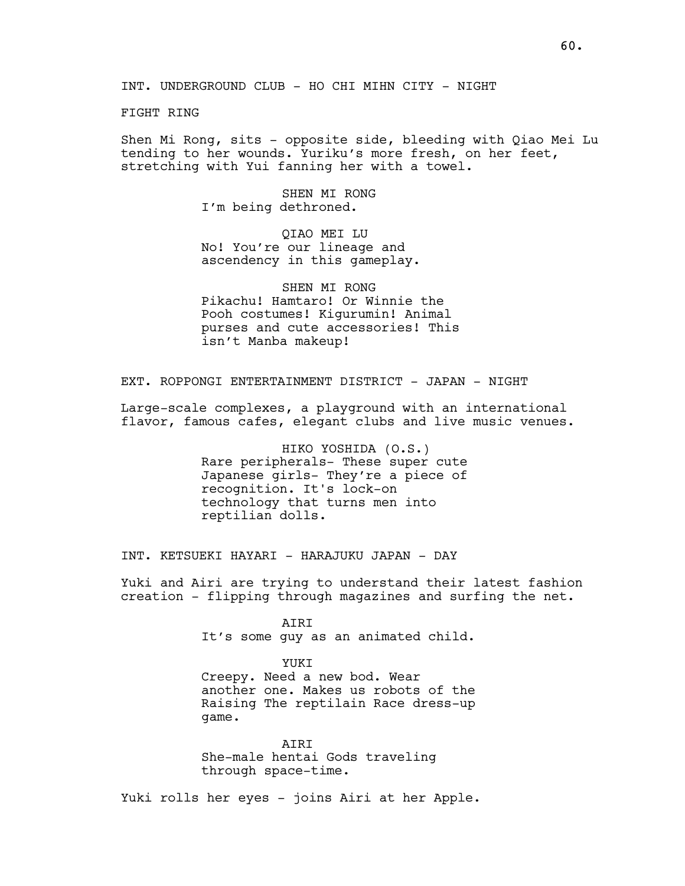FIGHT RING

Shen Mi Rong, sits - opposite side, bleeding with Qiao Mei Lu tending to her wounds. Yuriku's more fresh, on her feet, stretching with Yui fanning her with a towel.

> SHEN MT RONG I'm being dethroned.

QIAO MEI LU No! You're our lineage and ascendency in this gameplay.

SHEN MI RONG Pikachu! Hamtaro! Or Winnie the Pooh costumes! Kigurumin! Animal purses and cute accessories! This isn't Manba makeup!

EXT. ROPPONGI ENTERTAINMENT DISTRICT - JAPAN - NIGHT

Large-scale complexes, a playground with an international flavor, famous cafes, elegant clubs and live music venues.

> HIKO YOSHIDA (O.S.) Rare peripherals- These super cute Japanese girls- They're a piece of recognition. It's lock-on technology that turns men into reptilian dolls.

INT. KETSUEKI HAYARI - HARAJUKU JAPAN - DAY

Yuki and Airi are trying to understand their latest fashion creation - flipping through magazines and surfing the net.

> AIRI It's some guy as an animated child.

> YUKI Creepy. Need a new bod. Wear another one. Makes us robots of the Raising The reptilain Race dress-up game.

AIRI She-male hentai Gods traveling through space-time.

Yuki rolls her eyes - joins Airi at her Apple.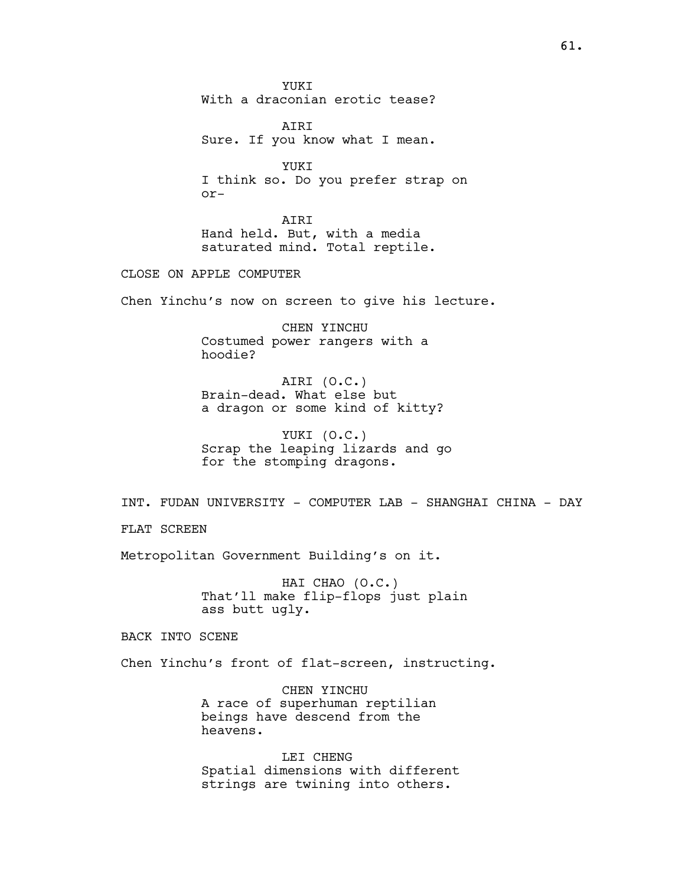YUKI With a draconian erotic tease?

AIRI Sure. If you know what I mean.

YUKI I think so. Do you prefer strap on or-

AIRI Hand held. But, with a media saturated mind. Total reptile.

CLOSE ON APPLE COMPUTER

Chen Yinchu's now on screen to give his lecture.

CHEN YINCHU Costumed power rangers with a hoodie?

AIRI (O.C.) Brain-dead. What else but a dragon or some kind of kitty?

YUKI (O.C.) Scrap the leaping lizards and go for the stomping dragons.

INT. FUDAN UNIVERSITY - COMPUTER LAB - SHANGHAI CHINA - DAY

FLAT SCREEN

Metropolitan Government Building's on it.

HAI CHAO (O.C.) That'll make flip-flops just plain ass butt ugly.

BACK INTO SCENE

Chen Yinchu's front of flat-screen, instructing.

CHEN YINCHU A race of superhuman reptilian beings have descend from the heavens.

LEI CHENG Spatial dimensions with different strings are twining into others.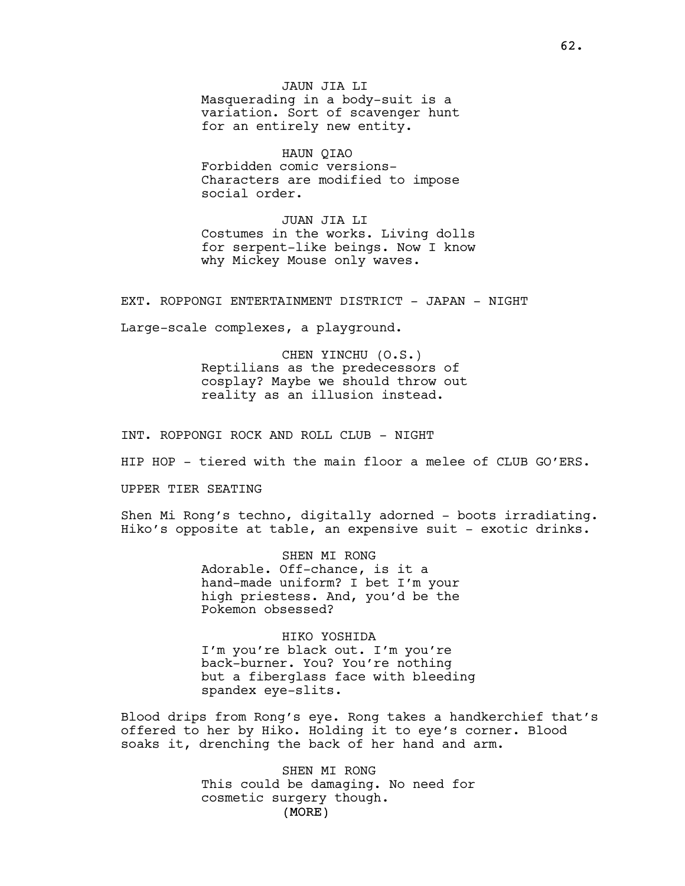JAUN JIA LI Masquerading in a body-suit is a variation. Sort of scavenger hunt for an entirely new entity.

HAUN QIAO Forbidden comic versions-Characters are modified to impose social order.

JUAN JIA LI Costumes in the works. Living dolls for serpent-like beings. Now I know why Mickey Mouse only waves.

EXT. ROPPONGI ENTERTAINMENT DISTRICT - JAPAN - NIGHT

Large-scale complexes, a playground.

CHEN YINCHU (O.S.) Reptilians as the predecessors of cosplay? Maybe we should throw out reality as an illusion instead.

INT. ROPPONGI ROCK AND ROLL CLUB - NIGHT

HIP HOP - tiered with the main floor a melee of CLUB GO'ERS.

UPPER TIER SEATING

Shen Mi Rong's techno, digitally adorned - boots irradiating. Hiko's opposite at table, an expensive suit - exotic drinks.

> SHEN MI RONG Adorable. Off-chance, is it a hand-made uniform? I bet I'm your high priestess. And, you'd be the Pokemon obsessed?

HIKO YOSHIDA I'm you're black out. I'm you're back-burner. You? You're nothing but a fiberglass face with bleeding spandex eye-slits.

Blood drips from Rong's eye. Rong takes a handkerchief that's offered to her by Hiko. Holding it to eye's corner. Blood soaks it, drenching the back of her hand and arm.

> (MORE) SHEN MI RONG This could be damaging. No need for cosmetic surgery though.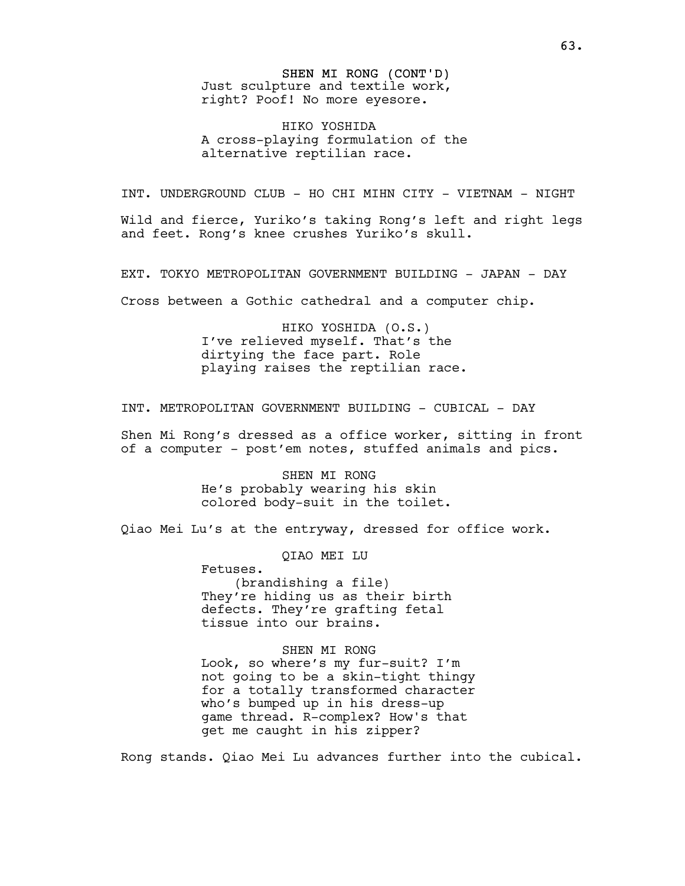SHEN MI RONG (CONT'D) Just sculpture and textile work, right? Poof! No more eyesore.

HIKO YOSHIDA A cross-playing formulation of the alternative reptilian race.

INT. UNDERGROUND CLUB - HO CHI MIHN CITY - VIETNAM - NIGHT

Wild and fierce, Yuriko's taking Rong's left and right legs and feet. Rong's knee crushes Yuriko's skull.

EXT. TOKYO METROPOLITAN GOVERNMENT BUILDING - JAPAN - DAY

Cross between a Gothic cathedral and a computer chip.

HIKO YOSHIDA (O.S.) I've relieved myself. That's the dirtying the face part. Role playing raises the reptilian race.

INT. METROPOLITAN GOVERNMENT BUILDING - CUBICAL - DAY

Shen Mi Rong's dressed as a office worker, sitting in front of a computer - post'em notes, stuffed animals and pics.

> SHEN MI RONG He's probably wearing his skin colored body-suit in the toilet.

Qiao Mei Lu's at the entryway, dressed for office work.

QIAO MEI LU

Fetuses. (brandishing a file) They're hiding us as their birth defects. They're grafting fetal tissue into our brains.

SHEN MI RONG Look, so where's my fur-suit? I'm not going to be a skin-tight thingy for a totally transformed character who's bumped up in his dress-up game thread. R-complex? How's that get me caught in his zipper?

Rong stands. Qiao Mei Lu advances further into the cubical.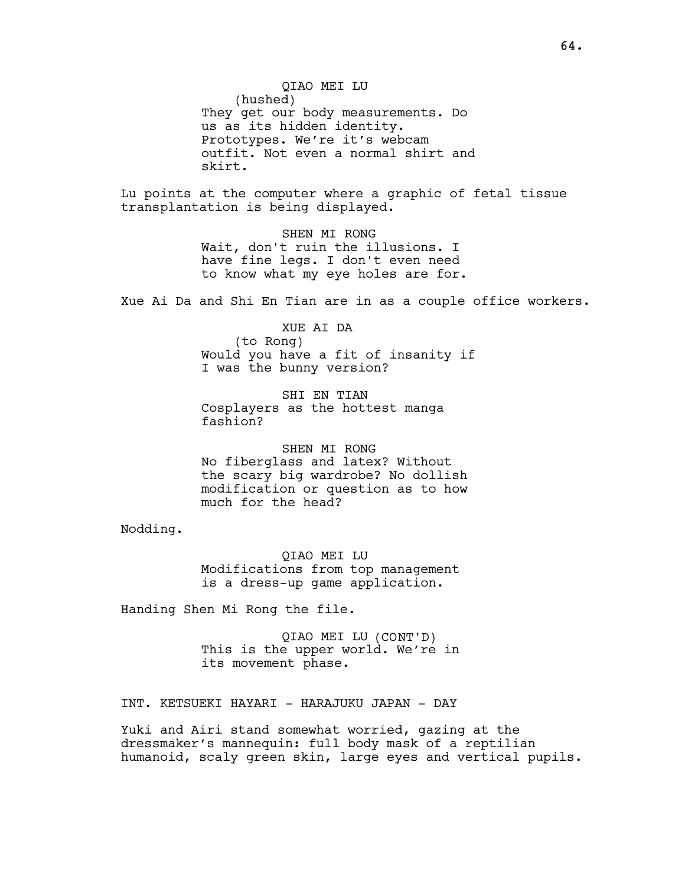QIAO MEI LU (hushed) They get our body measurements. Do us as its hidden identity. Prototypes. We're it's webcam outfit. Not even a normal shirt and skirt.

Lu points at the computer where a graphic of fetal tissue transplantation is being displayed.

> SHEN MI RONG Wait, don't ruin the illusions. I have fine legs. I don't even need to know what my eye holes are for.

Xue Ai Da and Shi En Tian are in as a couple office workers.

XUE AI DA

(to Rong) Would you have a fit of insanity if I was the bunny version?

SHI EN TIAN Cosplayers as the hottest manga fashion?

SHEN MI RONG No fiberglass and latex? Without the scary big wardrobe? No dollish modification or question as to how much for the head?

Nodding.

QIAO MEI LU Modifications from top management is a dress-up game application.

Handing Shen Mi Rong the file.

QIAO MEI LU (CONT'D) This is the upper world. We're in its movement phase.

INT. KETSUEKI HAYARI - HARAJUKU JAPAN - DAY

Yuki and Airi stand somewhat worried, gazing at the dressmaker's mannequin: full body mask of a reptilian humanoid, scaly green skin, large eyes and vertical pupils.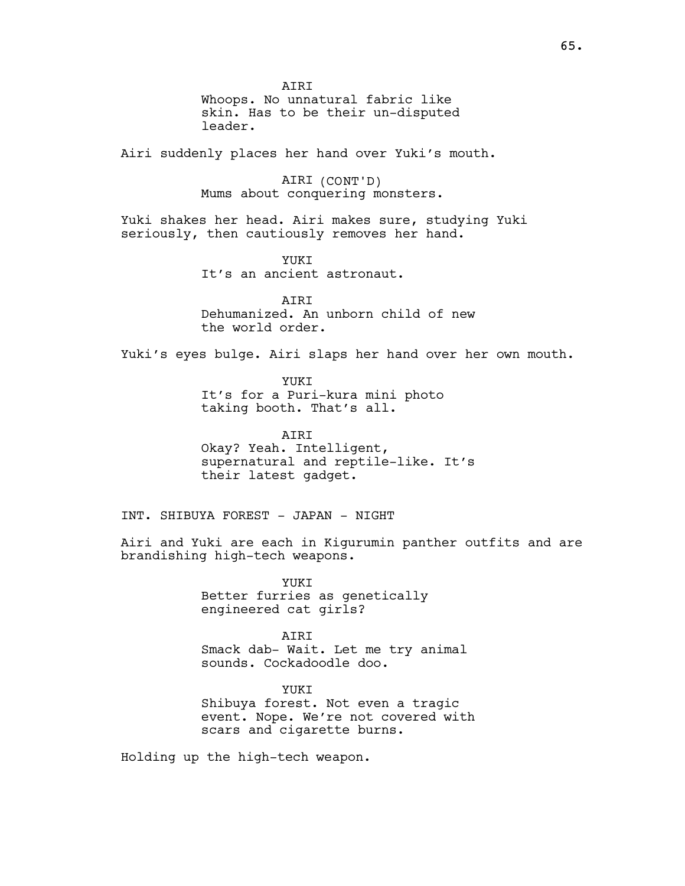AIRI Whoops. No unnatural fabric like skin. Has to be their un-disputed leader. Airi suddenly places her hand over Yuki's mouth. AIRI (CONT'D) Mums about conquering monsters. Yuki shakes her head. Airi makes sure, studying Yuki seriously, then cautiously removes her hand. YUKI It's an ancient astronaut. **ATRT** Dehumanized. An unborn child of new the world order. Yuki's eyes bulge. Airi slaps her hand over her own mouth. YUKI It's for a Puri-kura mini photo taking booth. That's all. **ATRT** Okay? Yeah. Intelligent, supernatural and reptile-like. It's their latest gadget. INT. SHIBUYA FOREST - JAPAN - NIGHT Airi and Yuki are each in Kigurumin panther outfits and are brandishing high-tech weapons. YUKI Better furries as genetically engineered cat girls? AIRI Smack dab- Wait. Let me try animal

> YUKI Shibuya forest. Not even a tragic event. Nope. We're not covered with scars and cigarette burns.

sounds. Cockadoodle doo.

Holding up the high-tech weapon.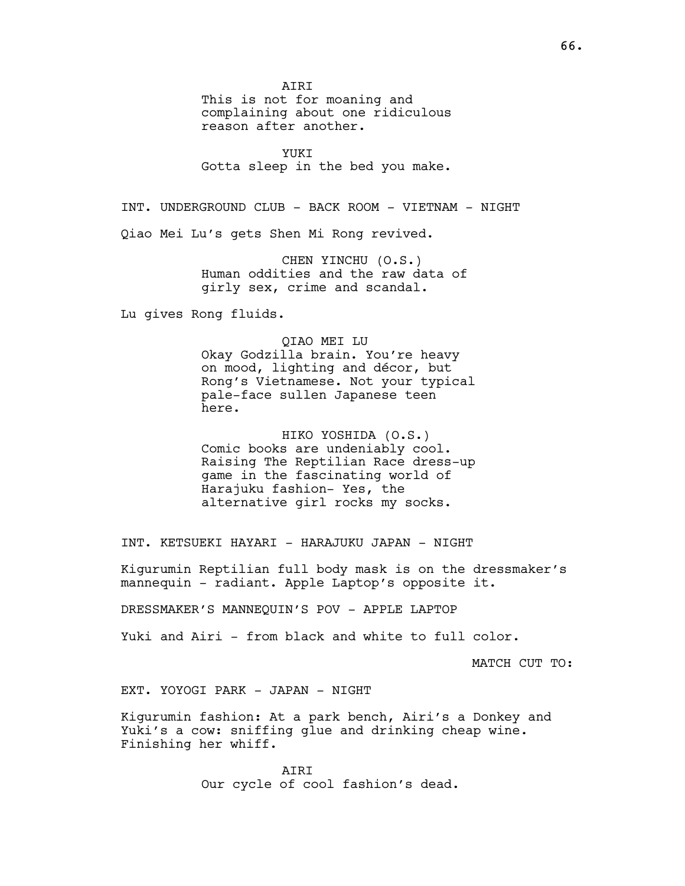AIRI

This is not for moaning and complaining about one ridiculous reason after another.

YUKI Gotta sleep in the bed you make.

INT. UNDERGROUND CLUB - BACK ROOM - VIETNAM - NIGHT

Qiao Mei Lu's gets Shen Mi Rong revived.

CHEN YINCHU (O.S.) Human oddities and the raw data of girly sex, crime and scandal.

Lu gives Rong fluids.

#### QIAO MEI LU

Okay Godzilla brain. You're heavy on mood, lighting and décor, but Rong's Vietnamese. Not your typical pale-face sullen Japanese teen here.

HIKO YOSHIDA (O.S.) Comic books are undeniably cool. Raising The Reptilian Race dress-up game in the fascinating world of Harajuku fashion- Yes, the alternative girl rocks my socks.

INT. KETSUEKI HAYARI - HARAJUKU JAPAN - NIGHT

Kigurumin Reptilian full body mask is on the dressmaker's mannequin - radiant. Apple Laptop's opposite it.

DRESSMAKER'S MANNEQUIN'S POV - APPLE LAPTOP

Yuki and Airi - from black and white to full color.

MATCH CUT TO:

EXT. YOYOGI PARK - JAPAN - NIGHT

Kigurumin fashion: At a park bench, Airi's a Donkey and Yuki's a cow: sniffing glue and drinking cheap wine. Finishing her whiff.

> AIRI Our cycle of cool fashion's dead.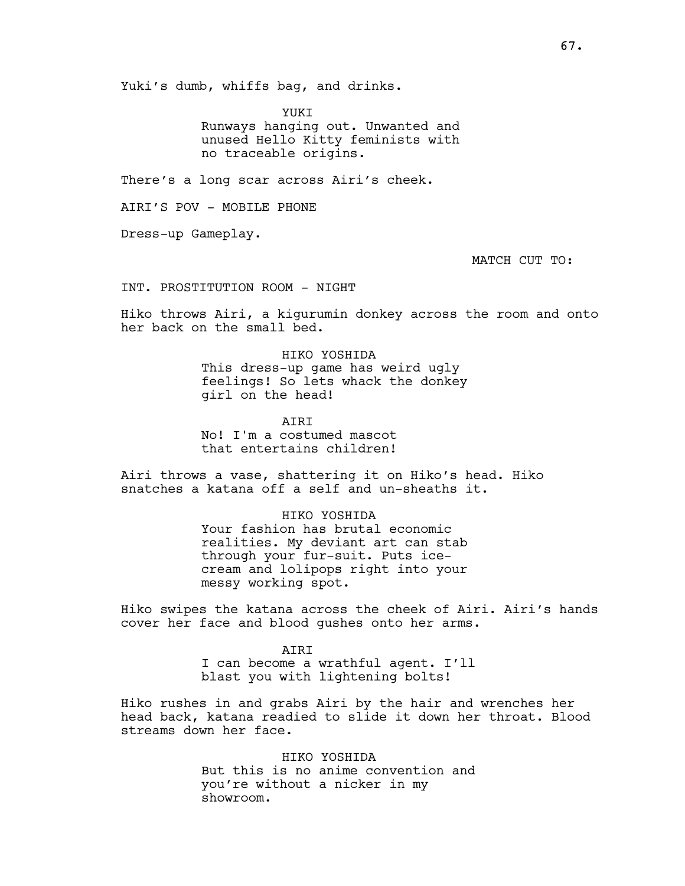Yuki's dumb, whiffs bag, and drinks.

YUKI Runways hanging out. Unwanted and unused Hello Kitty feminists with no traceable origins.

There's a long scar across Airi's cheek.

AIRI'S POV - MOBILE PHONE

Dress-up Gameplay.

MATCH CUT TO:

INT. PROSTITUTION ROOM - NIGHT

Hiko throws Airi, a kigurumin donkey across the room and onto her back on the small bed.

> HIKO YOSHIDA This dress-up game has weird ugly feelings! So lets whack the donkey girl on the head!

**ATRT** No! I'm a costumed mascot that entertains children!

Airi throws a vase, shattering it on Hiko's head. Hiko snatches a katana off a self and un-sheaths it.

> HIKO YOSHIDA Your fashion has brutal economic realities. My deviant art can stab through your fur-suit. Puts icecream and lolipops right into your messy working spot.

Hiko swipes the katana across the cheek of Airi. Airi's hands cover her face and blood gushes onto her arms.

> AIRI I can become a wrathful agent. I'll blast you with lightening bolts!

Hiko rushes in and grabs Airi by the hair and wrenches her head back, katana readied to slide it down her throat. Blood streams down her face.

> HIKO YOSHIDA But this is no anime convention and you're without a nicker in my showroom.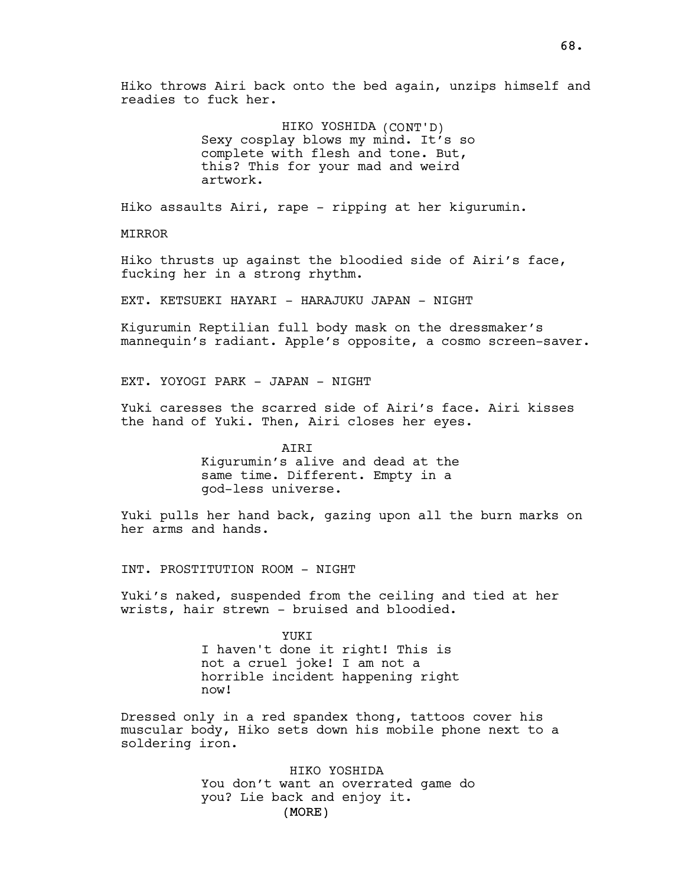Hiko throws Airi back onto the bed again, unzips himself and readies to fuck her.

> HIKO YOSHIDA (CONT'D) Sexy cosplay blows my mind. It's so complete with flesh and tone. But, this? This for your mad and weird artwork.

Hiko assaults Airi, rape - ripping at her kigurumin.

MIRROR

Hiko thrusts up against the bloodied side of Airi's face, fucking her in a strong rhythm.

EXT. KETSUEKI HAYARI - HARAJUKU JAPAN - NIGHT

Kigurumin Reptilian full body mask on the dressmaker's mannequin's radiant. Apple's opposite, a cosmo screen-saver.

EXT. YOYOGI PARK - JAPAN - NIGHT

Yuki caresses the scarred side of Airi's face. Airi kisses the hand of Yuki. Then, Airi closes her eyes.

> AIRI Kigurumin's alive and dead at the same time. Different. Empty in a god-less universe.

Yuki pulls her hand back, gazing upon all the burn marks on her arms and hands.

INT. PROSTITUTION ROOM - NIGHT

Yuki's naked, suspended from the ceiling and tied at her wrists, hair strewn - bruised and bloodied.

> YUKI I haven't done it right! This is not a cruel joke! I am not a horrible incident happening right now!

Dressed only in a red spandex thong, tattoos cover his muscular body, Hiko sets down his mobile phone next to a soldering iron.

> (MORE) HIKO YOSHIDA You don't want an overrated game do you? Lie back and enjoy it.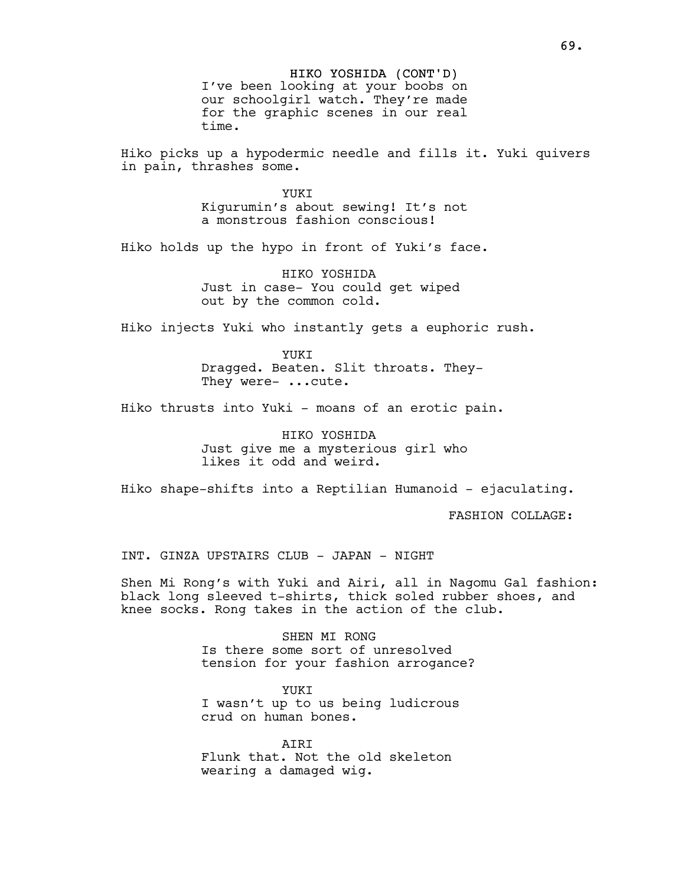HIKO YOSHIDA (CONT'D) I've been looking at your boobs on our schoolgirl watch. They're made for the graphic scenes in our real time.

Hiko picks up a hypodermic needle and fills it. Yuki quivers in pain, thrashes some.

> **YUKT** Kigurumin's about sewing! It's not a monstrous fashion conscious!

Hiko holds up the hypo in front of Yuki's face.

HIKO YOSHIDA Just in case- You could get wiped out by the common cold.

Hiko injects Yuki who instantly gets a euphoric rush.

YUKT Dragged. Beaten. Slit throats. They-They were- ...cute.

Hiko thrusts into Yuki - moans of an erotic pain.

HIKO YOSHIDA Just give me a mysterious girl who likes it odd and weird.

Hiko shape-shifts into a Reptilian Humanoid - ejaculating.

FASHION COLLAGE:

INT. GINZA UPSTAIRS CLUB - JAPAN - NIGHT

Shen Mi Rong's with Yuki and Airi, all in Nagomu Gal fashion: black long sleeved t-shirts, thick soled rubber shoes, and knee socks. Rong takes in the action of the club.

> SHEN MT RONG Is there some sort of unresolved tension for your fashion arrogance?

YUKI I wasn't up to us being ludicrous crud on human bones.

**ATRT** Flunk that. Not the old skeleton wearing a damaged wig.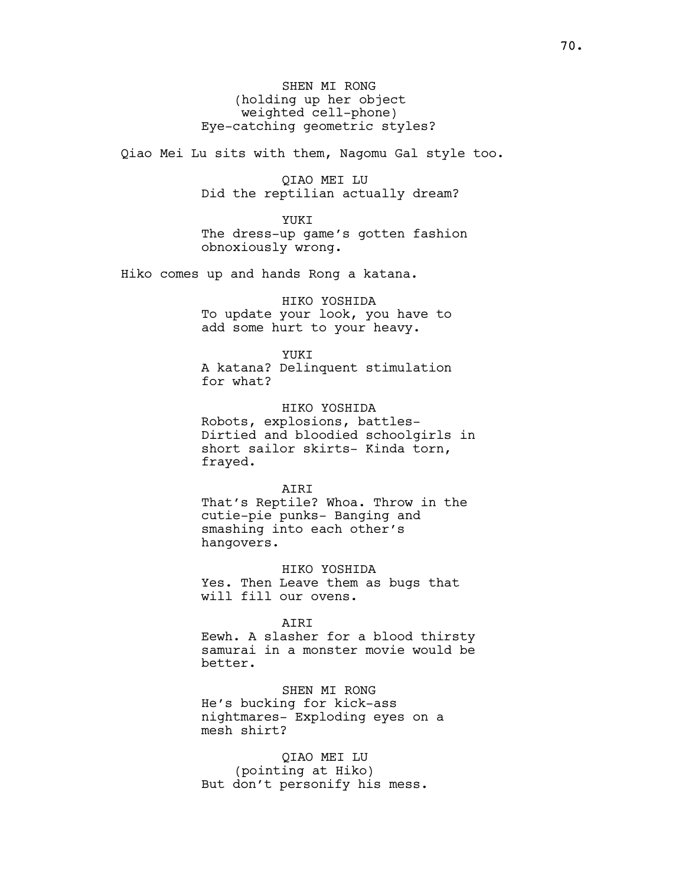SHEN MI RONG (holding up her object weighted cell-phone) Eye-catching geometric styles?

Qiao Mei Lu sits with them, Nagomu Gal style too.

QIAO MEI LU Did the reptilian actually dream?

YUKT The dress-up game's gotten fashion obnoxiously wrong.

Hiko comes up and hands Rong a katana.

HIKO YOSHIDA To update your look, you have to add some hurt to your heavy.

YUKI A katana? Delinquent stimulation for what?

HIKO YOSHIDA Robots, explosions, battles-

Dirtied and bloodied schoolgirls in short sailor skirts- Kinda torn, frayed.

**ATRT** That's Reptile? Whoa. Throw in the cutie-pie punks- Banging and smashing into each other's hangovers.

HIKO YOSHIDA Yes. Then Leave them as bugs that will fill our ovens.

AIRI Eewh. A slasher for a blood thirsty

samurai in a monster movie would be better.

SHEN MI RONG He's bucking for kick-ass nightmares- Exploding eyes on a mesh shirt?

QIAO MEI LU (pointing at Hiko) But don't personify his mess.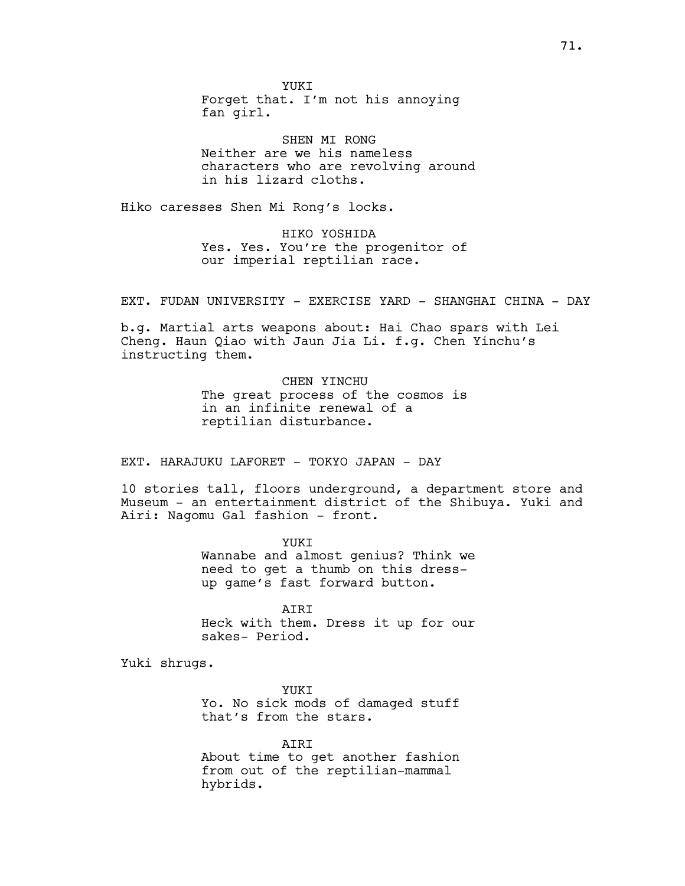YUKI Forget that. I'm not his annoying fan girl.

SHEN MI RONG Neither are we his nameless characters who are revolving around in his lizard cloths.

Hiko caresses Shen Mi Rong's locks.

HIKO YOSHIDA Yes. Yes. You're the progenitor of our imperial reptilian race.

EXT. FUDAN UNIVERSITY - EXERCISE YARD - SHANGHAI CHINA - DAY

b.g. Martial arts weapons about: Hai Chao spars with Lei Cheng. Haun Qiao with Jaun Jia Li. f.g. Chen Yinchu's instructing them.

> CHEN YINCHU The great process of the cosmos is in an infinite renewal of a reptilian disturbance.

EXT. HARAJUKU LAFORET - TOKYO JAPAN - DAY

10 stories tall, floors underground, a department store and Museum - an entertainment district of the Shibuya. Yuki and Airi: Nagomu Gal fashion - front.

> YUKI Wannabe and almost genius? Think we need to get a thumb on this dressup game's fast forward button.

> AIRI Heck with them. Dress it up for our sakes- Period.

Yuki shrugs.

YUKI Yo. No sick mods of damaged stuff that's from the stars.

AIRI About time to get another fashion from out of the reptilian-mammal hybrids.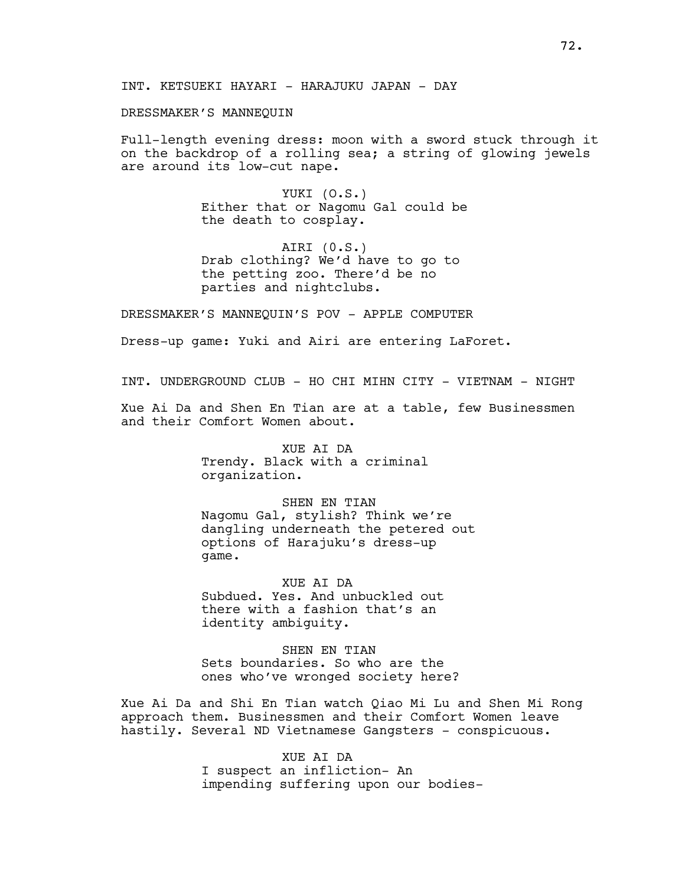DRESSMAKER'S MANNEQUIN

Full-length evening dress: moon with a sword stuck through it on the backdrop of a rolling sea; a string of glowing jewels are around its low-cut nape.

> YUKI (O.S.) Either that or Nagomu Gal could be the death to cosplay.

AIRI (0.S.) Drab clothing? We'd have to go to the petting zoo. There'd be no parties and nightclubs.

DRESSMAKER'S MANNEQUIN'S POV - APPLE COMPUTER

Dress-up game: Yuki and Airi are entering LaForet.

INT. UNDERGROUND CLUB - HO CHI MIHN CITY - VIETNAM - NIGHT

Xue Ai Da and Shen En Tian are at a table, few Businessmen and their Comfort Women about.

> XUE AI DA Trendy. Black with a criminal organization.

SHEN EN TIAN Nagomu Gal, stylish? Think we're dangling underneath the petered out options of Harajuku's dress-up game.

XUE AI DA Subdued. Yes. And unbuckled out there with a fashion that's an identity ambiguity.

SHEN EN TIAN Sets boundaries. So who are the ones who've wronged society here?

Xue Ai Da and Shi En Tian watch Qiao Mi Lu and Shen Mi Rong approach them. Businessmen and their Comfort Women leave hastily. Several ND Vietnamese Gangsters - conspicuous.

> XUE AI DA I suspect an infliction- An impending suffering upon our bodies-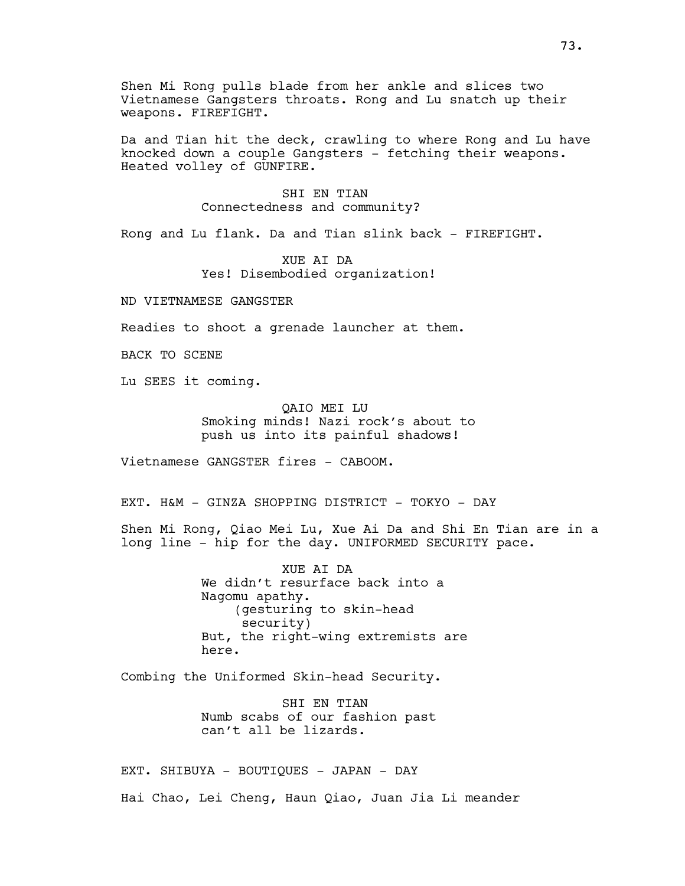Shen Mi Rong pulls blade from her ankle and slices two Vietnamese Gangsters throats. Rong and Lu snatch up their weapons. FIREFIGHT.

Da and Tian hit the deck, crawling to where Rong and Lu have knocked down a couple Gangsters - fetching their weapons. Heated volley of GUNFIRE.

# SHI EN TIAN Connectedness and community?

Rong and Lu flank. Da and Tian slink back - FIREFIGHT.

XUE AI DA Yes! Disembodied organization!

ND VIETNAMESE GANGSTER

Readies to shoot a grenade launcher at them.

BACK TO SCENE

Lu SEES it coming.

QAIO MEI LU Smoking minds! Nazi rock's about to push us into its painful shadows!

Vietnamese GANGSTER fires - CABOOM.

EXT. H&M - GINZA SHOPPING DISTRICT - TOKYO - DAY

Shen Mi Rong, Qiao Mei Lu, Xue Ai Da and Shi En Tian are in a long line - hip for the day. UNIFORMED SECURITY pace.

> XUE AI DA We didn't resurface back into a Nagomu apathy. (gesturing to skin-head security) But, the right-wing extremists are here.

Combing the Uniformed Skin-head Security.

SHI EN TIAN Numb scabs of our fashion past can't all be lizards.

EXT. SHIBUYA - BOUTIQUES - JAPAN - DAY Hai Chao, Lei Cheng, Haun Qiao, Juan Jia Li meander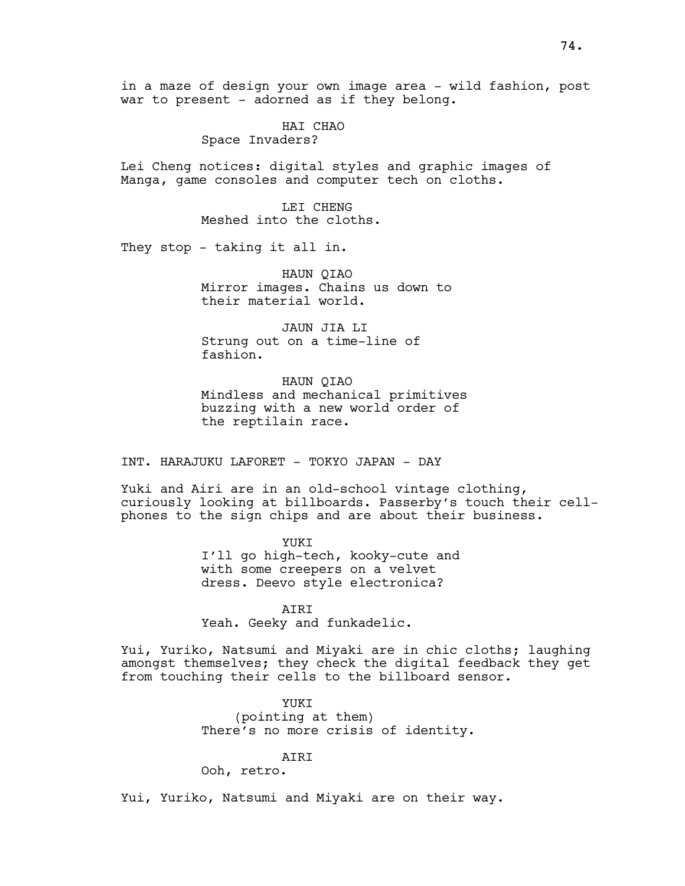in a maze of design your own image area - wild fashion, post war to present - adorned as if they belong.

> HAI CHAO Space Invaders?

Lei Cheng notices: digital styles and graphic images of Manga, game consoles and computer tech on cloths.

> LEI CHENG Meshed into the cloths.

They stop - taking it all in.

HAUN QIAO Mirror images. Chains us down to their material world.

JAUN JIA LI Strung out on a time-line of fashion.

HAUN QIAO Mindless and mechanical primitives buzzing with a new world order of the reptilain race.

INT. HARAJUKU LAFORET - TOKYO JAPAN - DAY

Yuki and Airi are in an old-school vintage clothing, curiously looking at billboards. Passerby's touch their cellphones to the sign chips and are about their business.

> YUKI I'll go high-tech, kooky-cute and with some creepers on a velvet dress. Deevo style electronica?

AIRI Yeah. Geeky and funkadelic.

Yui, Yuriko, Natsumi and Miyaki are in chic cloths; laughing amongst themselves; they check the digital feedback they get from touching their cells to the billboard sensor.

> YUKI (pointing at them) There's no more crisis of identity.

AIRI

Ooh, retro.

Yui, Yuriko, Natsumi and Miyaki are on their way.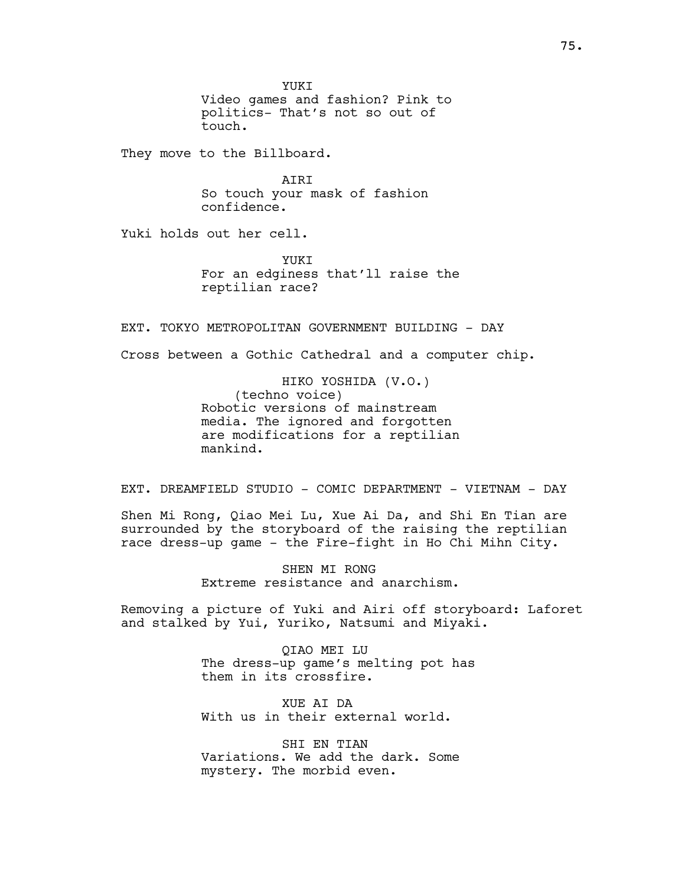YUKI Video games and fashion? Pink to politics- That's not so out of touch.

They move to the Billboard.

AIRI So touch your mask of fashion confidence.

Yuki holds out her cell.

YUKI For an edginess that'll raise the reptilian race?

EXT. TOKYO METROPOLITAN GOVERNMENT BUILDING - DAY

Cross between a Gothic Cathedral and a computer chip.

HIKO YOSHIDA (V.O.) (techno voice) Robotic versions of mainstream media. The ignored and forgotten are modifications for a reptilian mankind.

EXT. DREAMFIELD STUDIO - COMIC DEPARTMENT - VIETNAM - DAY

Shen Mi Rong, Qiao Mei Lu, Xue Ai Da, and Shi En Tian are surrounded by the storyboard of the raising the reptilian race dress-up game - the Fire-fight in Ho Chi Mihn City.

> SHEN MI RONG Extreme resistance and anarchism.

Removing a picture of Yuki and Airi off storyboard: Laforet and stalked by Yui, Yuriko, Natsumi and Miyaki.

> QIAO MEI LU The dress-up game's melting pot has them in its crossfire.

XUE AI DA With us in their external world.

SHI EN TIAN Variations. We add the dark. Some mystery. The morbid even.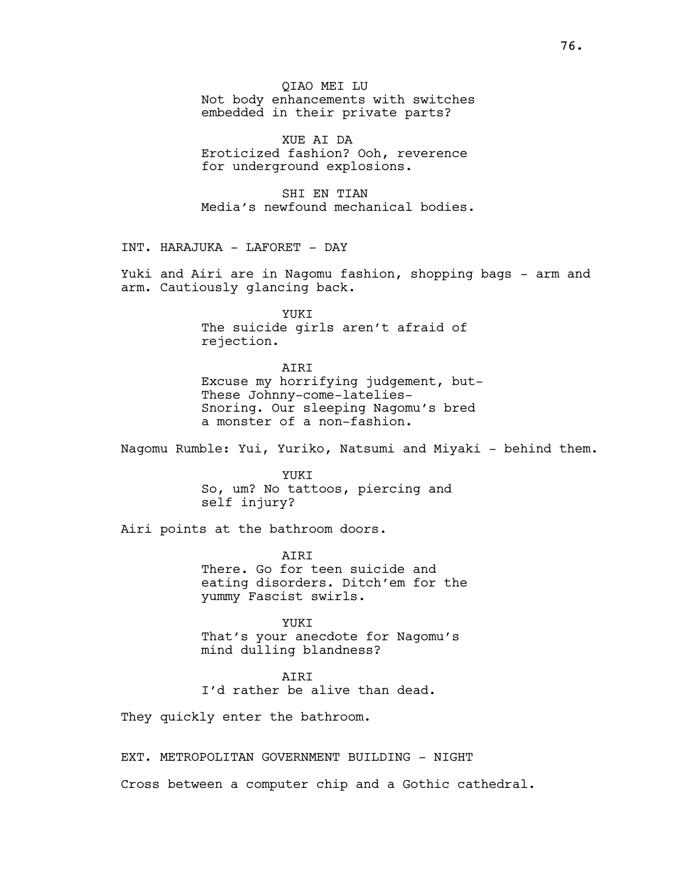QIAO MEI LU Not body enhancements with switches embedded in their private parts?

XUE AI DA Eroticized fashion? Ooh, reverence for underground explosions.

SHI EN TIAN Media's newfound mechanical bodies.

INT. HARAJUKA - LAFORET - DAY

Yuki and Airi are in Nagomu fashion, shopping bags - arm and arm. Cautiously glancing back.

> **YUKT** The suicide girls aren't afraid of rejection.

AIRI Excuse my horrifying judgement, but-These Johnny-come-latelies-Snoring. Our sleeping Nagomu's bred a monster of a non-fashion.

Nagomu Rumble: Yui, Yuriko, Natsumi and Miyaki - behind them.

YUKI So, um? No tattoos, piercing and self injury?

Airi points at the bathroom doors.

AIRI There. Go for teen suicide and eating disorders. Ditch'em for the yummy Fascist swirls.

YUKI That's your anecdote for Nagomu's mind dulling blandness?

### AIRI

I'd rather be alive than dead.

They quickly enter the bathroom.

EXT. METROPOLITAN GOVERNMENT BUILDING - NIGHT

Cross between a computer chip and a Gothic cathedral.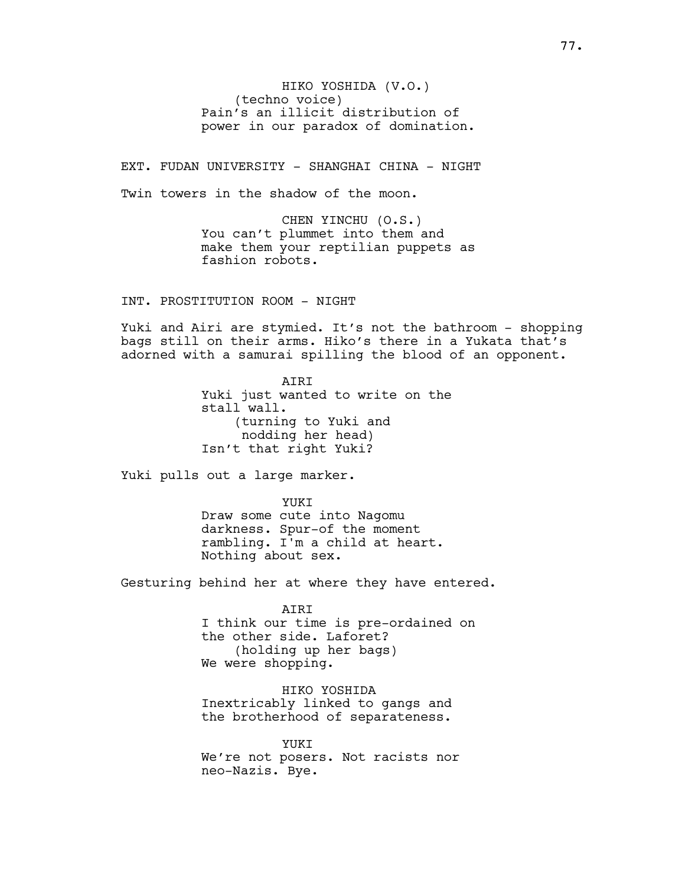HIKO YOSHIDA (V.O.) (techno voice) Pain's an illicit distribution of power in our paradox of domination.

EXT. FUDAN UNIVERSITY - SHANGHAI CHINA - NIGHT

Twin towers in the shadow of the moon.

CHEN YINCHU (O.S.) You can't plummet into them and make them your reptilian puppets as fashion robots.

INT. PROSTITUTION ROOM - NIGHT

Yuki and Airi are stymied. It's not the bathroom - shopping bags still on their arms. Hiko's there in a Yukata that's adorned with a samurai spilling the blood of an opponent.

> AIRI Yuki just wanted to write on the stall wall. (turning to Yuki and nodding her head) Isn't that right Yuki?

Yuki pulls out a large marker.

YUKI Draw some cute into Nagomu darkness. Spur-of the moment rambling. I'm a child at heart. Nothing about sex.

Gesturing behind her at where they have entered.

AIRI I think our time is pre-ordained on the other side. Laforet? (holding up her bags) We were shopping.

HIKO YOSHIDA Inextricably linked to gangs and the brotherhood of separateness.

YUKI We're not posers. Not racists nor neo-Nazis. Bye.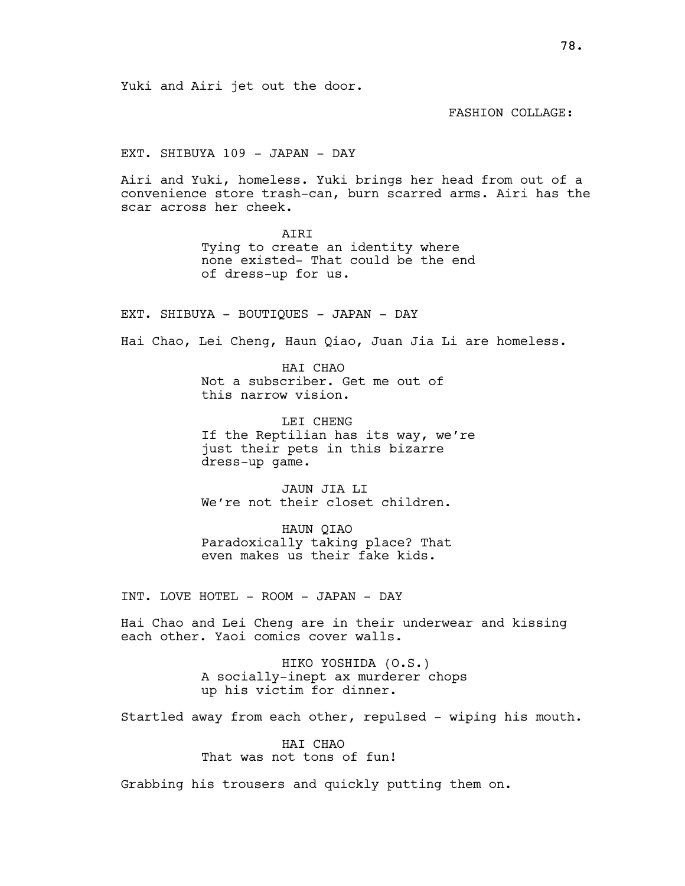FASHION COLLAGE:

EXT. SHIBUYA 109 - JAPAN - DAY

Airi and Yuki, homeless. Yuki brings her head from out of a convenience store trash-can, burn scarred arms. Airi has the scar across her cheek.

> AIRI Tying to create an identity where none existed- That could be the end of dress-up for us.

EXT. SHIBUYA - BOUTIQUES - JAPAN - DAY

Hai Chao, Lei Cheng, Haun Qiao, Juan Jia Li are homeless.

HAI CHAO Not a subscriber. Get me out of this narrow vision.

LEI CHENG If the Reptilian has its way, we're just their pets in this bizarre dress-up game.

JAUN JIA LI We're not their closet children.

HAUN QIAO Paradoxically taking place? That even makes us their fake kids.

INT. LOVE HOTEL - ROOM - JAPAN - DAY

Hai Chao and Lei Cheng are in their underwear and kissing each other. Yaoi comics cover walls.

> HIKO YOSHIDA (O.S.) A socially-inept ax murderer chops up his victim for dinner.

Startled away from each other, repulsed - wiping his mouth.

HAI CHAO That was not tons of fun!

Grabbing his trousers and quickly putting them on.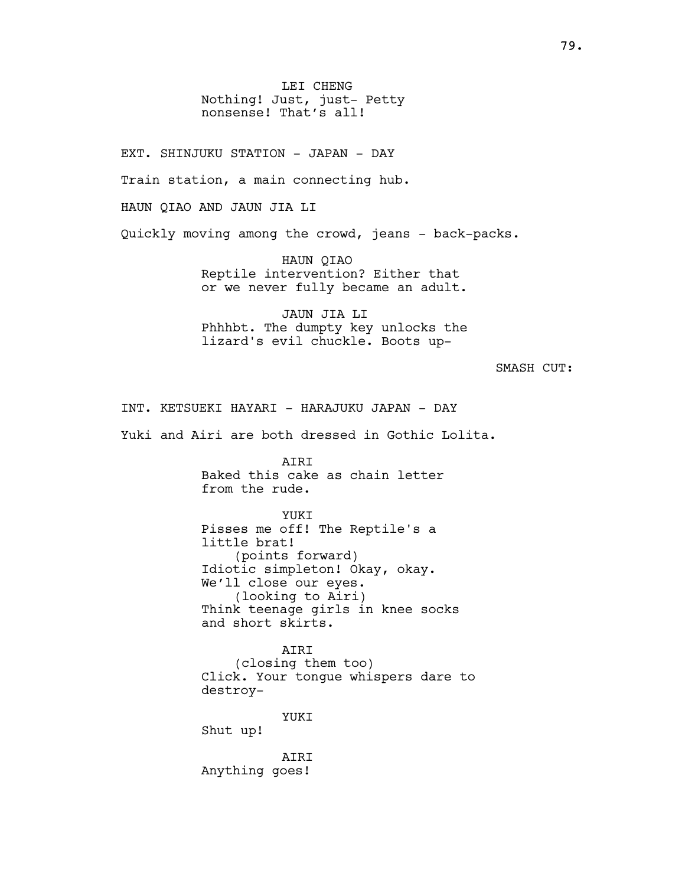LEI CHENG Nothing! Just, just- Petty nonsense! That's all!

EXT. SHINJUKU STATION - JAPAN - DAY Train station, a main connecting hub. HAUN QIAO AND JAUN JIA LI Quickly moving among the crowd, jeans - back-packs.

> HAUN QIAO Reptile intervention? Either that or we never fully became an adult.

> JAUN JIA LI Phhhbt. The dumpty key unlocks the lizard's evil chuckle. Boots up-

> > SMASH CUT:

INT. KETSUEKI HAYARI - HARAJUKU JAPAN - DAY

Yuki and Airi are both dressed in Gothic Lolita.

AIRI Baked this cake as chain letter from the rude.

YUKI Pisses me off! The Reptile's a little brat! (points forward) Idiotic simpleton! Okay, okay. We'll close our eyes. (looking to Airi) Think teenage girls in knee socks and short skirts.

AIRI (closing them too) Click. Your tongue whispers dare to destroy-

YUKI

Shut up!

AIRI Anything goes!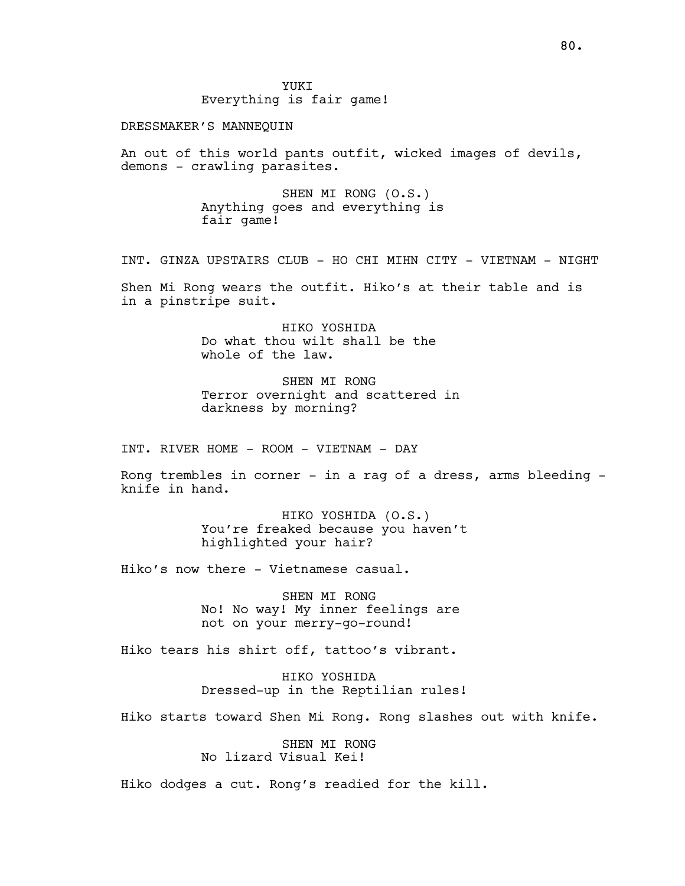Everything is fair game!

## DRESSMAKER'S MANNEQUIN

An out of this world pants outfit, wicked images of devils, demons - crawling parasites.

> SHEN MI RONG (O.S.) Anything goes and everything is fair game!

INT. GINZA UPSTAIRS CLUB - HO CHI MIHN CITY - VIETNAM - NIGHT

Shen Mi Rong wears the outfit. Hiko's at their table and is in a pinstripe suit.

> HIKO YOSHIDA Do what thou wilt shall be the whole of the law.

SHEN MI RONG Terror overnight and scattered in darkness by morning?

INT. RIVER HOME - ROOM - VIETNAM - DAY

Rong trembles in corner - in a rag of a dress, arms bleeding knife in hand.

> HIKO YOSHIDA (O.S.) You're freaked because you haven't highlighted your hair?

Hiko's now there - Vietnamese casual.

SHEN MI RONG No! No way! My inner feelings are not on your merry-go-round!

Hiko tears his shirt off, tattoo's vibrant.

HIKO YOSHIDA Dressed-up in the Reptilian rules!

Hiko starts toward Shen Mi Rong. Rong slashes out with knife.

SHEN MI RONG No lizard Visual Kei!

Hiko dodges a cut. Rong's readied for the kill.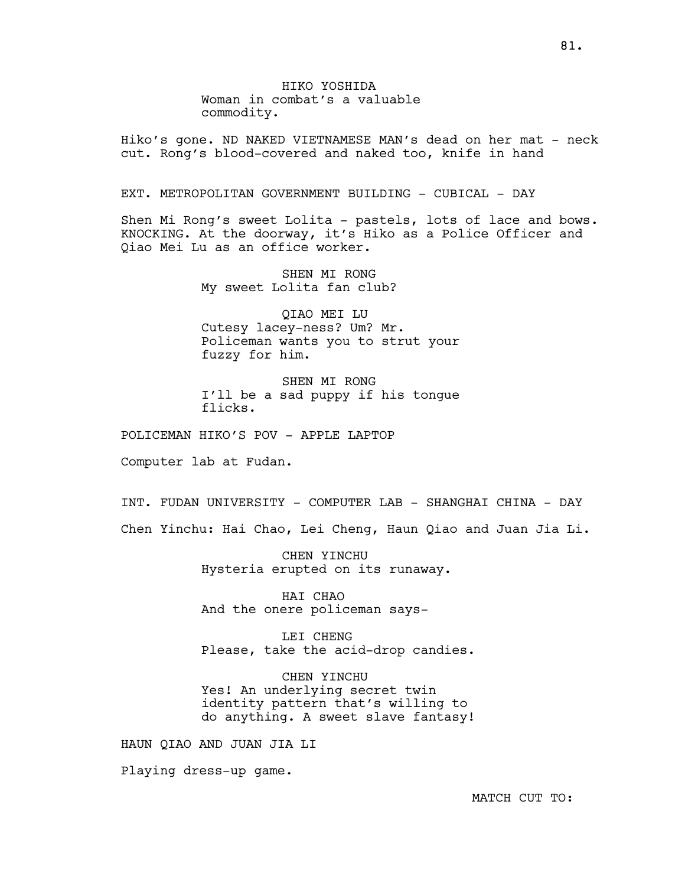HIKO YOSHIDA Woman in combat's a valuable commodity.

Hiko's gone. ND NAKED VIETNAMESE MAN's dead on her mat - neck cut. Rong's blood-covered and naked too, knife in hand

# EXT. METROPOLITAN GOVERNMENT BUILDING - CUBICAL - DAY

Shen Mi Rong's sweet Lolita - pastels, lots of lace and bows. KNOCKING. At the doorway, it's Hiko as a Police Officer and Qiao Mei Lu as an office worker.

> SHEN MI RONG My sweet Lolita fan club?

QIAO MEI LU Cutesy lacey-ness? Um? Mr. Policeman wants you to strut your fuzzy for him.

SHEN MI RONG I'll be a sad puppy if his tongue flicks.

POLICEMAN HIKO'S POV - APPLE LAPTOP

Computer lab at Fudan.

INT. FUDAN UNIVERSITY - COMPUTER LAB - SHANGHAI CHINA - DAY Chen Yinchu: Hai Chao, Lei Cheng, Haun Qiao and Juan Jia Li.

> CHEN YINCHU Hysteria erupted on its runaway.

HAI CHAO And the onere policeman says-

LEI CHENG Please, take the acid-drop candies.

CHEN YINCHU Yes! An underlying secret twin identity pattern that's willing to do anything. A sweet slave fantasy!

HAUN QIAO AND JUAN JIA LI

Playing dress-up game.

81.

MATCH CUT TO: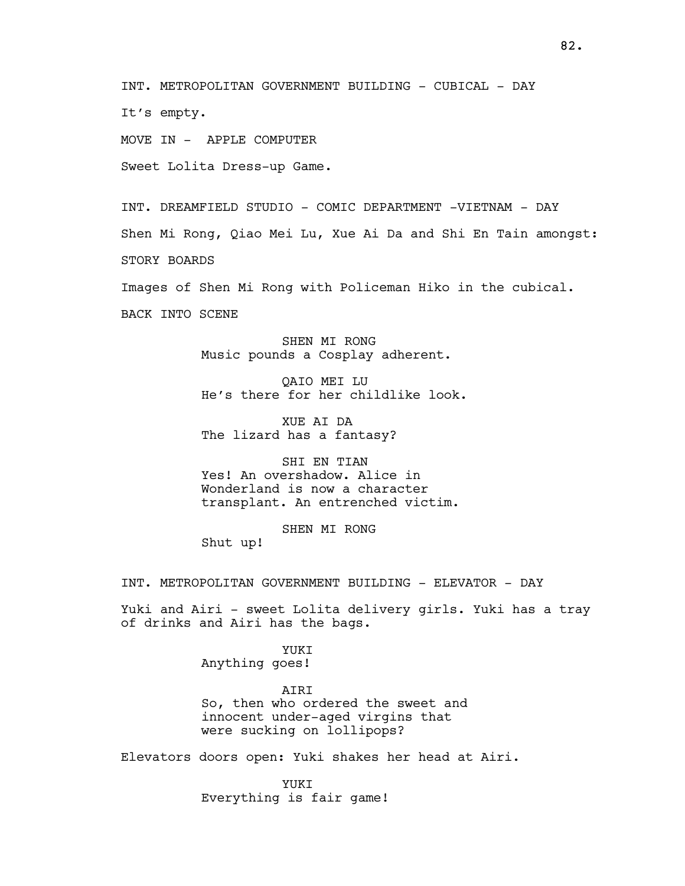INT. METROPOLITAN GOVERNMENT BUILDING - CUBICAL - DAY

It's empty.

MOVE IN - APPLE COMPUTER

Sweet Lolita Dress-up Game.

INT. DREAMFIELD STUDIO - COMIC DEPARTMENT -VIETNAM - DAY Shen Mi Rong, Qiao Mei Lu, Xue Ai Da and Shi En Tain amongst: STORY BOARDS

Images of Shen Mi Rong with Policeman Hiko in the cubical.

BACK INTO SCENE

SHEN MT RONG Music pounds a Cosplay adherent.

QAIO MEI LU He's there for her childlike look.

XUE AI DA The lizard has a fantasy?

SHI EN TIAN Yes! An overshadow. Alice in Wonderland is now a character transplant. An entrenched victim.

SHEN MI RONG Shut up!

INT. METROPOLITAN GOVERNMENT BUILDING - ELEVATOR - DAY

Yuki and Airi - sweet Lolita delivery girls. Yuki has a tray of drinks and Airi has the bags.

> YUKI Anything goes!

AIRI So, then who ordered the sweet and innocent under-aged virgins that were sucking on lollipops?

Elevators doors open: Yuki shakes her head at Airi.

YUKT Everything is fair game!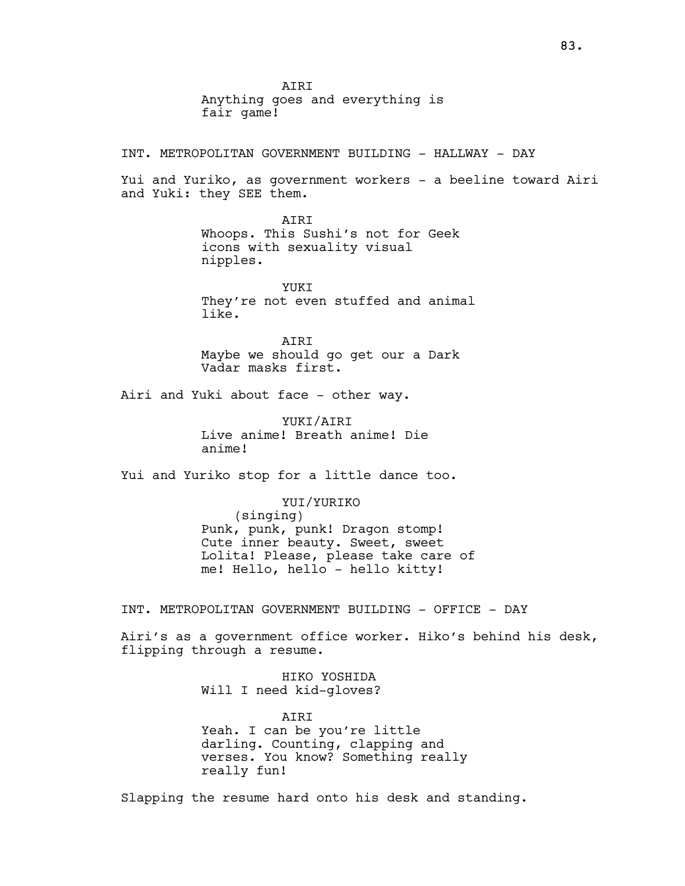INT. METROPOLITAN GOVERNMENT BUILDING - HALLWAY - DAY

Yui and Yuriko, as government workers - a beeline toward Airi and Yuki: they SEE them.

> **ATRT** Whoops. This Sushi's not for Geek icons with sexuality visual nipples.

YUKT They're not even stuffed and animal like.

**ATRT** Maybe we should go get our a Dark Vadar masks first.

Airi and Yuki about face - other way.

YUKI/AIRI Live anime! Breath anime! Die anime!

Yui and Yuriko stop for a little dance too.

### YUI/YURIKO

(singing) Punk, punk, punk! Dragon stomp! Cute inner beauty. Sweet, sweet Lolita! Please, please take care of me! Hello, hello - hello kitty!

INT. METROPOLITAN GOVERNMENT BUILDING - OFFICE - DAY

Airi's as a government office worker. Hiko's behind his desk, flipping through a resume.

> HIKO YOSHIDA Will I need kid-gloves?

AIRI Yeah. I can be you're little darling. Counting, clapping and verses. You know? Something really really fun!

Slapping the resume hard onto his desk and standing.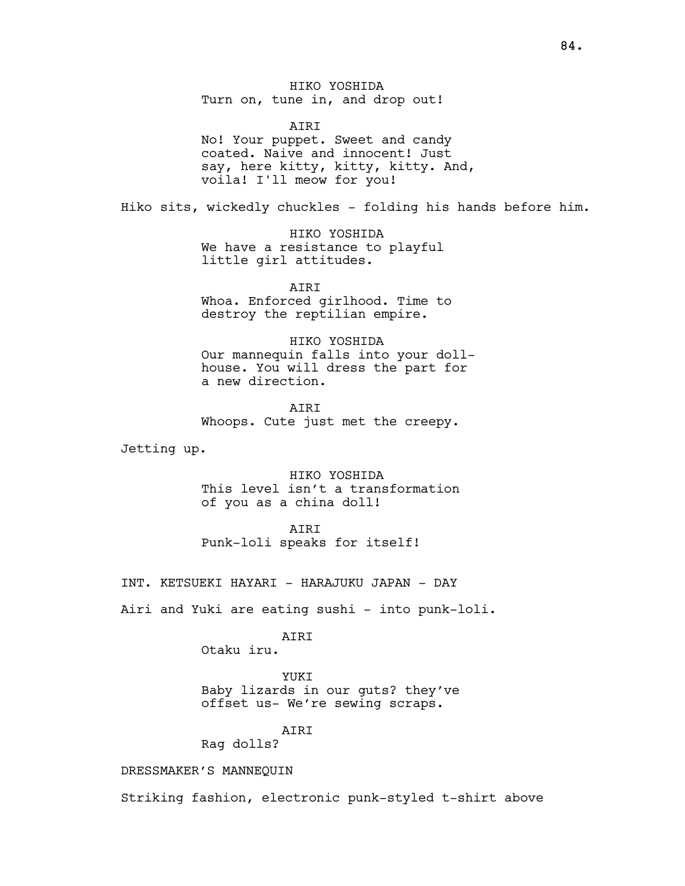HIKO YOSHIDA Turn on, tune in, and drop out!

 AIRI No! Your puppet. Sweet and candy coated. Naive and innocent! Just say, here kitty, kitty, kitty. And, voila! I'll meow for you!

Hiko sits, wickedly chuckles - folding his hands before him.

 HIKO YOSHIDA We have a resistance to playful little girl attitudes.

**ATRT** Whoa. Enforced girlhood. Time to destroy the reptilian empire.

 HIKO YOSHIDA Our mannequin falls into your dollhouse. You will dress the part for a new direction.

 AIRI Whoops. Cute just met the creepy.

Jetting up.

 HIKO YOSHIDA This level isn't a transformation of you as a china doll!

 AIRI Punk-loli speaks for itself!

INT. KETSUEKI HAYARI - HARAJUKU JAPAN - DAY

Airi and Yuki are eating sushi - into punk-loli.

ATRT

Otaku iru.

YUKI

Baby lizards in our guts? they've offset us- We're sewing scraps.

AIRI

Rag dolls?

DRESSMAKER'S MANNEQUIN

Striking fashion, electronic punk-styled t-shirt above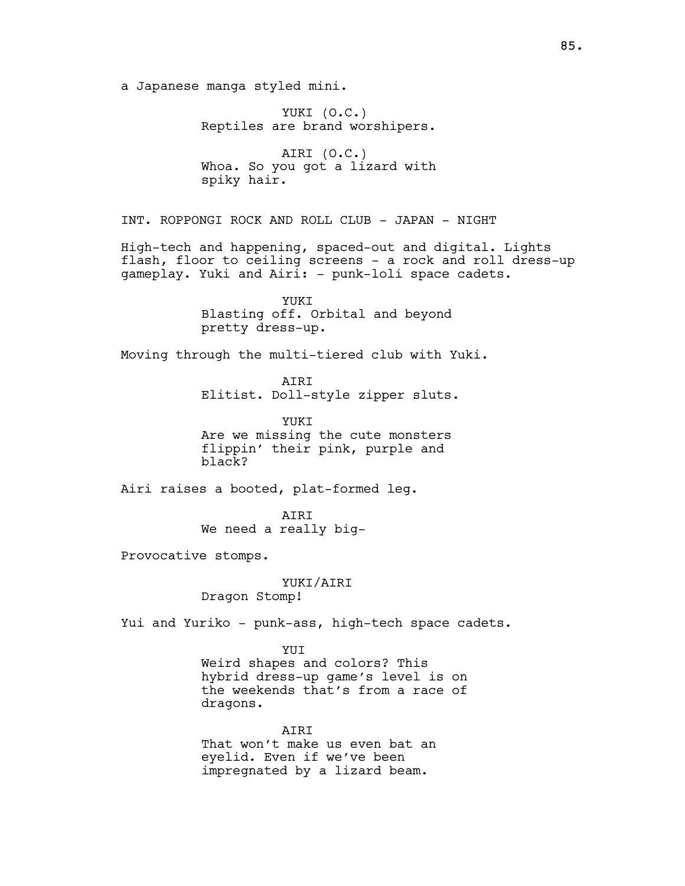a Japanese manga styled mini.

YUKI (O.C.) Reptiles are brand worshipers.

AIRI (O.C.) Whoa. So you got a lizard with spiky hair.

INT. ROPPONGI ROCK AND ROLL CLUB - JAPAN - NIGHT

High-tech and happening, spaced-out and digital. Lights flash, floor to ceiling screens - a rock and roll dress-up gameplay. Yuki and Airi: - punk-loli space cadets.

> YUKI Blasting off. Orbital and beyond pretty dress-up.

Moving through the multi-tiered club with Yuki.

AIRI Elitist. Doll-style zipper sluts.

YUKI Are we missing the cute monsters flippin' their pink, purple and black?

Airi raises a booted, plat-formed leg.

AIRI We need a really big-

Provocative stomps.

YUKI/AIRI

Dragon Stomp!

Yui and Yuriko - punk-ass, high-tech space cadets.

YUI

Weird shapes and colors? This hybrid dress-up game's level is on the weekends that's from a race of dragons.

**ATRT** That won't make us even bat an eyelid. Even if we've been impregnated by a lizard beam.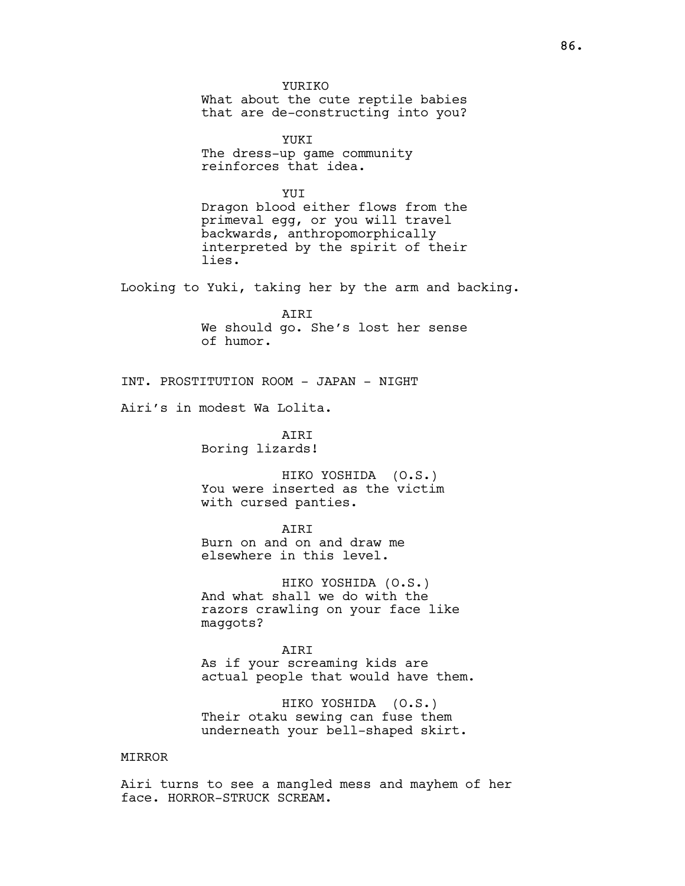YURIKO What about the cute reptile babies that are de-constructing into you?

YUKI The dress-up game community reinforces that idea.

**YUT** Dragon blood either flows from the primeval egg, or you will travel backwards, anthropomorphically interpreted by the spirit of their lies.

Looking to Yuki, taking her by the arm and backing.

AIRI We should go. She's lost her sense of humor.

INT. PROSTITUTION ROOM - JAPAN - NIGHT

Airi's in modest Wa Lolita.

**ATRT** Boring lizards!

HIKO YOSHIDA (O.S.) You were inserted as the victim with cursed panties.

AIRI Burn on and on and draw me elsewhere in this level.

HIKO YOSHIDA (O.S.) And what shall we do with the razors crawling on your face like maggots?

AIRI As if your screaming kids are actual people that would have them.

HIKO YOSHIDA (O.S.) Their otaku sewing can fuse them underneath your bell-shaped skirt.

# MIRROR

Airi turns to see a mangled mess and mayhem of her face. HORROR-STRUCK SCREAM.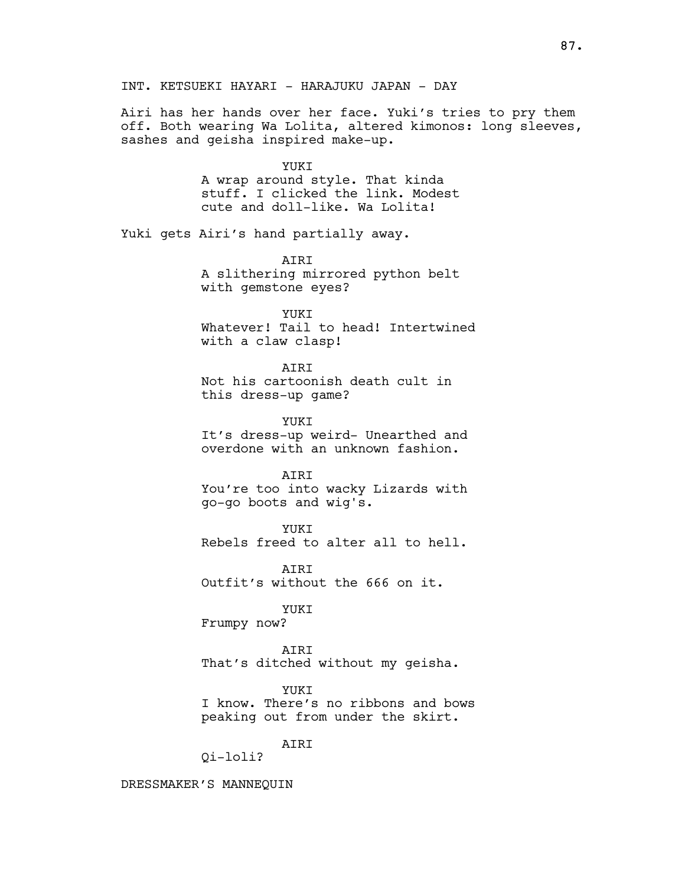INT. KETSUEKI HAYARI - HARAJUKU JAPAN - DAY

Airi has her hands over her face. Yuki's tries to pry them off. Both wearing Wa Lolita, altered kimonos: long sleeves, sashes and geisha inspired make-up.

YUKI

A wrap around style. That kinda stuff. I clicked the link. Modest cute and doll-like. Wa Lolita!

Yuki gets Airi's hand partially away.

AIRI A slithering mirrored python belt with gemstone eyes?

YUKT

Whatever! Tail to head! Intertwined with a claw clasp!

**ATRT** 

Not his cartoonish death cult in this dress-up game?

YUKT

It's dress-up weird- Unearthed and overdone with an unknown fashion.

AIRI

You're too into wacky Lizards with go-go boots and wig's.

YUKI Rebels freed to alter all to hell.

ATRT Outfit's without the 666 on it.

YUKI Frumpy now?

AIRI That's ditched without my geisha.

YUKI I know. There's no ribbons and bows peaking out from under the skirt.

AIRI

Qi-loli?

DRESSMAKER'S MANNEQUIN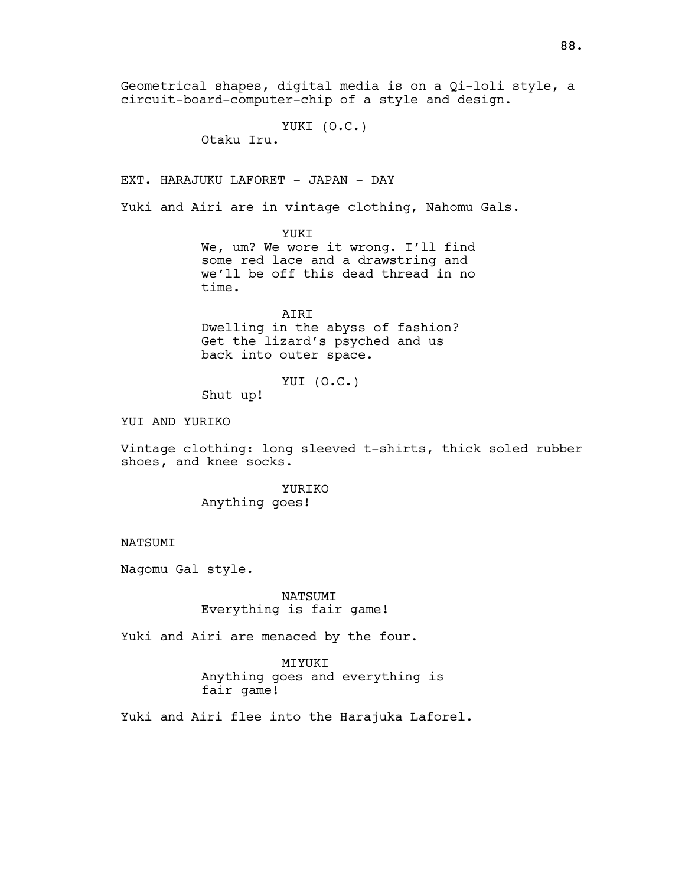Geometrical shapes, digital media is on a Qi-loli style, a circuit-board-computer-chip of a style and design.

```
YUKI (O.C.)
```
Otaku Iru.

EXT. HARAJUKU LAFORET - JAPAN - DAY

Yuki and Airi are in vintage clothing, Nahomu Gals.

YUKI

We, um? We wore it wrong. I'll find some red lace and a drawstring and we'll be off this dead thread in no time.

AIRI Dwelling in the abyss of fashion? Get the lizard's psyched and us back into outer space.

YUI (O.C.)

Shut up!

YUI AND YURIKO

Vintage clothing: long sleeved t-shirts, thick soled rubber shoes, and knee socks.

> YURIKO Anything goes!

NATSUMI

Nagomu Gal style.

NATSUMI Everything is fair game!

Yuki and Airi are menaced by the four.

MIYUKI Anything goes and everything is fair game!

Yuki and Airi flee into the Harajuka Laforel.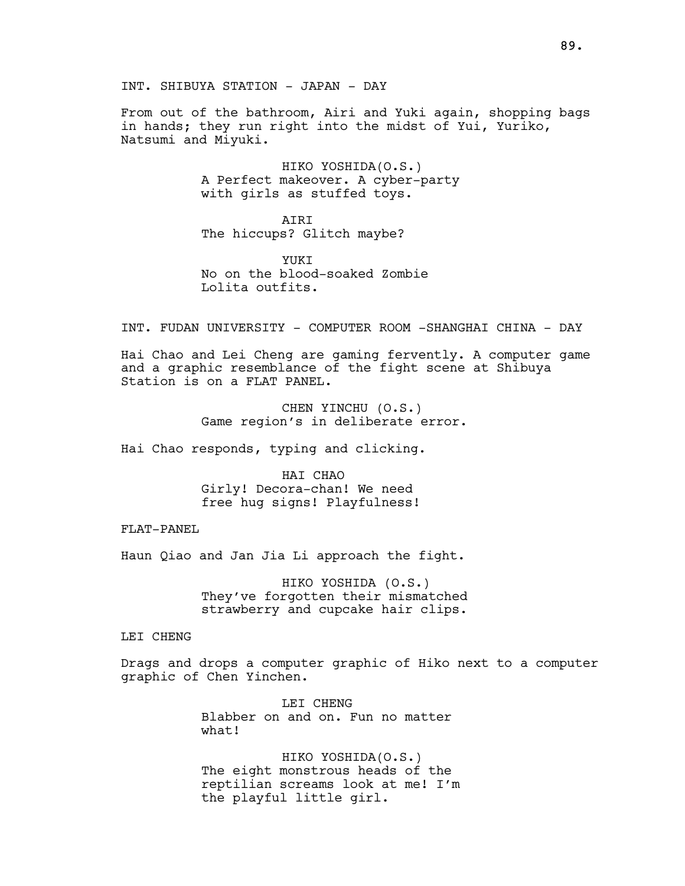From out of the bathroom, Airi and Yuki again, shopping bags in hands; they run right into the midst of Yui, Yuriko, Natsumi and Miyuki.

> HIKO YOSHIDA(O.S.) A Perfect makeover. A cyber-party with girls as stuffed toys.

**ATRT** The hiccups? Glitch maybe?

YUKI No on the blood-soaked Zombie Lolita outfits.

INT. FUDAN UNIVERSITY - COMPUTER ROOM -SHANGHAI CHINA - DAY

Hai Chao and Lei Cheng are gaming fervently. A computer game and a graphic resemblance of the fight scene at Shibuya Station is on a FLAT PANEL.

> CHEN YINCHU (O.S.) Game region's in deliberate error.

Hai Chao responds, typing and clicking.

HAI CHAO Girly! Decora-chan! We need free hug signs! Playfulness!

FLAT-PANEL

Haun Qiao and Jan Jia Li approach the fight.

HIKO YOSHIDA (O.S.) They've forgotten their mismatched strawberry and cupcake hair clips.

LEI CHENG

Drags and drops a computer graphic of Hiko next to a computer graphic of Chen Yinchen.

> LEI CHENG Blabber on and on. Fun no matter what!

HIKO YOSHIDA(O.S.) The eight monstrous heads of the reptilian screams look at me! I'm the playful little girl.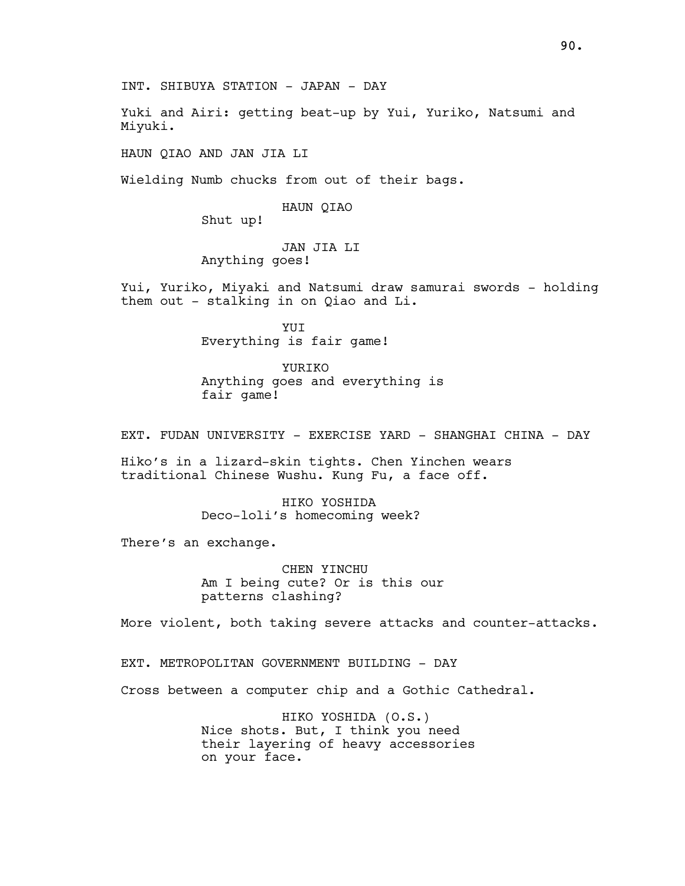INT. SHIBUYA STATION - JAPAN - DAY

Yuki and Airi: getting beat-up by Yui, Yuriko, Natsumi and Miyuki.

HAUN QIAO AND JAN JIA LI

Wielding Numb chucks from out of their bags.

### HAUN QIAO

Shut up!

# JAN JIA LI Anything goes!

Yui, Yuriko, Miyaki and Natsumi draw samurai swords - holding them out - stalking in on Qiao and Li.

> YUI Everything is fair game!

YURIKO Anything goes and everything is fair game!

EXT. FUDAN UNIVERSITY - EXERCISE YARD - SHANGHAI CHINA - DAY

Hiko's in a lizard-skin tights. Chen Yinchen wears traditional Chinese Wushu. Kung Fu, a face off.

> HIKO YOSHIDA Deco-loli's homecoming week?

There's an exchange.

CHEN YINCHU Am I being cute? Or is this our patterns clashing?

More violent, both taking severe attacks and counter-attacks.

EXT. METROPOLITAN GOVERNMENT BUILDING - DAY

Cross between a computer chip and a Gothic Cathedral.

HIKO YOSHIDA (O.S.) Nice shots. But, I think you need their layering of heavy accessories on your face.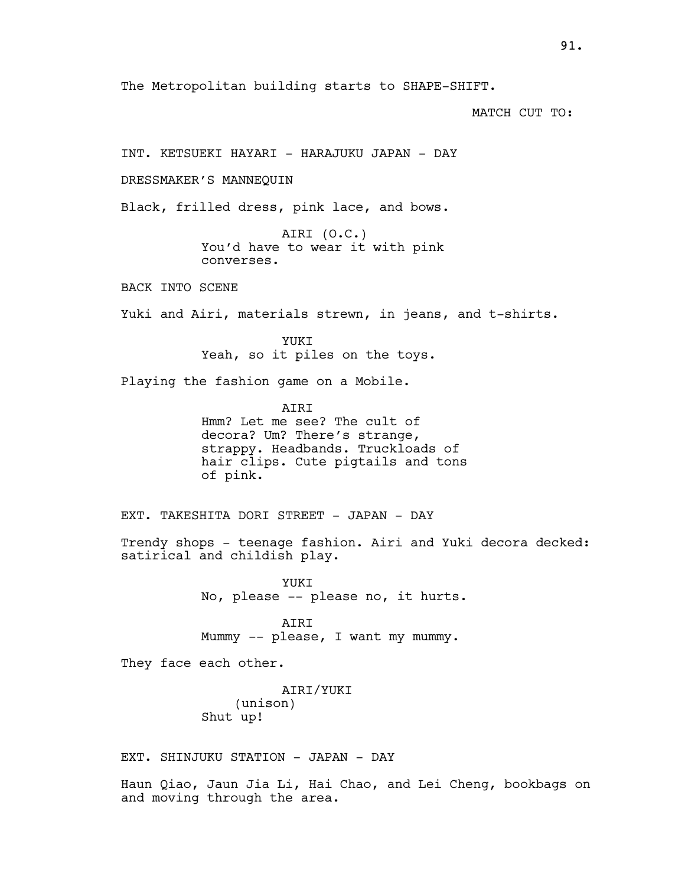The Metropolitan building starts to SHAPE-SHIFT.

MATCH CUT TO:

INT. KETSUEKI HAYARI - HARAJUKU JAPAN - DAY

DRESSMAKER'S MANNEQUIN

Black, frilled dress, pink lace, and bows.

AIRI (O.C.) You'd have to wear it with pink converses.

BACK INTO SCENE

Yuki and Airi, materials strewn, in jeans, and t-shirts.

YUKT Yeah, so it piles on the toys.

Playing the fashion game on a Mobile.

AIRI

Hmm? Let me see? The cult of decora? Um? There's strange, strappy. Headbands. Truckloads of hair clips. Cute pigtails and tons of pink.

EXT. TAKESHITA DORI STREET - JAPAN - DAY

Trendy shops - teenage fashion. Airi and Yuki decora decked: satirical and childish play.

> YUKT No, please -- please no, it hurts.

AIRI Mummy -- please, I want my mummy.

They face each other.

AIRI/YUKI (unison) Shut up!

EXT. SHINJUKU STATION - JAPAN - DAY

Haun Qiao, Jaun Jia Li, Hai Chao, and Lei Cheng, bookbags on and moving through the area.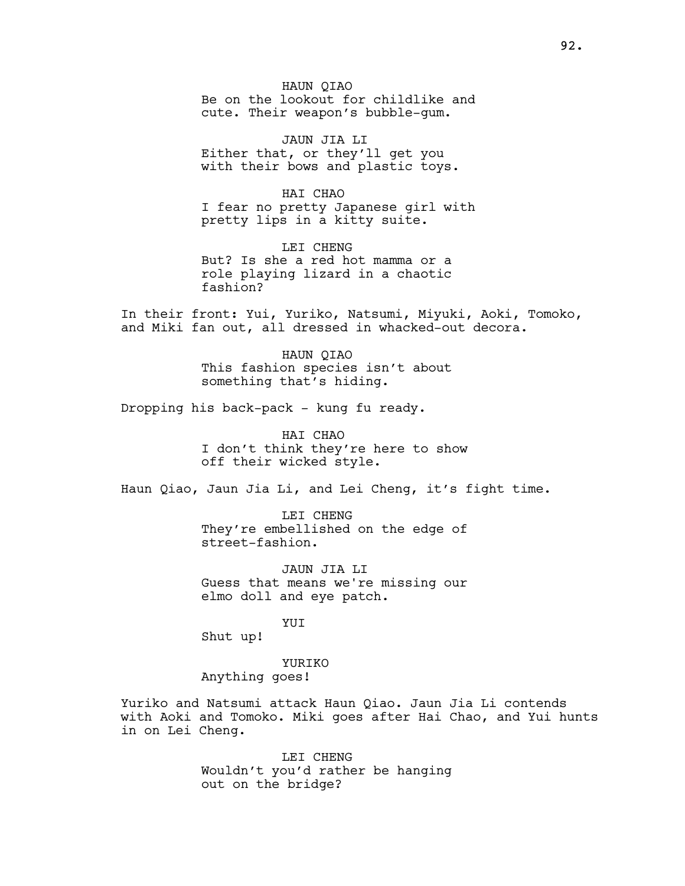HAUN QIAO Be on the lookout for childlike and cute. Their weapon's bubble-gum.

JAUN JIA LI Either that, or they'll get you with their bows and plastic toys.

HAI CHAO I fear no pretty Japanese girl with pretty lips in a kitty suite.

LEI CHENG But? Is she a red hot mamma or a role playing lizard in a chaotic fashion?

In their front: Yui, Yuriko, Natsumi, Miyuki, Aoki, Tomoko, and Miki fan out, all dressed in whacked-out decora.

> HAUN QIAO This fashion species isn't about something that's hiding.

Dropping his back-pack - kung fu ready.

HAI CHAO I don't think they're here to show off their wicked style.

Haun Qiao, Jaun Jia Li, and Lei Cheng, it's fight time.

LEI CHENG They're embellished on the edge of street-fashion.

JAUN JIA LI Guess that means we're missing our elmo doll and eye patch.

YUI

Shut up!

YURIKO Anything goes!

Yuriko and Natsumi attack Haun Qiao. Jaun Jia Li contends with Aoki and Tomoko. Miki goes after Hai Chao, and Yui hunts in on Lei Cheng.

> LEI CHENG Wouldn't you'd rather be hanging out on the bridge?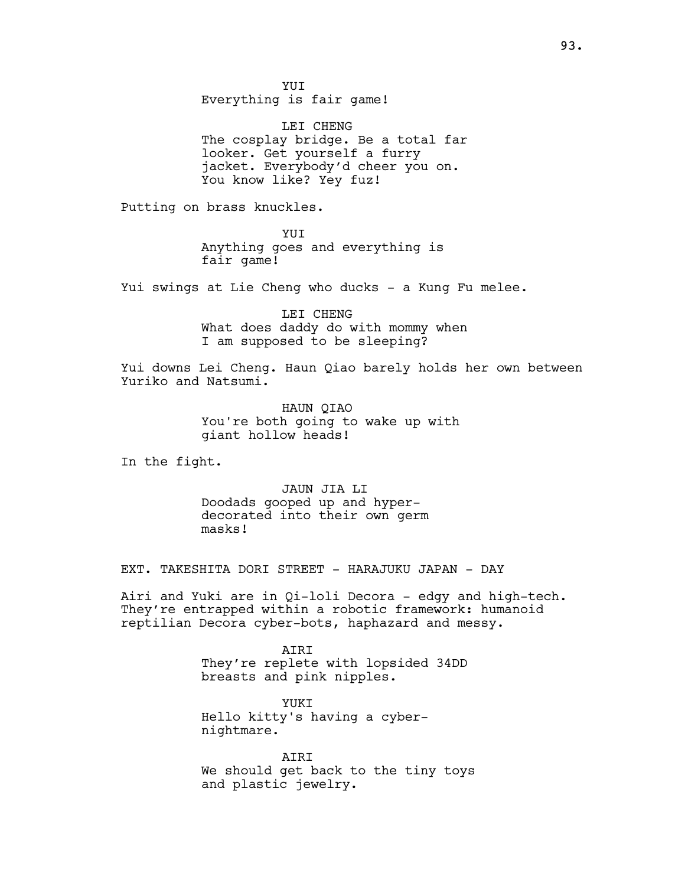YUI Everything is fair game!

LEI CHENG The cosplay bridge. Be a total far looker. Get yourself a furry jacket. Everybody'd cheer you on. You know like? Yey fuz!

Putting on brass knuckles.

YUI Anything goes and everything is fair game!

Yui swings at Lie Cheng who ducks - a Kung Fu melee.

LEI CHENG What does daddy do with mommy when I am supposed to be sleeping?

Yui downs Lei Cheng. Haun Qiao barely holds her own between Yuriko and Natsumi.

> HAUN QIAO You're both going to wake up with giant hollow heads!

In the fight.

JAUN JIA LI Doodads gooped up and hyperdecorated into their own germ masks!

EXT. TAKESHITA DORI STREET - HARAJUKU JAPAN - DAY

Airi and Yuki are in Qi-loli Decora - edgy and high-tech. They're entrapped within a robotic framework: humanoid reptilian Decora cyber-bots, haphazard and messy.

> AIRI They're replete with lopsided 34DD breasts and pink nipples.

YUKI Hello kitty's having a cybernightmare.

AIRI We should get back to the tiny toys and plastic jewelry.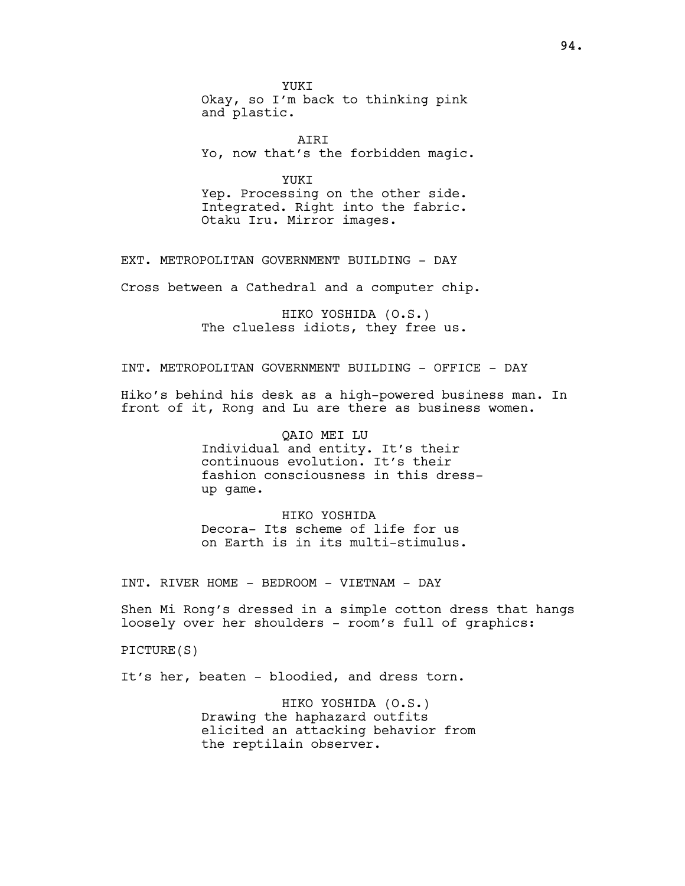YUKI Okay, so I'm back to thinking pink and plastic.

 AIRI Yo, now that's the forbidden magic.

YUKI Yep. Processing on the other side. Integrated. Right into the fabric. Otaku Iru. Mirror images.

EXT. METROPOLITAN GOVERNMENT BUILDING - DAY

Cross between a Cathedral and a computer chip.

HIKO YOSHIDA (O.S.) The clueless idiots, they free us.

INT. METROPOLITAN GOVERNMENT BUILDING - OFFICE - DAY

Hiko's behind his desk as a high-powered business man. In front of it, Rong and Lu are there as business women.

> QAIO MEI LU Individual and entity. It's their continuous evolution. It's their fashion consciousness in this dressup game.

HIKO YOSHIDA Decora- Its scheme of life for us on Earth is in its multi-stimulus.

INT. RIVER HOME - BEDROOM - VIETNAM - DAY

Shen Mi Rong's dressed in a simple cotton dress that hangs loosely over her shoulders - room's full of graphics:

PICTURE(S)

It's her, beaten - bloodied, and dress torn.

HIKO YOSHIDA (O.S.) Drawing the haphazard outfits elicited an attacking behavior from the reptilain observer.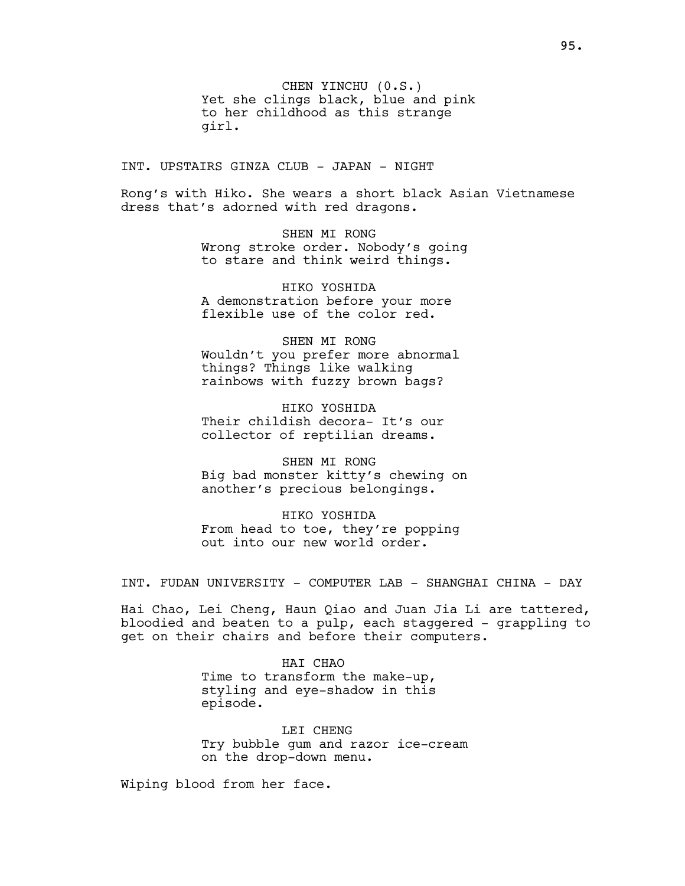CHEN YINCHU (0.S.) Yet she clings black, blue and pink to her childhood as this strange girl.

INT. UPSTAIRS GINZA CLUB - JAPAN - NIGHT

Rong's with Hiko. She wears a short black Asian Vietnamese dress that's adorned with red dragons.

> SHEN MI RONG Wrong stroke order. Nobody's going to stare and think weird things.

HIKO YOSHIDA A demonstration before your more flexible use of the color red.

SHEN MT RONG Wouldn't you prefer more abnormal things? Things like walking rainbows with fuzzy brown bags?

HIKO YOSHIDA Their childish decora- It's our collector of reptilian dreams.

SHEN MI RONG Big bad monster kitty's chewing on another's precious belongings.

HIKO YOSHIDA From head to toe, they're popping out into our new world order.

INT. FUDAN UNIVERSITY - COMPUTER LAB - SHANGHAI CHINA - DAY

Hai Chao, Lei Cheng, Haun Qiao and Juan Jia Li are tattered, bloodied and beaten to a pulp, each staggered - grappling to get on their chairs and before their computers.

> HAI CHAO Time to transform the make-up, styling and eye-shadow in this episode.

LEI CHENG Try bubble gum and razor ice-cream on the drop-down menu.

Wiping blood from her face.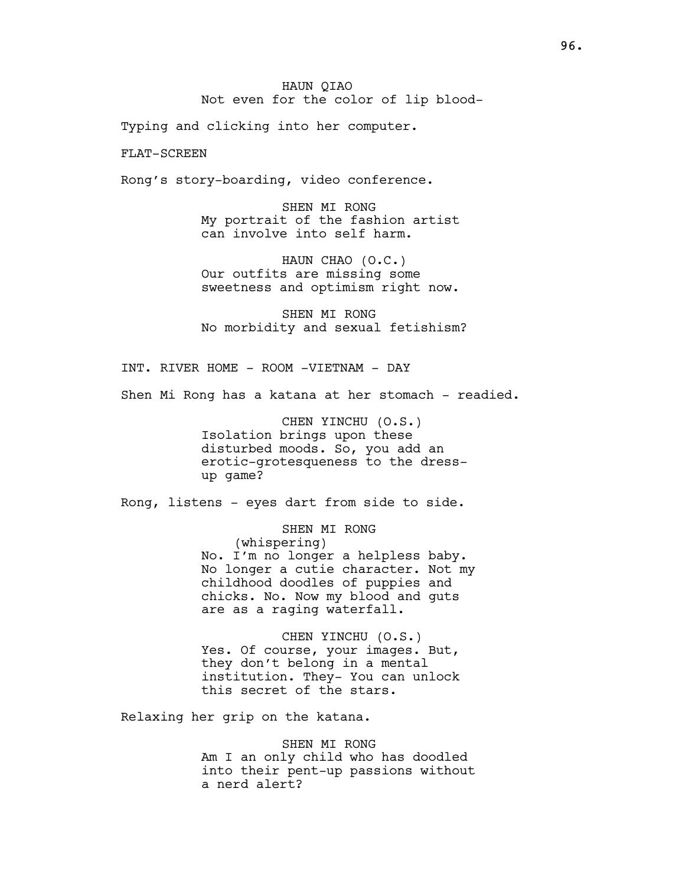Typing and clicking into her computer.

FLAT-SCREEN

Rong's story-boarding, video conference.

SHEN MI RONG My portrait of the fashion artist can involve into self harm.

HAUN CHAO (O.C.) Our outfits are missing some sweetness and optimism right now.

SHEN MI RONG No morbidity and sexual fetishism?

INT. RIVER HOME - ROOM -VIETNAM - DAY

Shen Mi Rong has a katana at her stomach - readied.

CHEN YINCHU (O.S.) Isolation brings upon these disturbed moods. So, you add an erotic-grotesqueness to the dressup game?

Rong, listens - eyes dart from side to side.

SHEN MI RONG (whispering) No. I'm no longer a helpless baby. No longer a cutie character. Not my childhood doodles of puppies and chicks. No. Now my blood and guts are as a raging waterfall.

CHEN YINCHU (O.S.) Yes. Of course, your images. But, they don't belong in a mental institution. They- You can unlock this secret of the stars.

Relaxing her grip on the katana.

SHEN MI RONG Am I an only child who has doodled into their pent-up passions without a nerd alert?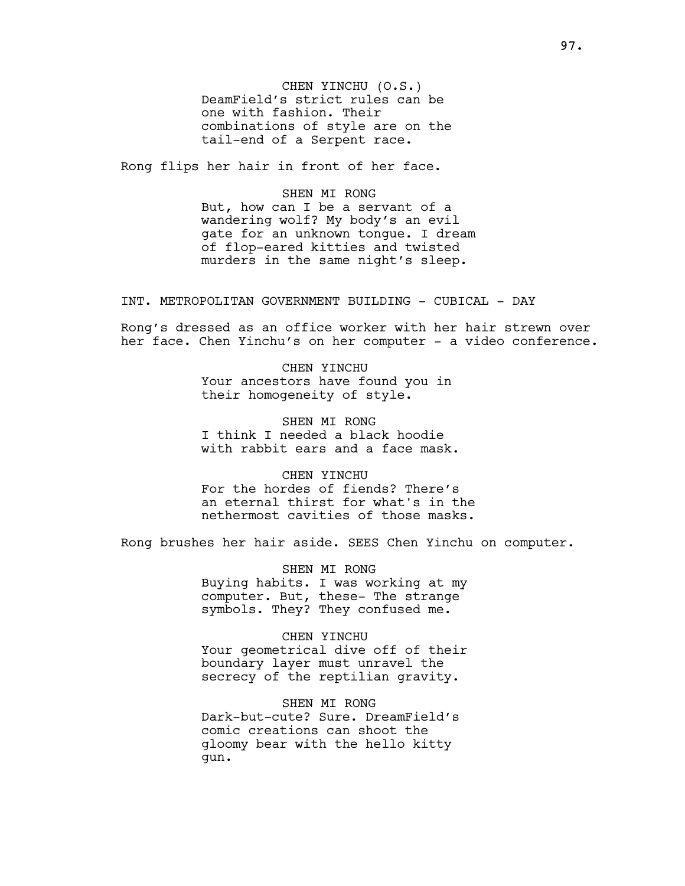CHEN YINCHU (O.S.) DeamField's strict rules can be one with fashion. Their combinations of style are on the tail-end of a Serpent race.

Rong flips her hair in front of her face.

SHEN MI RONG But, how can I be a servant of a wandering wolf? My body's an evil gate for an unknown tongue. I dream of flop-eared kitties and twisted murders in the same night's sleep.

INT. METROPOLITAN GOVERNMENT BUILDING - CUBICAL - DAY

Rong's dressed as an office worker with her hair strewn over her face. Chen Yinchu's on her computer - a video conference.

> CHEN YINCHU Your ancestors have found you in their homogeneity of style.

SHEN MI RONG I think I needed a black hoodie with rabbit ears and a face mask.

CHEN YINCHU For the hordes of fiends? There's an eternal thirst for what's in the nethermost cavities of those masks.

Rong brushes her hair aside. SEES Chen Yinchu on computer.

SHEN MI RONG Buying habits. I was working at my computer. But, these- The strange symbols. They? They confused me.

CHEN YINCHU Your geometrical dive off of their boundary layer must unravel the secrecy of the reptilian gravity.

SHEN MI RONG Dark-but-cute? Sure. DreamField's comic creations can shoot the gloomy bear with the hello kitty gun.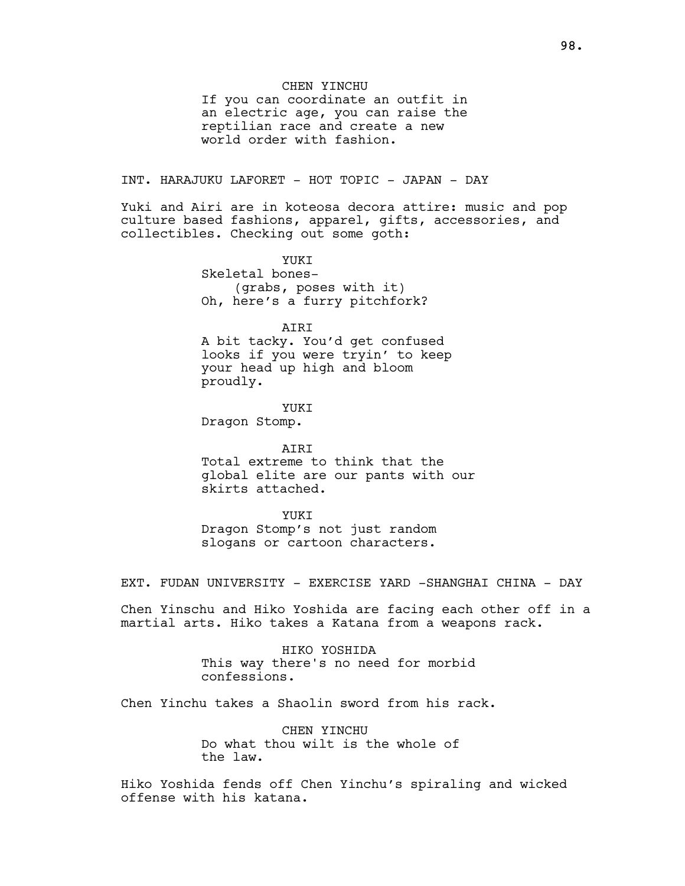### CHEN YINCHU

If you can coordinate an outfit in an electric age, you can raise the reptilian race and create a new world order with fashion.

INT. HARAJUKU LAFORET - HOT TOPIC - JAPAN - DAY

Yuki and Airi are in koteosa decora attire: music and pop culture based fashions, apparel, gifts, accessories, and collectibles. Checking out some goth:

> YUKI Skeletal bones-

(grabs, poses with it) Oh, here's a furry pitchfork?

AIRI

A bit tacky. You'd get confused looks if you were tryin' to keep your head up high and bloom proudly.

YUKI

Dragon Stomp.

### AIRI

Total extreme to think that the global elite are our pants with our skirts attached.

#### YUKT

Dragon Stomp's not just random slogans or cartoon characters.

EXT. FUDAN UNIVERSITY - EXERCISE YARD -SHANGHAI CHINA - DAY

Chen Yinschu and Hiko Yoshida are facing each other off in a martial arts. Hiko takes a Katana from a weapons rack.

> HIKO YOSHIDA This way there's no need for morbid confessions.

Chen Yinchu takes a Shaolin sword from his rack.

CHEN YINCHU Do what thou wilt is the whole of the law.

Hiko Yoshida fends off Chen Yinchu's spiraling and wicked offense with his katana.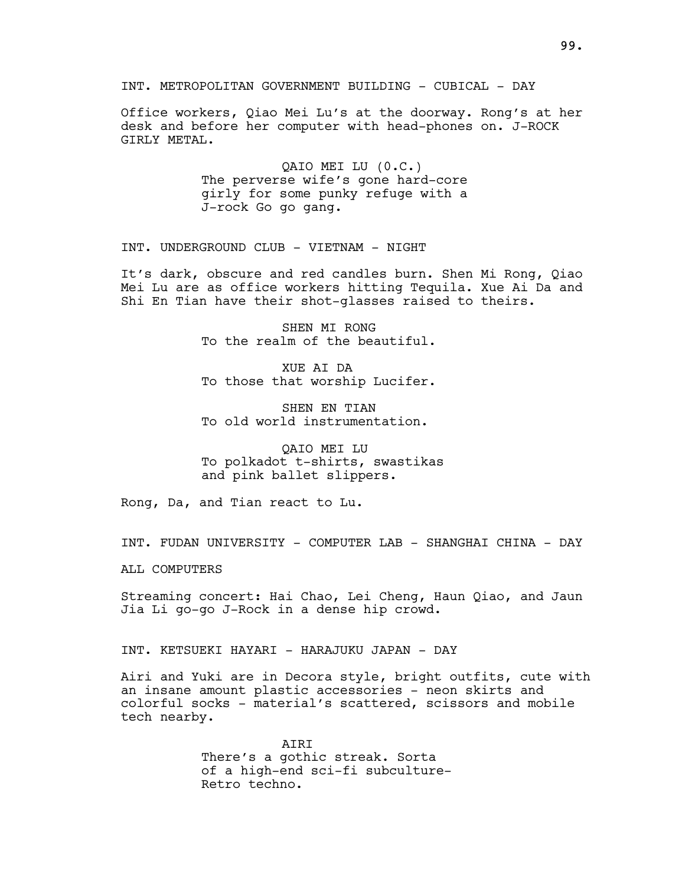INT. METROPOLITAN GOVERNMENT BUILDING - CUBICAL - DAY

Office workers, Qiao Mei Lu's at the doorway. Rong's at her desk and before her computer with head-phones on. J-ROCK GIRLY METAL.

> QAIO MEI LU (0.C.) The perverse wife's gone hard-core girly for some punky refuge with a J-rock Go go gang.

INT. UNDERGROUND CLUB - VIETNAM - NIGHT

It's dark, obscure and red candles burn. Shen Mi Rong, Qiao Mei Lu are as office workers hitting Tequila. Xue Ai Da and Shi En Tian have their shot-glasses raised to theirs.

> SHEN MI RONG To the realm of the beautiful.

> XUE AI DA To those that worship Lucifer.

SHEN EN TIAN To old world instrumentation.

QAIO MEI LU To polkadot t-shirts, swastikas and pink ballet slippers.

Rong, Da, and Tian react to Lu.

INT. FUDAN UNIVERSITY - COMPUTER LAB - SHANGHAI CHINA - DAY

ALL COMPUTERS

Streaming concert: Hai Chao, Lei Cheng, Haun Qiao, and Jaun Jia Li go-go J-Rock in a dense hip crowd.

INT. KETSUEKI HAYARI - HARAJUKU JAPAN - DAY

Airi and Yuki are in Decora style, bright outfits, cute with an insane amount plastic accessories - neon skirts and colorful socks - material's scattered, scissors and mobile tech nearby.

> AIRI There's a gothic streak. Sorta of a high-end sci-fi subculture-Retro techno.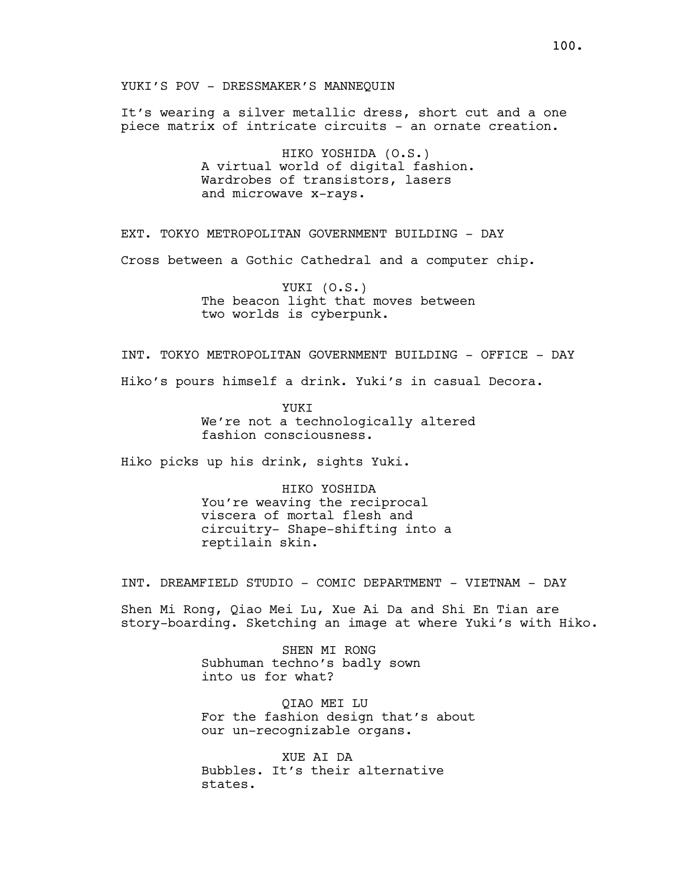It's wearing a silver metallic dress, short cut and a one piece matrix of intricate circuits - an ornate creation.

> HIKO YOSHIDA (O.S.) A virtual world of digital fashion. Wardrobes of transistors, lasers and microwave x-rays.

EXT. TOKYO METROPOLITAN GOVERNMENT BUILDING - DAY

Cross between a Gothic Cathedral and a computer chip.

YUKI (O.S.) The beacon light that moves between two worlds is cyberpunk.

INT. TOKYO METROPOLITAN GOVERNMENT BUILDING - OFFICE - DAY

Hiko's pours himself a drink. Yuki's in casual Decora.

YUKI We're not a technologically altered fashion consciousness.

Hiko picks up his drink, sights Yuki.

HIKO YOSHIDA You're weaving the reciprocal viscera of mortal flesh and circuitry- Shape-shifting into a reptilain skin.

INT. DREAMFIELD STUDIO - COMIC DEPARTMENT - VIETNAM - DAY

Shen Mi Rong, Qiao Mei Lu, Xue Ai Da and Shi En Tian are story-boarding. Sketching an image at where Yuki's with Hiko.

> SHEN MI RONG Subhuman techno's badly sown into us for what?

QIAO MEI LU For the fashion design that's about our un-recognizable organs.

XUE AI DA Bubbles. It's their alternative states.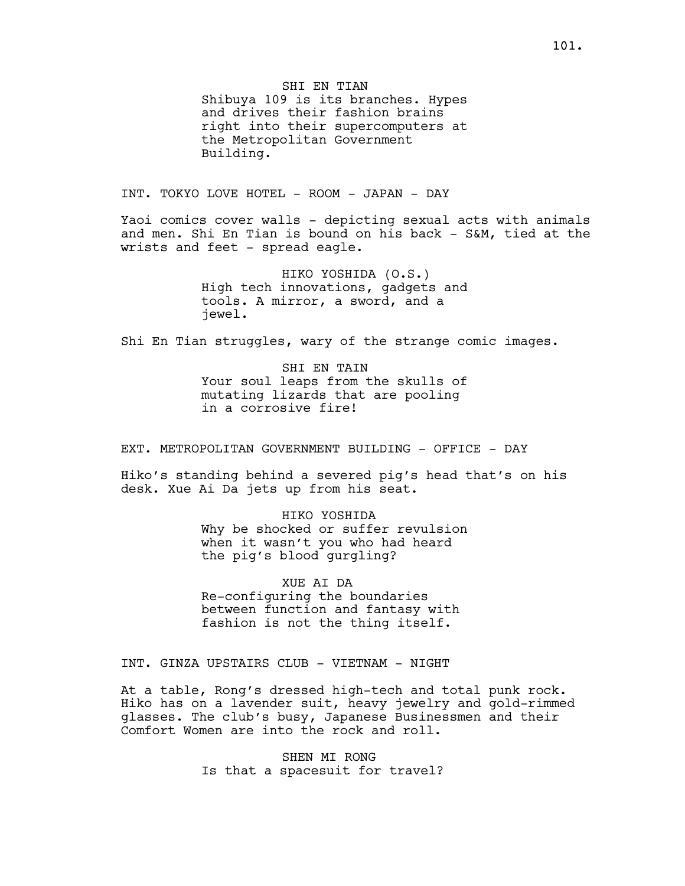SHI EN TIAN

Shibuya 109 is its branches. Hypes and drives their fashion brains right into their supercomputers at the Metropolitan Government Building.

INT. TOKYO LOVE HOTEL - ROOM - JAPAN - DAY

Yaoi comics cover walls - depicting sexual acts with animals and men. Shi En Tian is bound on his back - S&M, tied at the wrists and feet - spread eagle.

> HIKO YOSHIDA (O.S.) High tech innovations, gadgets and tools. A mirror, a sword, and a jewel.

Shi En Tian struggles, wary of the strange comic images.

SHI EN TAIN Your soul leaps from the skulls of mutating lizards that are pooling in a corrosive fire!

EXT. METROPOLITAN GOVERNMENT BUILDING - OFFICE - DAY

Hiko's standing behind a severed pig's head that's on his desk. Xue Ai Da jets up from his seat.

> HIKO YOSHIDA Why be shocked or suffer revulsion when it wasn't you who had heard the pig's blood gurgling?

XUE AI DA Re-configuring the boundaries between function and fantasy with fashion is not the thing itself.

INT. GINZA UPSTAIRS CLUB - VIETNAM - NIGHT

At a table, Rong's dressed high-tech and total punk rock. Hiko has on a lavender suit, heavy jewelry and gold-rimmed glasses. The club's busy, Japanese Businessmen and their Comfort Women are into the rock and roll.

> SHEN MI RONG Is that a spacesuit for travel?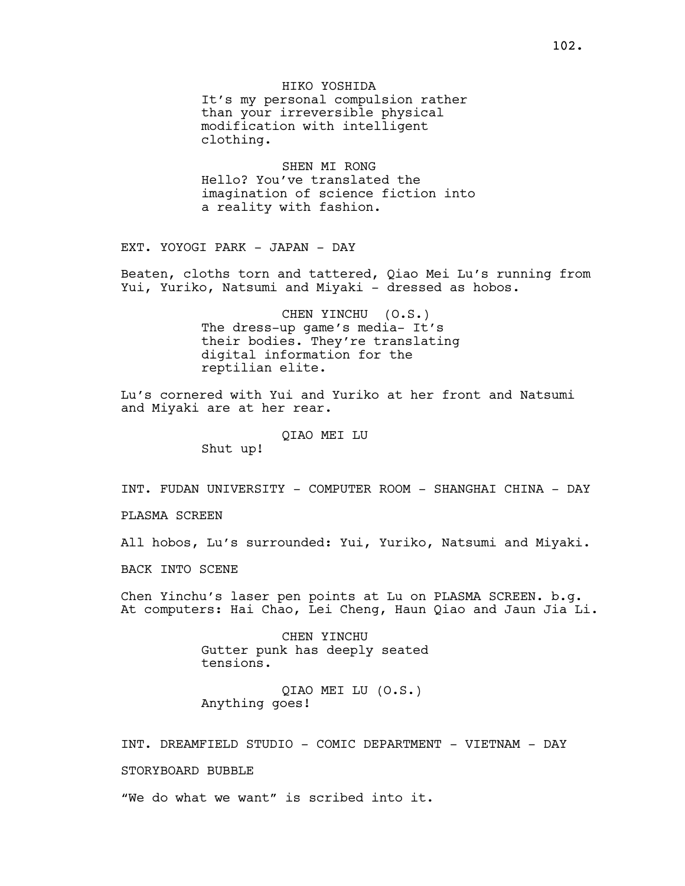HIKO YOSHIDA It's my personal compulsion rather than your irreversible physical modification with intelligent clothing.

SHEN MI RONG Hello? You've translated the imagination of science fiction into a reality with fashion.

EXT. YOYOGI PARK - JAPAN - DAY

Beaten, cloths torn and tattered, Qiao Mei Lu's running from Yui, Yuriko, Natsumi and Miyaki - dressed as hobos.

> CHEN YINCHU (O.S.) The dress-up game's media- It's their bodies. They're translating digital information for the reptilian elite.

Lu's cornered with Yui and Yuriko at her front and Natsumi and Miyaki are at her rear.

QIAO MEI LU

Shut up!

INT. FUDAN UNIVERSITY - COMPUTER ROOM - SHANGHAI CHINA - DAY

PLASMA SCREEN

All hobos, Lu's surrounded: Yui, Yuriko, Natsumi and Miyaki.

BACK INTO SCENE

Chen Yinchu's laser pen points at Lu on PLASMA SCREEN. b.g. At computers: Hai Chao, Lei Cheng, Haun Qiao and Jaun Jia Li.

> CHEN YINCHU Gutter punk has deeply seated tensions.

QIAO MEI LU (O.S.) Anything goes!

INT. DREAMFIELD STUDIO - COMIC DEPARTMENT - VIETNAM - DAY

STORYBOARD BUBBLE

"We do what we want" is scribed into it.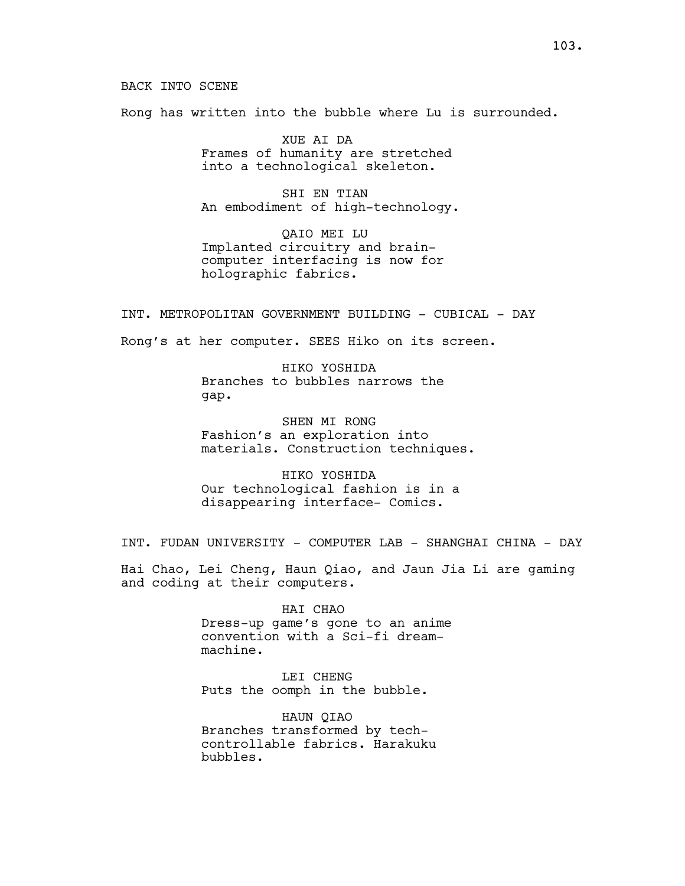Rong has written into the bubble where Lu is surrounded.

XUE AI DA Frames of humanity are stretched into a technological skeleton.

SHI EN TIAN An embodiment of high-technology.

QAIO MEI LU Implanted circuitry and braincomputer interfacing is now for holographic fabrics.

INT. METROPOLITAN GOVERNMENT BUILDING - CUBICAL - DAY

Rong's at her computer. SEES Hiko on its screen.

HIKO YOSHIDA Branches to bubbles narrows the gap.

SHEN MI RONG Fashion's an exploration into materials. Construction techniques.

HIKO YOSHIDA Our technological fashion is in a disappearing interface- Comics.

INT. FUDAN UNIVERSITY - COMPUTER LAB - SHANGHAI CHINA - DAY

Hai Chao, Lei Cheng, Haun Qiao, and Jaun Jia Li are gaming and coding at their computers.

> HAI CHAO Dress-up game's gone to an anime convention with a Sci-fi dreammachine.

LEI CHENG Puts the oomph in the bubble.

HAUN QIAO Branches transformed by techcontrollable fabrics. Harakuku bubbles.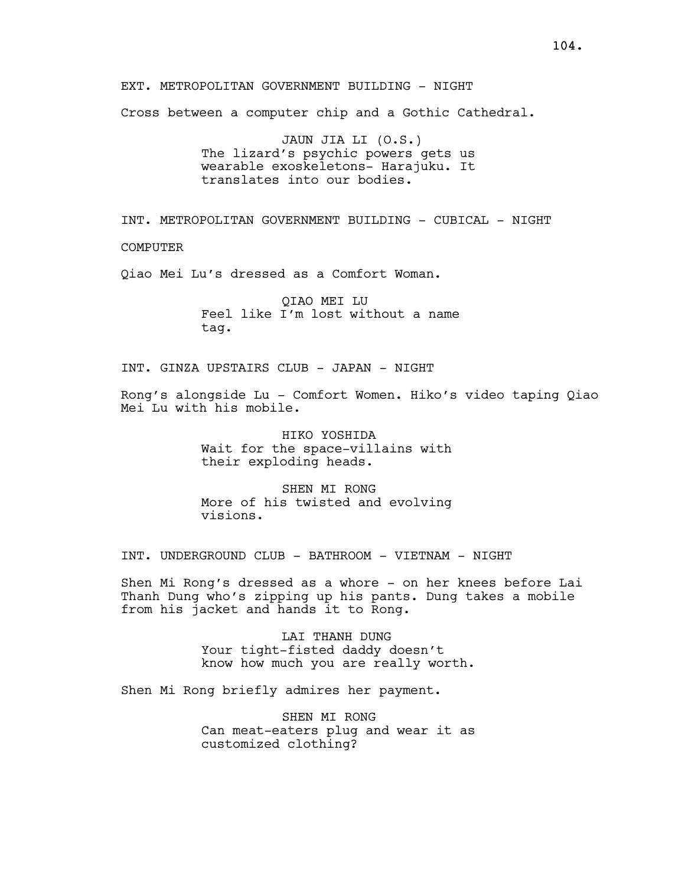EXT. METROPOLITAN GOVERNMENT BUILDING - NIGHT Cross between a computer chip and a Gothic Cathedral. JAUN JIA LI (O.S.) The lizard's psychic powers gets us wearable exoskeletons- Harajuku. It translates into our bodies. INT. METROPOLITAN GOVERNMENT BUILDING - CUBICAL - NIGHT COMPUTER Qiao Mei Lu's dressed as a Comfort Woman. QIAO MEI LU Feel like I'm lost without a name tag. INT. GINZA UPSTAIRS CLUB - JAPAN - NIGHT Rong's alongside Lu - Comfort Women. Hiko's video taping Qiao Mei Lu with his mobile. HIKO YOSHIDA Wait for the space-villains with their exploding heads.

SHEN MI RONG More of his twisted and evolving visions.

INT. UNDERGROUND CLUB - BATHROOM - VIETNAM - NIGHT

Shen Mi Rong's dressed as a whore - on her knees before Lai Thanh Dung who's zipping up his pants. Dung takes a mobile from his jacket and hands it to Rong.

> LAI THANH DUNG Your tight-fisted daddy doesn't know how much you are really worth.

Shen Mi Rong briefly admires her payment.

SHEN MI RONG Can meat-eaters plug and wear it as customized clothing?

104.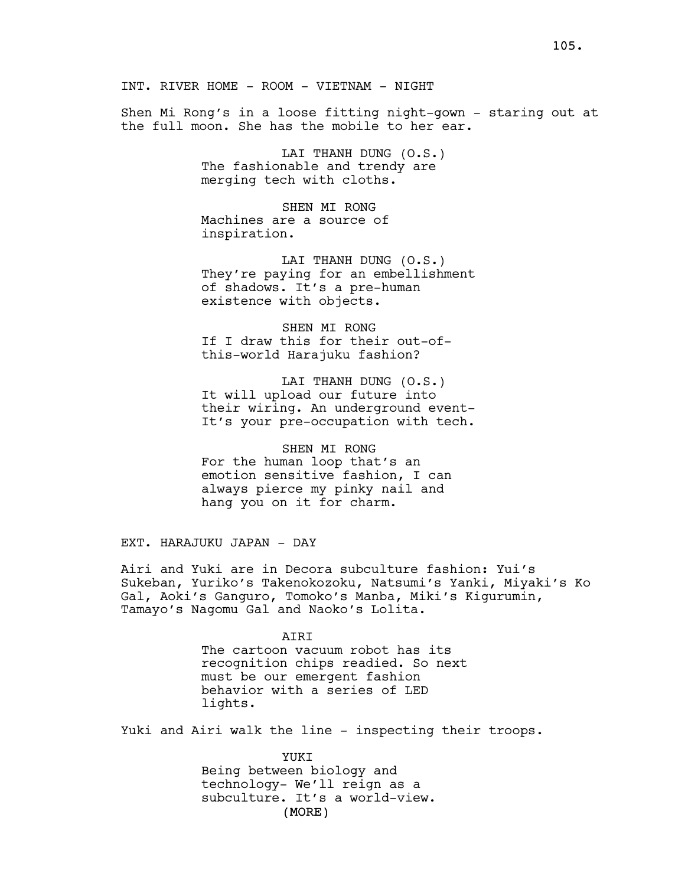Shen Mi Rong's in a loose fitting night-gown - staring out at the full moon. She has the mobile to her ear.

> LAI THANH DUNG (O.S.) The fashionable and trendy are merging tech with cloths.

SHEN MI RONG Machines are a source of inspiration.

LAI THANH DUNG (O.S.) They're paying for an embellishment of shadows. It's a pre-human existence with objects.

SHEN MI RONG If I draw this for their out-ofthis-world Harajuku fashion?

LAI THANH DUNG (O.S.) It will upload our future into their wiring. An underground event-It's your pre-occupation with tech.

SHEN MI RONG For the human loop that's an emotion sensitive fashion, I can always pierce my pinky nail and hang you on it for charm.

EXT. HARAJUKU JAPAN - DAY

Airi and Yuki are in Decora subculture fashion: Yui's Sukeban, Yuriko's Takenokozoku, Natsumi's Yanki, Miyaki's Ko Gal, Aoki's Ganguro, Tomoko's Manba, Miki's Kigurumin, Tamayo's Nagomu Gal and Naoko's Lolita.

> **ATRT** The cartoon vacuum robot has its recognition chips readied. So next must be our emergent fashion behavior with a series of LED lights.

Yuki and Airi walk the line - inspecting their troops.

(MORE) YUKI Being between biology and technology- We'll reign as a subculture. It's a world-view.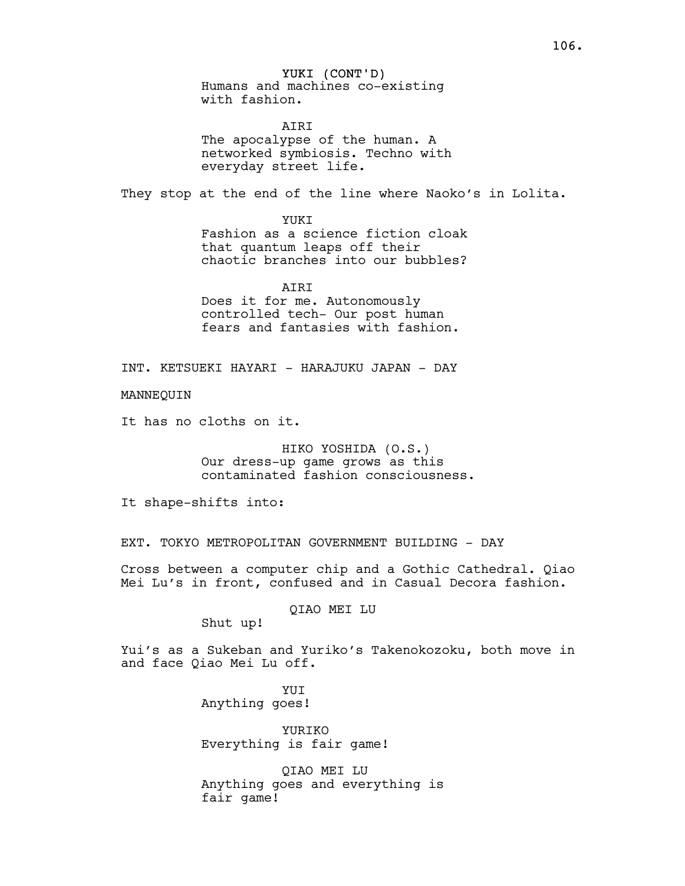# YUKI (CONT'D)

Humans and machines co-existing with fashion.

**ATRT** The apocalypse of the human. A networked symbiosis. Techno with everyday street life.

They stop at the end of the line where Naoko's in Lolita.

YUKT

Fashion as a science fiction cloak that quantum leaps off their chaotic branches into our bubbles?

**ATRT** Does it for me. Autonomously controlled tech- Our post human fears and fantasies with fashion.

INT. KETSUEKI HAYARI - HARAJUKU JAPAN - DAY

MANNEQUIN

It has no cloths on it.

HIKO YOSHIDA (O.S.) Our dress-up game grows as this contaminated fashion consciousness.

It shape-shifts into:

EXT. TOKYO METROPOLITAN GOVERNMENT BUILDING - DAY

Cross between a computer chip and a Gothic Cathedral. Qiao Mei Lu's in front, confused and in Casual Decora fashion.

QIAO MEI LU

Shut up!

Yui's as a Sukeban and Yuriko's Takenokozoku, both move in and face Qiao Mei Lu off.

> YUI Anything goes!

YURIKO Everything is fair game!

QIAO MEI LU Anything goes and everything is fair game!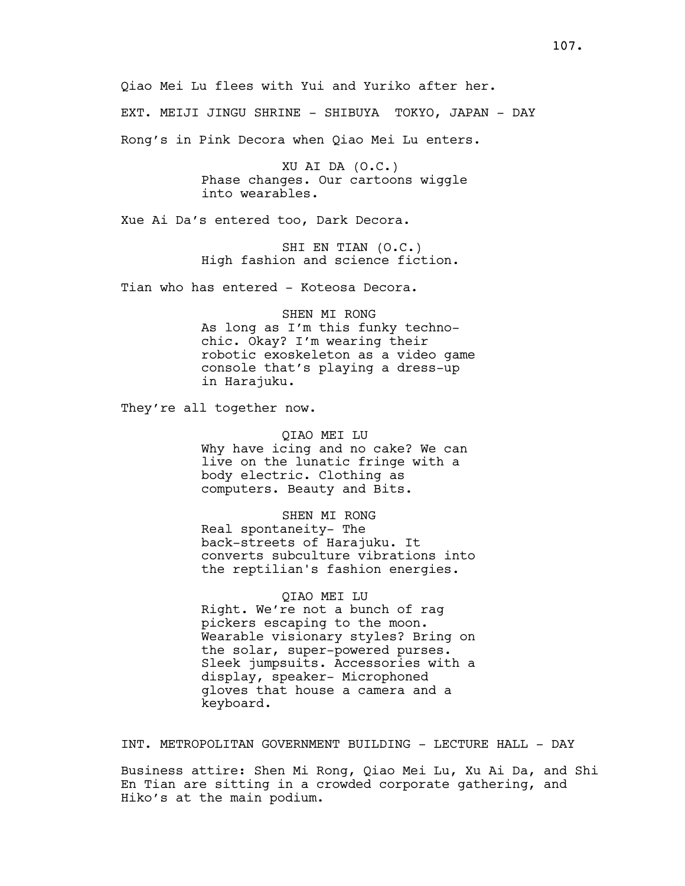Qiao Mei Lu flees with Yui and Yuriko after her. EXT. MEIJI JINGU SHRINE - SHIBUYA TOKYO, JAPAN - DAY Rong's in Pink Decora when Qiao Mei Lu enters.

> XU AI DA (O.C.) Phase changes. Our cartoons wiggle into wearables.

Xue Ai Da's entered too, Dark Decora.

SHI EN TIAN (O.C.) High fashion and science fiction.

Tian who has entered - Koteosa Decora.

SHEN MI RONG As long as I'm this funky technochic. Okay? I'm wearing their robotic exoskeleton as a video game console that's playing a dress-up in Harajuku.

They're all together now.

QIAO MEI LU Why have icing and no cake? We can live on the lunatic fringe with a body electric. Clothing as computers. Beauty and Bits.

SHEN MI RONG Real spontaneity- The back-streets of Harajuku. It converts subculture vibrations into the reptilian's fashion energies.

#### QIAO MEI LU

Right. We're not a bunch of rag pickers escaping to the moon. Wearable visionary styles? Bring on the solar, super-powered purses. Sleek jumpsuits. Accessories with a display, speaker- Microphoned gloves that house a camera and a keyboard.

INT. METROPOLITAN GOVERNMENT BUILDING - LECTURE HALL - DAY

Business attire: Shen Mi Rong, Qiao Mei Lu, Xu Ai Da, and Shi En Tian are sitting in a crowded corporate gathering, and Hiko's at the main podium.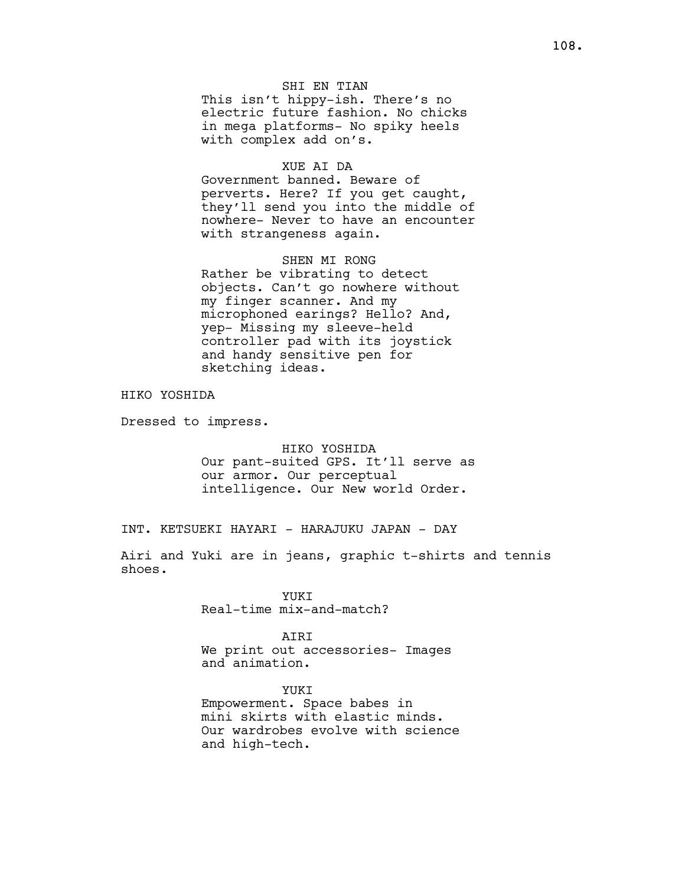## SHI EN TIAN

This isn't hippy-ish. There's no electric future fashion. No chicks in mega platforms- No spiky heels with complex add on's.

#### XUE AI DA

Government banned. Beware of perverts. Here? If you get caught, they'll send you into the middle of nowhere- Never to have an encounter with strangeness again.

SHEN MI RONG Rather be vibrating to detect objects. Can't go nowhere without my finger scanner. And my microphoned earings? Hello? And, yep- Missing my sleeve-held controller pad with its joystick and handy sensitive pen for sketching ideas.

HIKO YOSHIDA

Dressed to impress.

HIKO YOSHIDA Our pant-suited GPS. It'll serve as our armor. Our perceptual intelligence. Our New world Order.

INT. KETSUEKI HAYARI - HARAJUKU JAPAN - DAY

Airi and Yuki are in jeans, graphic t-shirts and tennis shoes.

> YUKI Real-time mix-and-match?

#### AIRI

We print out accessories- Images and animation.

YUKI Empowerment. Space babes in mini skirts with elastic minds. Our wardrobes evolve with science and high-tech.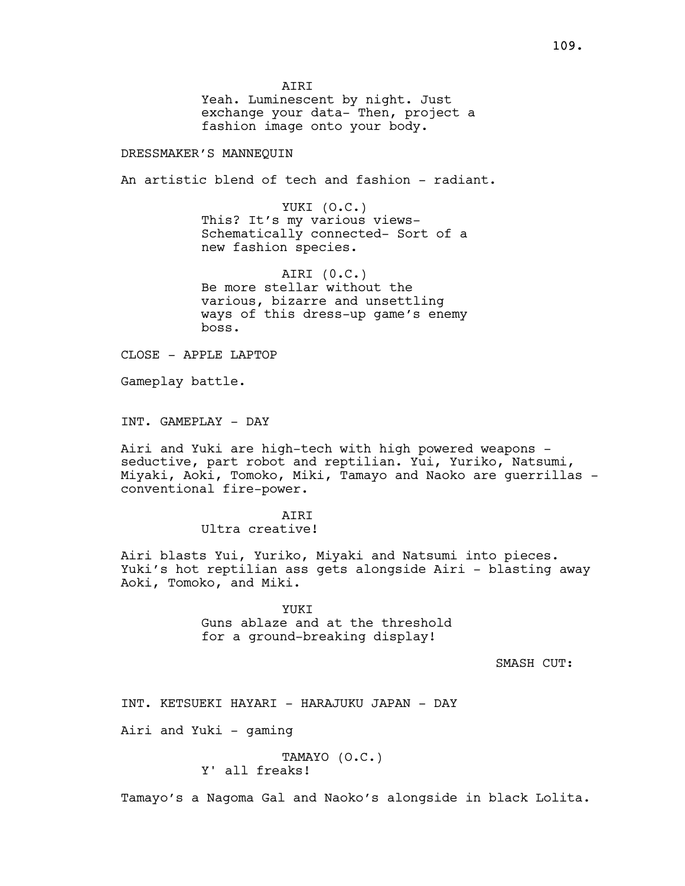AIRI

Yeah. Luminescent by night. Just exchange your data- Then, project a fashion image onto your body.

DRESSMAKER'S MANNEQUIN

An artistic blend of tech and fashion - radiant.

YUKI (O.C.) This? It's my various views-Schematically connected- Sort of a new fashion species.

AIRI (0.C.) Be more stellar without the various, bizarre and unsettling ways of this dress-up game's enemy boss.

CLOSE - APPLE LAPTOP

Gameplay battle.

INT. GAMEPLAY - DAY

Airi and Yuki are high-tech with high powered weapons seductive, part robot and reptilian. Yui, Yuriko, Natsumi, Miyaki, Aoki, Tomoko, Miki, Tamayo and Naoko are querrillas conventional fire-power.

> **ATRT** Ultra creative!

Airi blasts Yui, Yuriko, Miyaki and Natsumi into pieces. Yuki's hot reptilian ass gets alongside Airi - blasting away Aoki, Tomoko, and Miki.

> **YUKT** Guns ablaze and at the threshold for a ground-breaking display!

> > SMASH CUT:

INT. KETSUEKI HAYARI - HARAJUKU JAPAN - DAY

Airi and Yuki - gaming

TAMAYO (O.C.) Y' all freaks!

Tamayo's a Nagoma Gal and Naoko's alongside in black Lolita.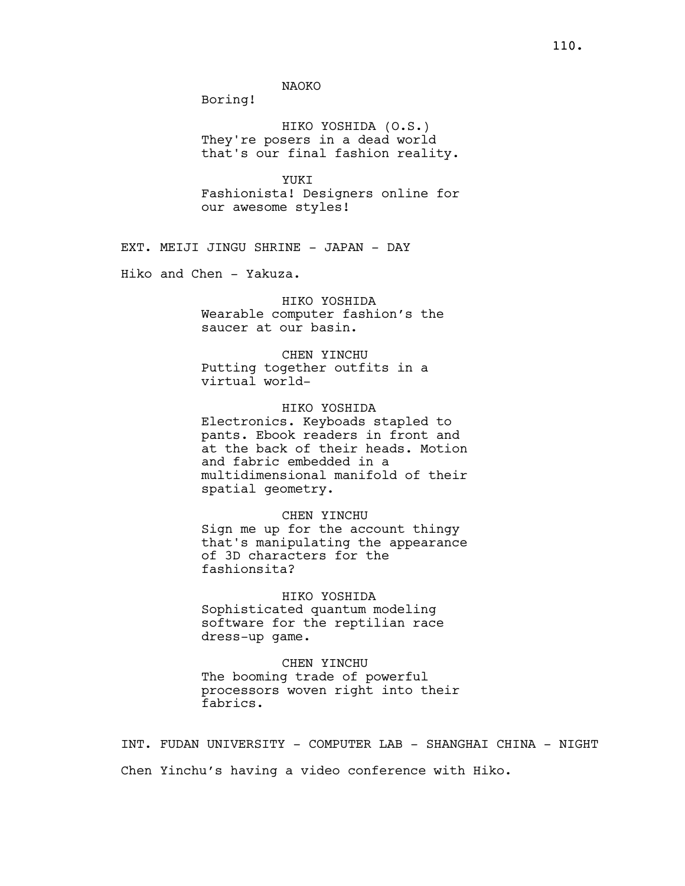Boring!

HIKO YOSHIDA (O.S.) They're posers in a dead world that's our final fashion reality.

YUKI Fashionista! Designers online for our awesome styles!

EXT. MEIJI JINGU SHRINE - JAPAN - DAY

Hiko and Chen - Yakuza.

# HIKO YOSHIDA

Wearable computer fashion's the saucer at our basin.

#### CHEN YINCHU

Putting together outfits in a virtual world-

### HIKO YOSHIDA

Electronics. Keyboads stapled to pants. Ebook readers in front and at the back of their heads. Motion and fabric embedded in a multidimensional manifold of their spatial geometry.

#### CHEN YINCHU

Sign me up for the account thingy that's manipulating the appearance of 3D characters for the fashionsita?

# HIKO YOSHIDA Sophisticated quantum modeling software for the reptilian race dress-up game.

CHEN YINCHU The booming trade of powerful processors woven right into their fabrics.

INT. FUDAN UNIVERSITY - COMPUTER LAB - SHANGHAI CHINA - NIGHT Chen Yinchu's having a video conference with Hiko.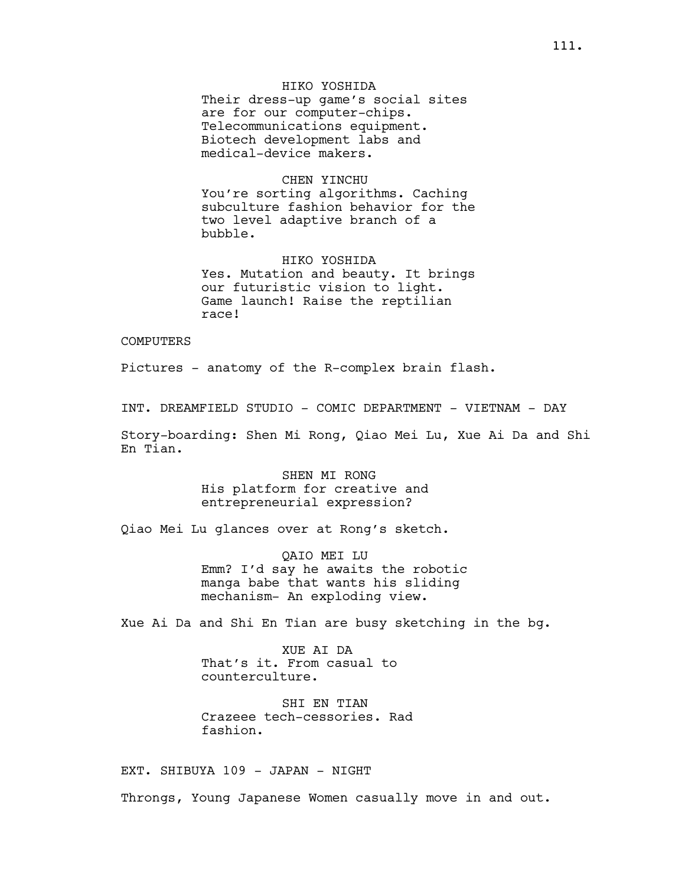HIKO YOSHIDA

Their dress-up game's social sites are for our computer-chips. Telecommunications equipment. Biotech development labs and medical-device makers.

### CHEN YINCHU

You're sorting algorithms. Caching subculture fashion behavior for the two level adaptive branch of a bubble.

HIKO YOSHIDA Yes. Mutation and beauty. It brings our futuristic vision to light. Game launch! Raise the reptilian race!

### **COMPUTERS**

Pictures - anatomy of the R-complex brain flash.

INT. DREAMFIELD STUDIO - COMIC DEPARTMENT - VIETNAM - DAY

Story-boarding: Shen Mi Rong, Qiao Mei Lu, Xue Ai Da and Shi En Tian.

> SHEN MI RONG His platform for creative and entrepreneurial expression?

Qiao Mei Lu glances over at Rong's sketch.

QAIO MEI LU Emm? I'd say he awaits the robotic manga babe that wants his sliding mechanism- An exploding view.

Xue Ai Da and Shi En Tian are busy sketching in the bg.

XUE AI DA That's it. From casual to counterculture.

SHI EN TIAN Crazeee tech-cessories. Rad fashion.

EXT. SHIBUYA 109 - JAPAN - NIGHT

Throngs, Young Japanese Women casually move in and out.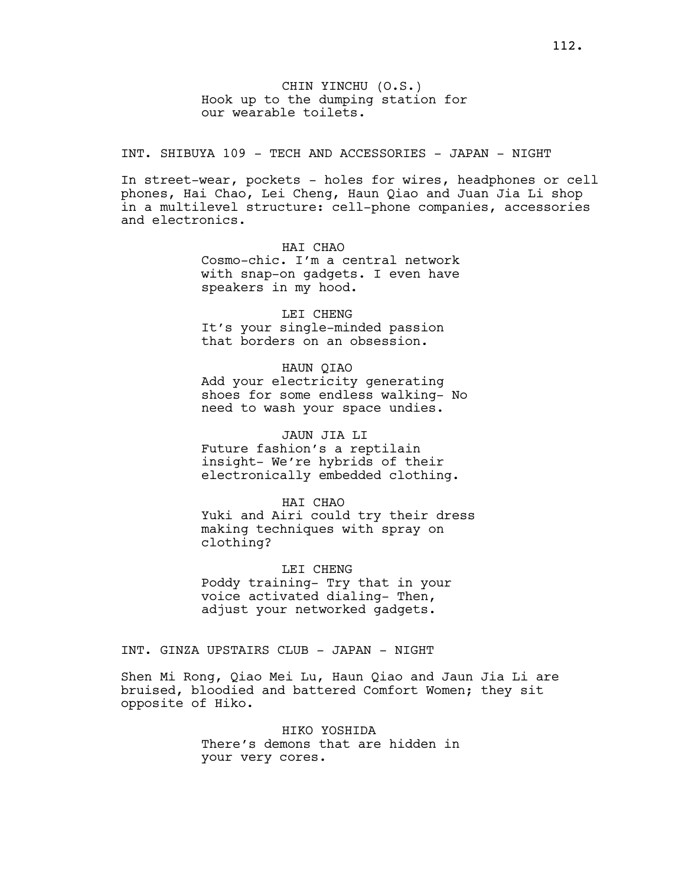INT. SHIBUYA 109 - TECH AND ACCESSORIES - JAPAN - NIGHT

In street-wear, pockets - holes for wires, headphones or cell phones, Hai Chao, Lei Cheng, Haun Qiao and Juan Jia Li shop in a multilevel structure: cell-phone companies, accessories and electronics.

> HAI CHAO Cosmo-chic. I'm a central network with snap-on gadgets. I even have speakers in my hood.

LEI CHENG It's your single-minded passion that borders on an obsession.

HAUN QIAO Add your electricity generating shoes for some endless walking- No need to wash your space undies.

JAUN JIA LI Future fashion's a reptilain insight- We're hybrids of their electronically embedded clothing.

HAI CHAO Yuki and Airi could try their dress making techniques with spray on clothing?

LEI CHENG Poddy training- Try that in your voice activated dialing- Then, adjust your networked gadgets.

INT. GINZA UPSTAIRS CLUB - JAPAN - NIGHT

Shen Mi Rong, Qiao Mei Lu, Haun Qiao and Jaun Jia Li are bruised, bloodied and battered Comfort Women; they sit opposite of Hiko.

> HIKO YOSHIDA There's demons that are hidden in your very cores.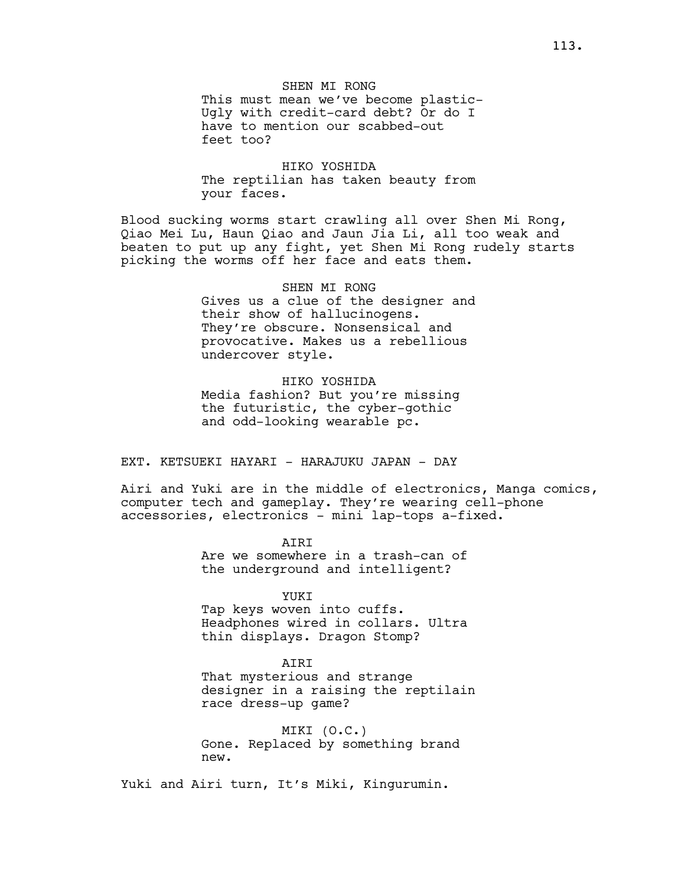SHEN MI RONG This must mean we've become plastic-Ugly with credit-card debt? Or do I have to mention our scabbed-out feet too?

HIKO YOSHIDA The reptilian has taken beauty from your faces.

Blood sucking worms start crawling all over Shen Mi Rong, Qiao Mei Lu, Haun Qiao and Jaun Jia Li, all too weak and beaten to put up any fight, yet Shen Mi Rong rudely starts picking the worms off her face and eats them.

> SHEN MI RONG Gives us a clue of the designer and their show of hallucinogens. They're obscure. Nonsensical and provocative. Makes us a rebellious undercover style.

HIKO YOSHIDA Media fashion? But you're missing the futuristic, the cyber-gothic and odd-looking wearable pc.

EXT. KETSUEKI HAYARI - HARAJUKU JAPAN - DAY

Airi and Yuki are in the middle of electronics, Manga comics, computer tech and gameplay. They're wearing cell-phone accessories, electronics - mini lap-tops a-fixed.

> AIRI Are we somewhere in a trash-can of the underground and intelligent?

> > YUKI

Tap keys woven into cuffs. Headphones wired in collars. Ultra thin displays. Dragon Stomp?

AIRI

That mysterious and strange designer in a raising the reptilain race dress-up game?

MIKI (O.C.) Gone. Replaced by something brand new.

Yuki and Airi turn, It's Miki, Kingurumin.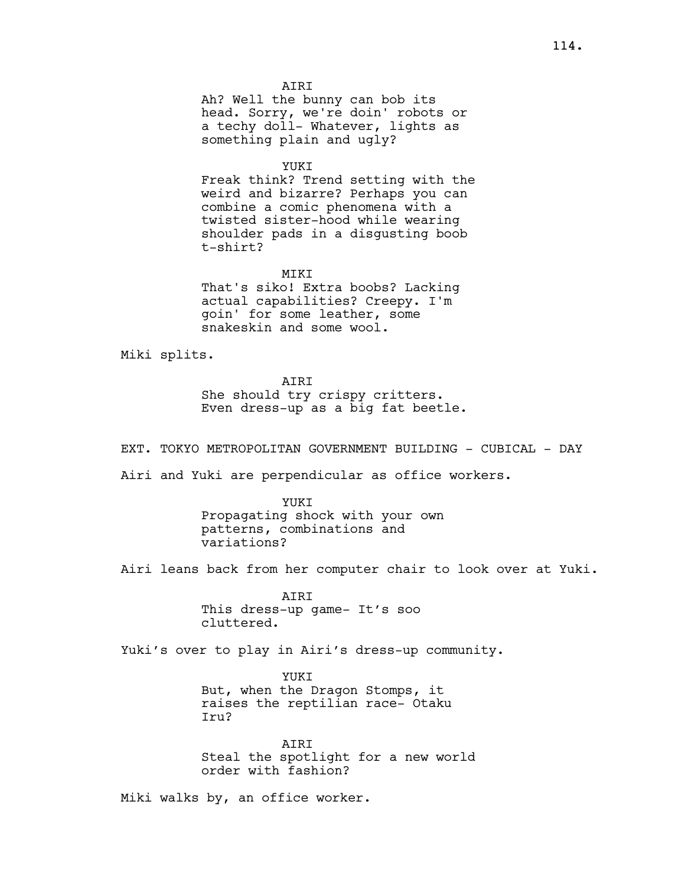AIRI Ah? Well the bunny can bob its head. Sorry, we're doin' robots or a techy doll- Whatever, lights as something plain and ugly?

YUKI

Freak think? Trend setting with the weird and bizarre? Perhaps you can combine a comic phenomena with a twisted sister-hood while wearing shoulder pads in a disgusting boob t-shirt?

MIKI

That's siko! Extra boobs? Lacking actual capabilities? Creepy. I'm goin' for some leather, some snakeskin and some wool.

Miki splits.

AIRI

She should try crispy critters. Even dress-up as a big fat beetle.

EXT. TOKYO METROPOLITAN GOVERNMENT BUILDING - CUBICAL - DAY

Airi and Yuki are perpendicular as office workers.

YUKI Propagating shock with your own patterns, combinations and variations?

Airi leans back from her computer chair to look over at Yuki.

AIRI This dress-up game- It's soo cluttered.

Yuki's over to play in Airi's dress-up community.

YUKI But, when the Dragon Stomps, it raises the reptilian race- Otaku Iru?

AIRI Steal the spotlight for a new world order with fashion?

Miki walks by, an office worker.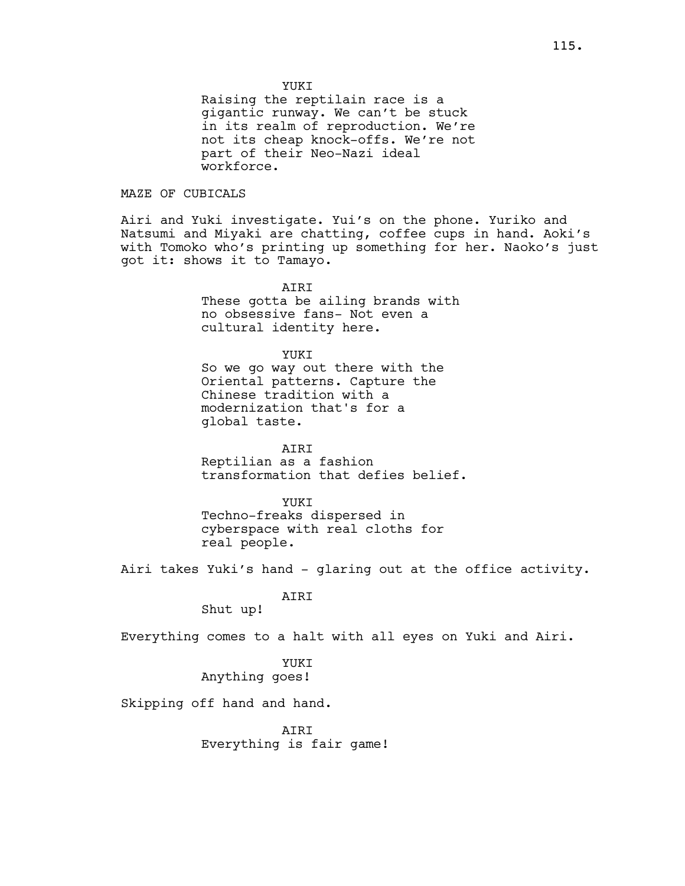YUKI

Raising the reptilain race is a gigantic runway. We can't be stuck in its realm of reproduction. We're not its cheap knock-offs. We're not part of their Neo-Nazi ideal workforce.

## MAZE OF CUBICALS

Airi and Yuki investigate. Yui's on the phone. Yuriko and Natsumi and Miyaki are chatting, coffee cups in hand. Aoki's with Tomoko who's printing up something for her. Naoko's just got it: shows it to Tamayo.

> **ATRT** These gotta be ailing brands with no obsessive fans- Not even a cultural identity here.

YUKI So we go way out there with the Oriental patterns. Capture the Chinese tradition with a modernization that's for a global taste.

AIRI Reptilian as a fashion transformation that defies belief.

YUKI Techno-freaks dispersed in cyberspace with real cloths for real people.

Airi takes Yuki's hand - glaring out at the office activity.

AIRI

Shut up!

Everything comes to a halt with all eyes on Yuki and Airi.

YUKI Anything goes!

Skipping off hand and hand.

**ATRT** Everything is fair game!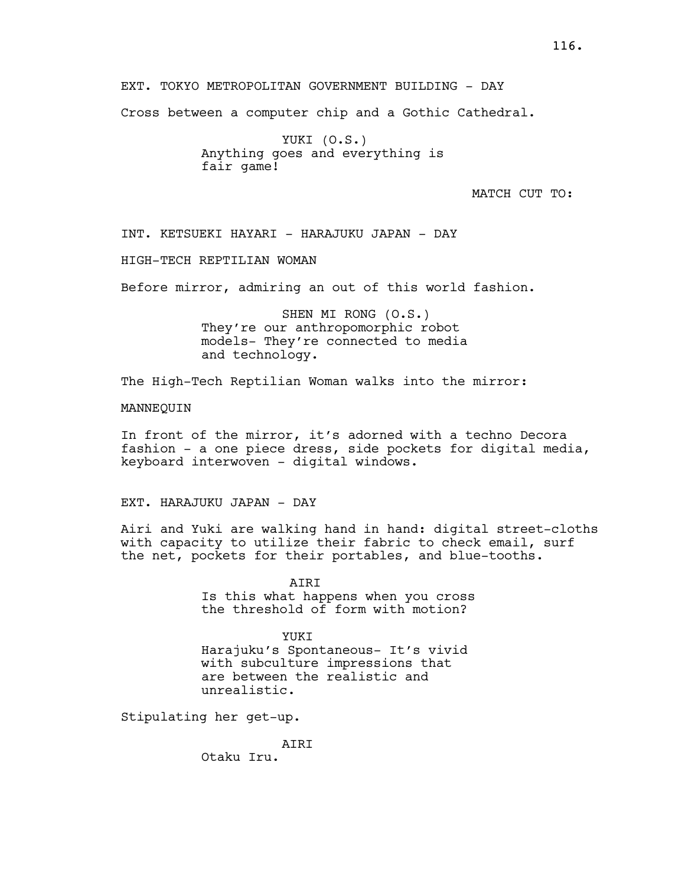EXT. TOKYO METROPOLITAN GOVERNMENT BUILDING - DAY

Cross between a computer chip and a Gothic Cathedral.

YUKI (O.S.) Anything goes and everything is fair game!

MATCH CUT TO:

INT. KETSUEKI HAYARI - HARAJUKU JAPAN - DAY

HIGH-TECH REPTILIAN WOMAN

Before mirror, admiring an out of this world fashion.

SHEN MI RONG (O.S.) They're our anthropomorphic robot models- They're connected to media and technology.

The High-Tech Reptilian Woman walks into the mirror:

MANNEQUIN

In front of the mirror, it's adorned with a techno Decora fashion - a one piece dress, side pockets for digital media, keyboard interwoven - digital windows.

EXT. HARAJUKU JAPAN - DAY

Airi and Yuki are walking hand in hand: digital street-cloths with capacity to utilize their fabric to check email, surf the net, pockets for their portables, and blue-tooths.

> AIRI Is this what happens when you cross the threshold of form with motion?

YUKT Harajuku's Spontaneous- It's vivid with subculture impressions that are between the realistic and unrealistic.

Stipulating her get-up.

AIRI

Otaku Iru.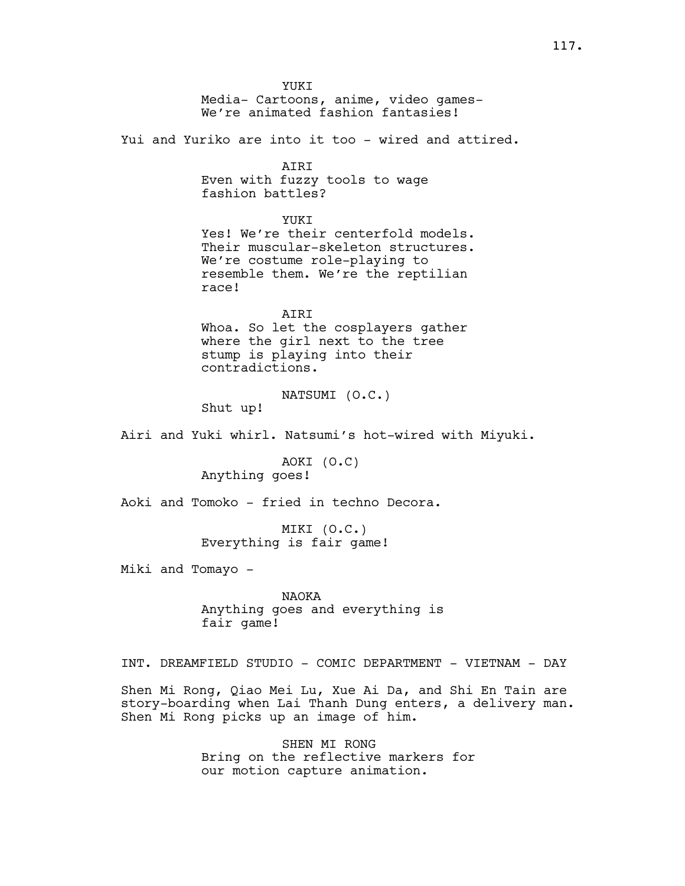YUKI Media- Cartoons, anime, video games-We're animated fashion fantasies! Yui and Yuriko are into it too - wired and attired. AIRI Even with fuzzy tools to wage fashion battles? YUKT Yes! We're their centerfold models. Their muscular-skeleton structures. We're costume role-playing to resemble them. We're the reptilian race! AIRI Whoa. So let the cosplayers gather where the girl next to the tree stump is playing into their contradictions. NATSUMI (O.C.) Shut up! Airi and Yuki whirl. Natsumi's hot-wired with Miyuki. AOKI (O.C) Anything goes! Aoki and Tomoko - fried in techno Decora. MIKI (O.C.) Everything is fair game! Miki and Tomayo - NAOKA Anything goes and everything is fair game! INT. DREAMFIELD STUDIO - COMIC DEPARTMENT - VIETNAM - DAY Shen Mi Rong, Qiao Mei Lu, Xue Ai Da, and Shi En Tain are story-boarding when Lai Thanh Dung enters, a delivery man. Shen Mi Rong picks up an image of him. SHEN MI RONG

Bring on the reflective markers for our motion capture animation.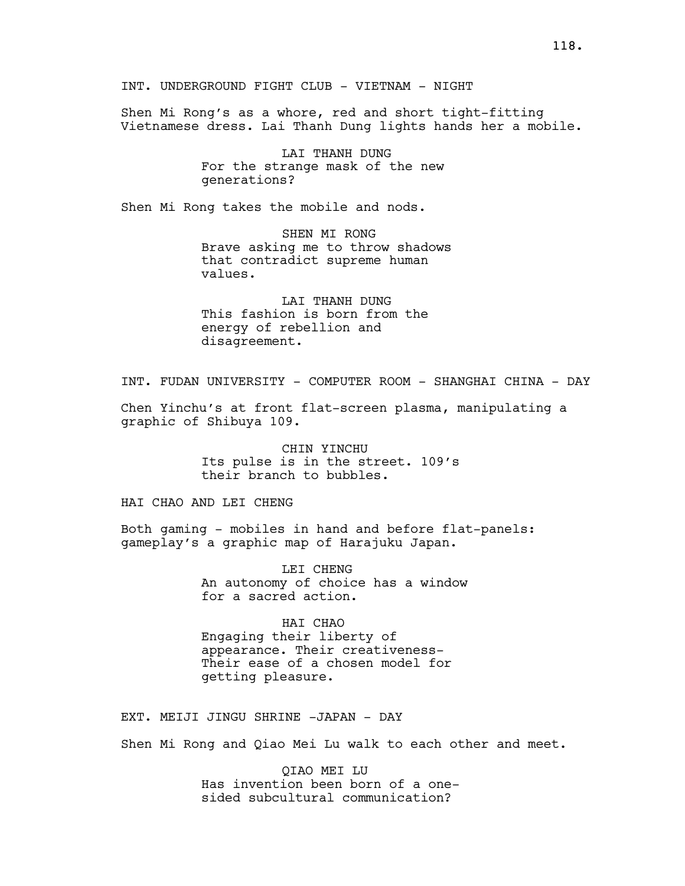INT. UNDERGROUND FIGHT CLUB - VIETNAM - NIGHT

Shen Mi Rong's as a whore, red and short tight-fitting Vietnamese dress. Lai Thanh Dung lights hands her a mobile.

> LAI THANH DUNG For the strange mask of the new generations?

Shen Mi Rong takes the mobile and nods.

SHEN MI RONG Brave asking me to throw shadows that contradict supreme human values.

LAI THANH DUNG This fashion is born from the energy of rebellion and disagreement.

INT. FUDAN UNIVERSITY - COMPUTER ROOM - SHANGHAI CHINA - DAY

Chen Yinchu's at front flat-screen plasma, manipulating a graphic of Shibuya 109.

> CHIN YINCHU Its pulse is in the street. 109's their branch to bubbles.

HAI CHAO AND LEI CHENG

Both gaming - mobiles in hand and before flat-panels: gameplay's a graphic map of Harajuku Japan.

> LEI CHENG An autonomy of choice has a window for a sacred action.

HAI CHAO Engaging their liberty of appearance. Their creativeness-Their ease of a chosen model for getting pleasure.

EXT. MEIJI JINGU SHRINE -JAPAN - DAY

Shen Mi Rong and Qiao Mei Lu walk to each other and meet.

QIAO MEI LU Has invention been born of a onesided subcultural communication?